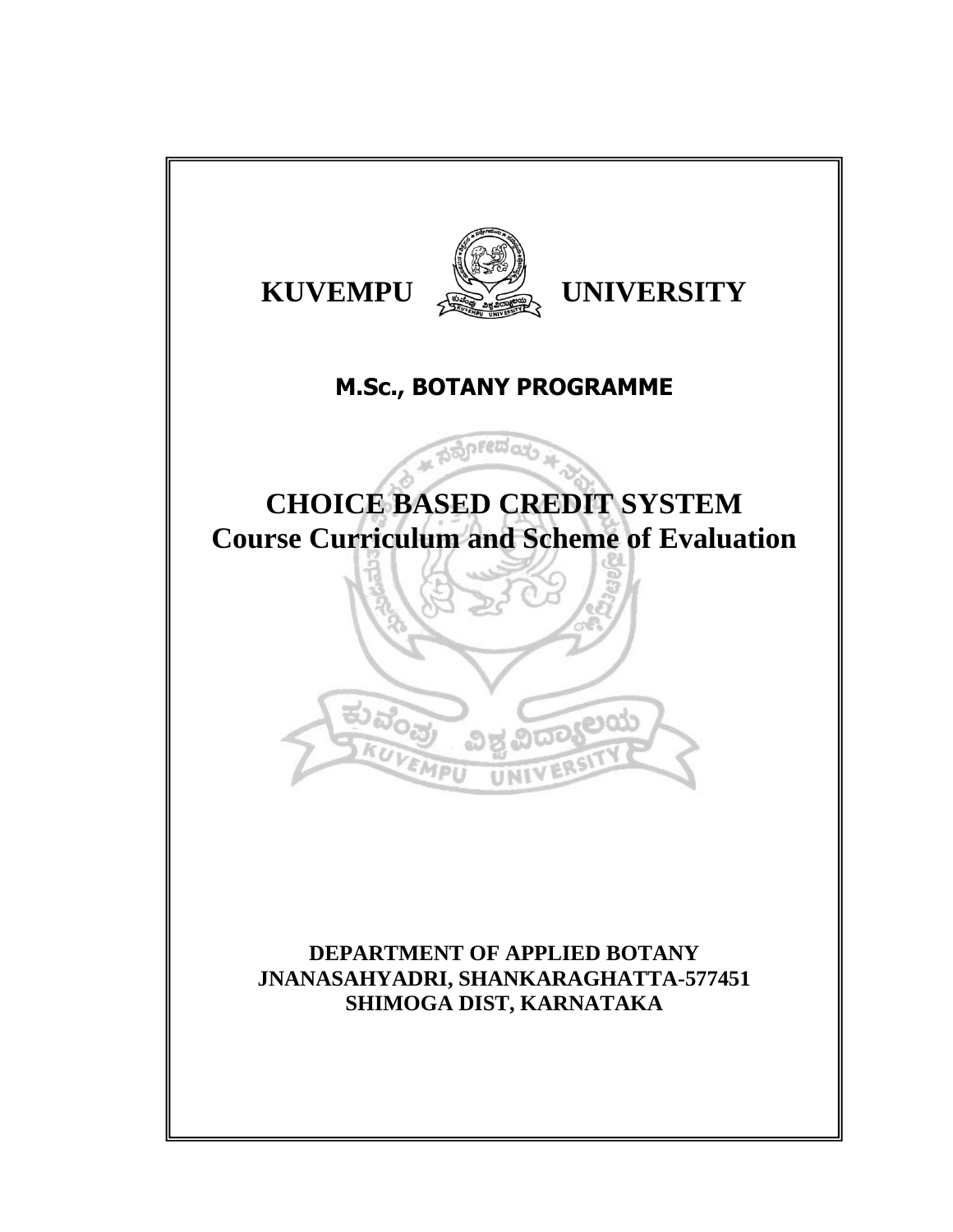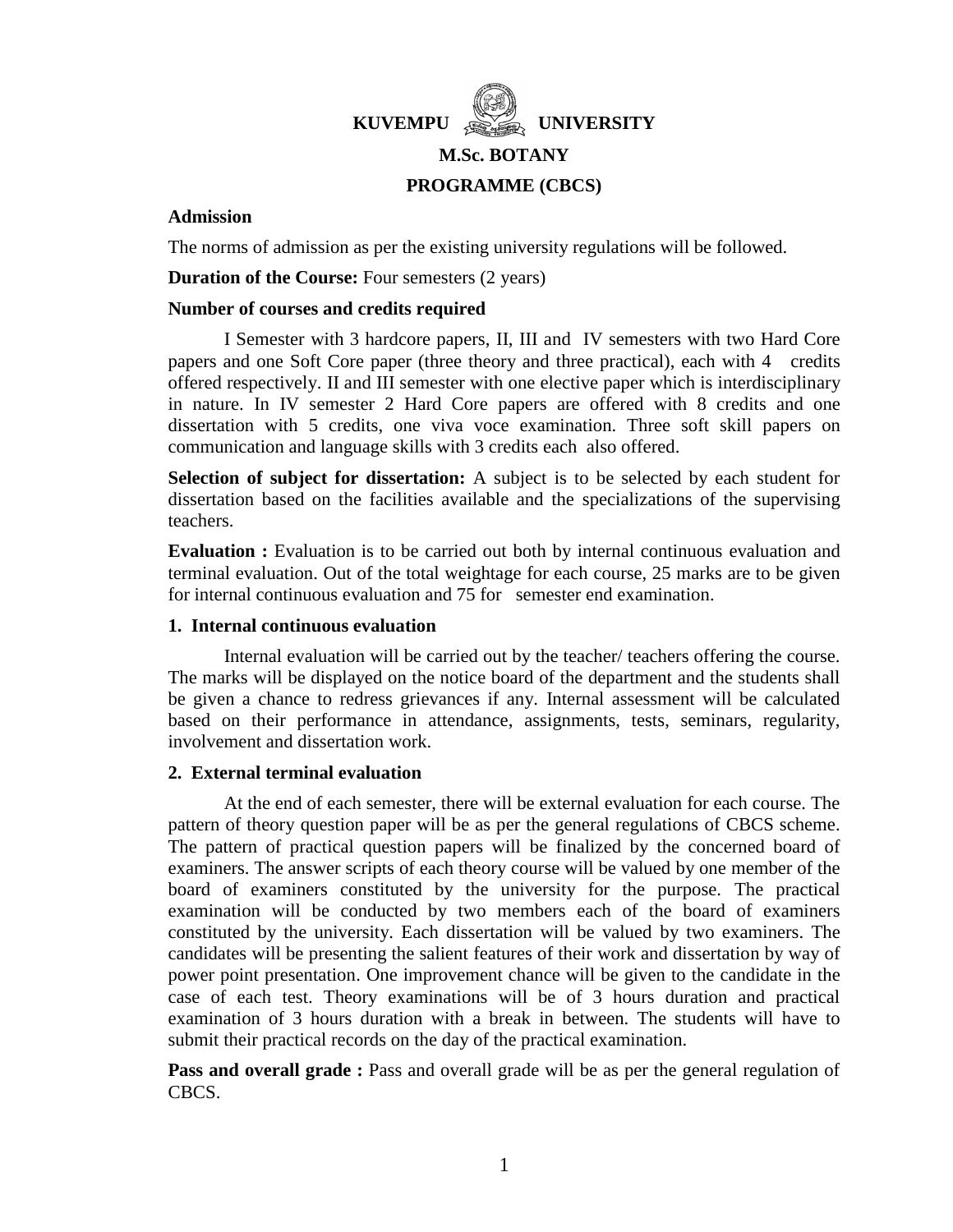

# **M.Sc. BOTANY PROGRAMME (CBCS)**

## **Admission**

The norms of admission as per the existing university regulations will be followed.

**Duration of the Course:** Four semesters (2 years)

## **Number of courses and credits required**

I Semester with 3 hardcore papers, II, III and IV semesters with two Hard Core papers and one Soft Core paper (three theory and three practical), each with 4 credits offered respectively. II and III semester with one elective paper which is interdisciplinary in nature. In IV semester 2 Hard Core papers are offered with 8 credits and one dissertation with 5 credits, one viva voce examination. Three soft skill papers on communication and language skills with 3 credits each also offered.

**Selection of subject for dissertation:** A subject is to be selected by each student for dissertation based on the facilities available and the specializations of the supervising teachers.

**Evaluation** : Evaluation is to be carried out both by internal continuous evaluation and terminal evaluation. Out of the total weightage for each course, 25 marks are to be given for internal continuous evaluation and 75 for semester end examination.

## **1. Internal continuous evaluation**

Internal evaluation will be carried out by the teacher/ teachers offering the course. The marks will be displayed on the notice board of the department and the students shall be given a chance to redress grievances if any. Internal assessment will be calculated based on their performance in attendance, assignments, tests, seminars, regularity, involvement and dissertation work.

## **2. External terminal evaluation**

At the end of each semester, there will be external evaluation for each course. The pattern of theory question paper will be as per the general regulations of CBCS scheme. The pattern of practical question papers will be finalized by the concerned board of examiners. The answer scripts of each theory course will be valued by one member of the board of examiners constituted by the university for the purpose. The practical examination will be conducted by two members each of the board of examiners constituted by the university. Each dissertation will be valued by two examiners. The candidates will be presenting the salient features of their work and dissertation by way of power point presentation. One improvement chance will be given to the candidate in the case of each test. Theory examinations will be of 3 hours duration and practical examination of 3 hours duration with a break in between. The students will have to submit their practical records on the day of the practical examination.

**Pass and overall grade** : Pass and overall grade will be as per the general regulation of CBCS.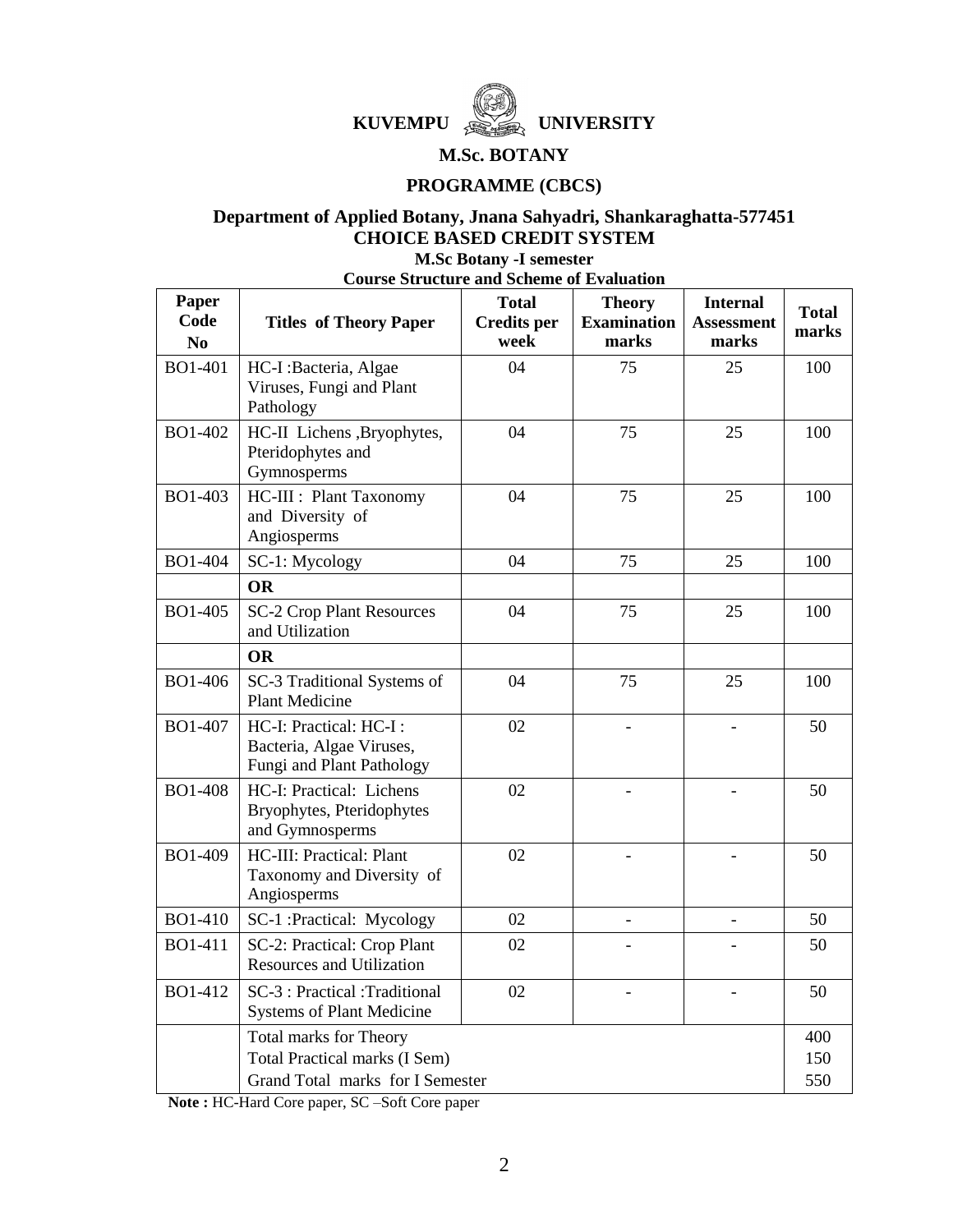

## **M.Sc. BOTANY**

## **PROGRAMME (CBCS)**

## **Department of Applied Botany, Jnana Sahyadri, Shankaraghatta-577451 CHOICE BASED CREDIT SYSTEM**

**M.Sc Botany -I semester**

**Course Structure and Scheme of Evaluation**

| Paper<br>Code<br>N <sub>0</sub> | <b>Titles of Theory Paper</b>                                                   | <b>Total</b><br><b>Credits</b> per<br>week | <b>Theory</b><br><b>Examination</b><br>marks | <b>Internal</b><br><b>Assessment</b><br>marks | <b>Total</b><br>marks |
|---------------------------------|---------------------------------------------------------------------------------|--------------------------------------------|----------------------------------------------|-----------------------------------------------|-----------------------|
| BO1-401                         | HC-I:Bacteria, Algae<br>Viruses, Fungi and Plant<br>Pathology                   | 04                                         | 75                                           | 25                                            | 100                   |
| BO1-402                         | HC-II Lichens , Bryophytes,<br>Pteridophytes and<br>Gymnosperms                 | 04                                         | 75                                           | 25                                            | 100                   |
| BO1-403                         | HC-III : Plant Taxonomy<br>and Diversity of<br>Angiosperms                      | 04                                         | 75                                           | 25                                            | 100                   |
| <b>BO1-404</b>                  | SC-1: Mycology                                                                  | 04                                         | 75                                           | 25                                            | 100                   |
|                                 | <b>OR</b>                                                                       |                                            |                                              |                                               |                       |
| BO1-405                         | <b>SC-2 Crop Plant Resources</b><br>and Utilization                             | 04                                         | 75                                           | 25                                            | 100                   |
|                                 | <b>OR</b>                                                                       |                                            |                                              |                                               |                       |
| BO1-406                         | SC-3 Traditional Systems of<br><b>Plant Medicine</b>                            | 04                                         | 75                                           | 25                                            | 100                   |
| BO1-407                         | HC-I: Practical: HC-I:<br>Bacteria, Algae Viruses,<br>Fungi and Plant Pathology | 02                                         | $\overline{a}$                               | $\overline{a}$                                | 50                    |
| <b>BO1-408</b>                  | HC-I: Practical: Lichens<br>Bryophytes, Pteridophytes<br>and Gymnosperms        | 02                                         | $\overline{a}$                               |                                               | 50                    |
| BO1-409                         | HC-III: Practical: Plant<br>Taxonomy and Diversity of<br>Angiosperms            | 02                                         | L.                                           | $\overline{\phantom{a}}$                      | 50                    |
| BO1-410                         | SC-1 :Practical: Mycology                                                       | 02                                         | L.                                           | $\overline{a}$                                | 50                    |
| BO1-411                         | SC-2: Practical: Crop Plant<br><b>Resources and Utilization</b>                 | 02                                         |                                              |                                               | 50                    |
| BO1-412                         | SC-3 : Practical :Traditional<br><b>Systems of Plant Medicine</b>               | 02                                         |                                              |                                               | 50                    |
|                                 | <b>Total marks for Theory</b>                                                   |                                            |                                              |                                               | 400                   |
|                                 | <b>Total Practical marks (I Sem)</b>                                            |                                            |                                              |                                               | 150                   |
|                                 | Grand Total marks for I Semester                                                |                                            |                                              |                                               | 550                   |

**Note :** HC-Hard Core paper, SC –Soft Core paper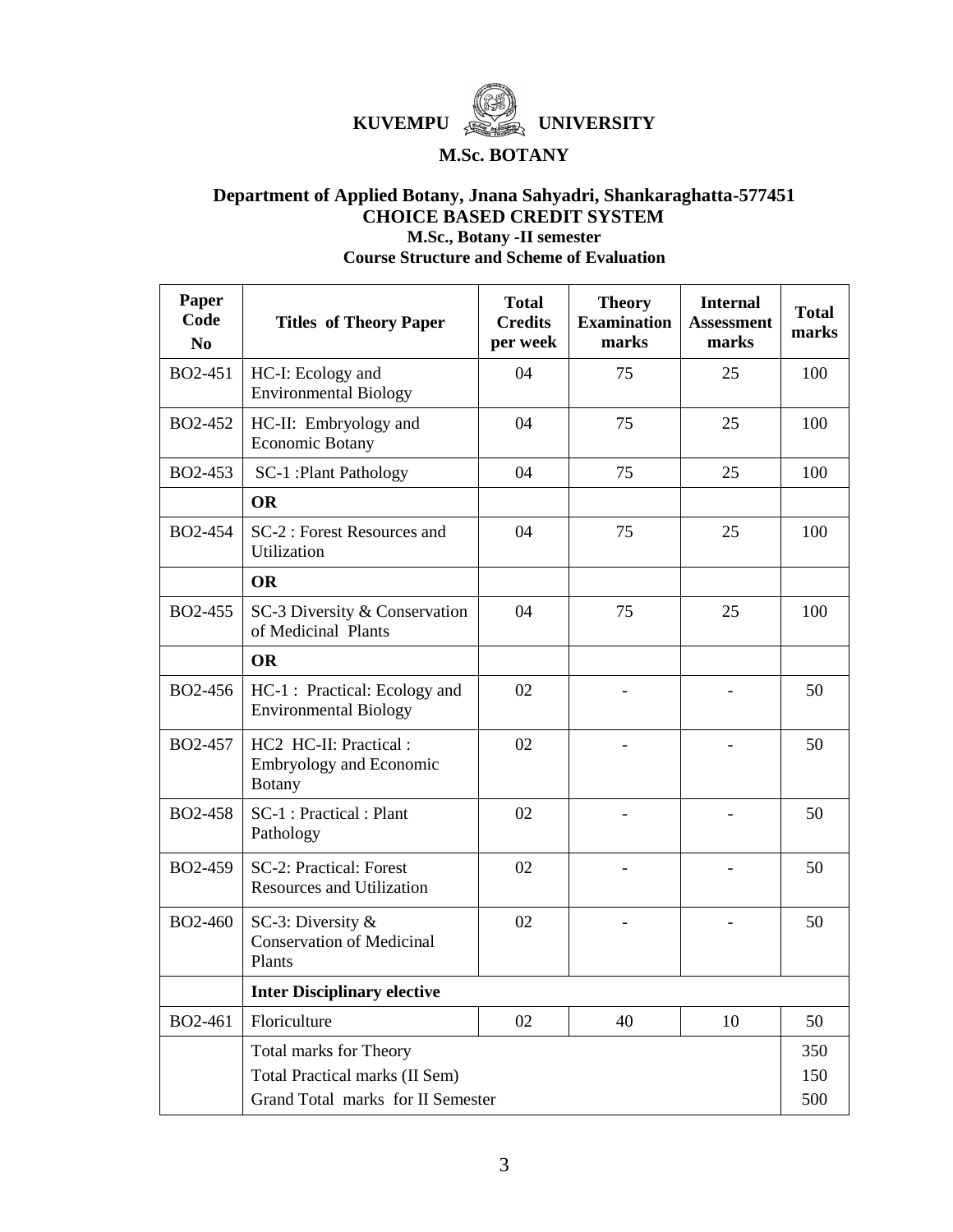

## **M.Sc. BOTANY**

## **Department of Applied Botany, Jnana Sahyadri, Shankaraghatta-577451 CHOICE BASED CREDIT SYSTEM M.Sc., Botany -II semester**

**Course Structure and Scheme of Evaluation**

| Paper<br>Code<br>N <sub>0</sub> | <b>Titles of Theory Paper</b>                                            | <b>Total</b><br><b>Credits</b><br>per week | <b>Theory</b><br><b>Examination</b><br>marks | <b>Internal</b><br><b>Assessment</b><br>marks | <b>Total</b><br>marks |
|---------------------------------|--------------------------------------------------------------------------|--------------------------------------------|----------------------------------------------|-----------------------------------------------|-----------------------|
| BO2-451                         | HC-I: Ecology and<br><b>Environmental Biology</b>                        | 04                                         | 75                                           | 25                                            | 100                   |
| BO2-452                         | HC-II: Embryology and<br>Economic Botany                                 | 04                                         | 75                                           | 25                                            | 100                   |
| BO2-453                         | SC-1 : Plant Pathology                                                   | 04                                         | 75                                           | 25                                            | 100                   |
|                                 | <b>OR</b>                                                                |                                            |                                              |                                               |                       |
| BO2-454                         | SC-2 : Forest Resources and<br>Utilization                               | 04                                         | 75                                           | 25                                            | 100                   |
|                                 | <b>OR</b>                                                                |                                            |                                              |                                               |                       |
| BO2-455                         | SC-3 Diversity & Conservation<br>of Medicinal Plants                     | 04                                         | 75                                           | 25                                            | 100                   |
|                                 | <b>OR</b>                                                                |                                            |                                              |                                               |                       |
| BO2-456                         | HC-1 : Practical: Ecology and<br><b>Environmental Biology</b>            | 02                                         |                                              |                                               | 50                    |
| BO2-457                         | HC2 HC-II: Practical:<br><b>Embryology and Economic</b><br><b>Botany</b> | 02                                         |                                              |                                               | 50                    |
| BO2-458                         | SC-1 : Practical : Plant<br>Pathology                                    | 02                                         |                                              |                                               | 50                    |
| BO2-459                         | SC-2: Practical: Forest<br><b>Resources and Utilization</b>              | 02                                         |                                              |                                               | 50                    |
| <b>BO2-460</b>                  | SC-3: Diversity $&$<br><b>Conservation of Medicinal</b><br>Plants        | 02                                         |                                              |                                               | 50                    |
|                                 | <b>Inter Disciplinary elective</b>                                       |                                            |                                              |                                               |                       |
| BO2-461                         | Floriculture                                                             | 02                                         | 40                                           | 10                                            | 50                    |
|                                 | Total marks for Theory                                                   |                                            |                                              |                                               | 350                   |
|                                 | Total Practical marks (II Sem)                                           |                                            |                                              |                                               | 150                   |
|                                 | Grand Total marks for II Semester                                        |                                            |                                              |                                               | 500                   |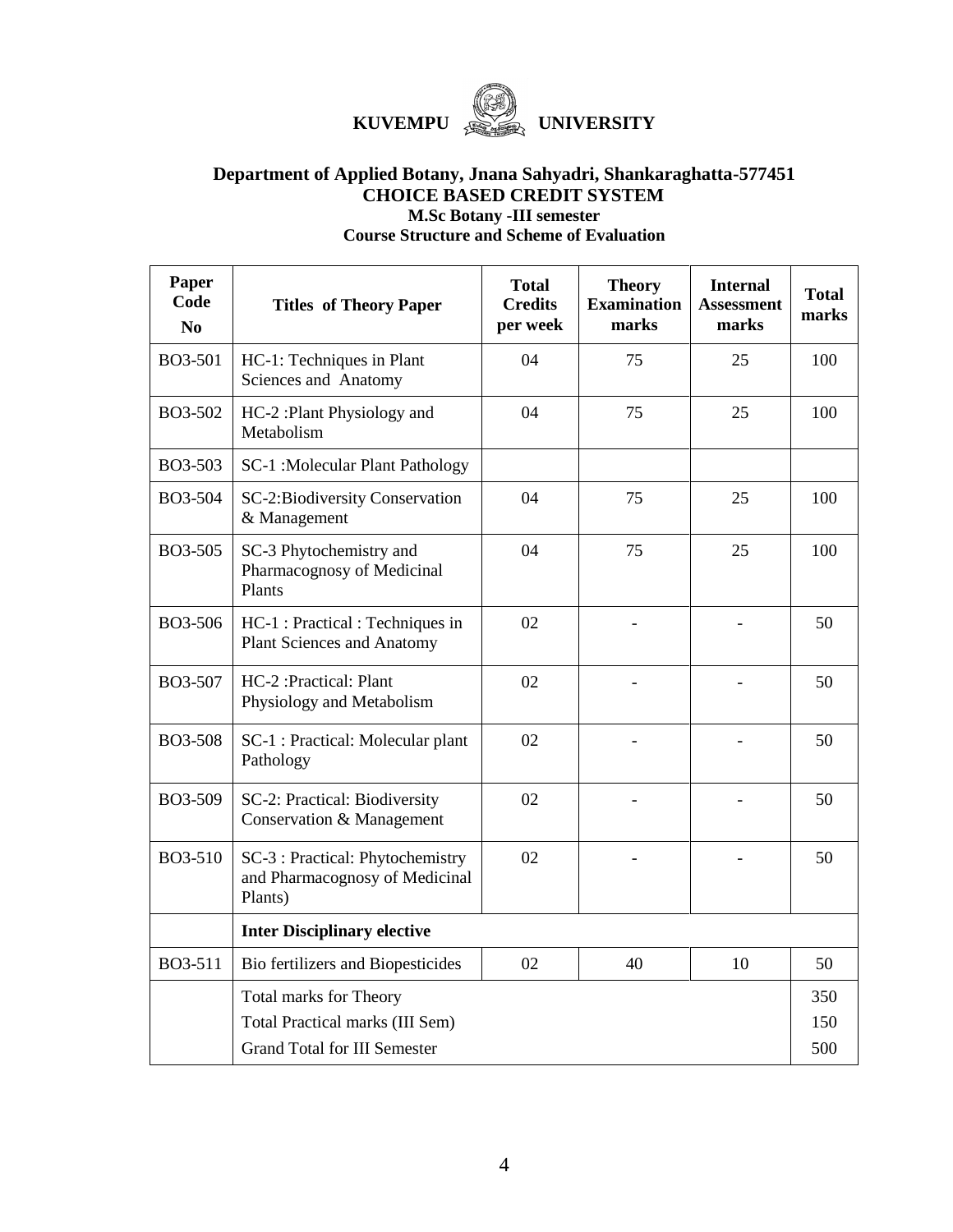

## **Department of Applied Botany, Jnana Sahyadri, Shankaraghatta-577451 CHOICE BASED CREDIT SYSTEM M.Sc Botany -III semester Course Structure and Scheme of Evaluation**

**Paper Code No Titles of Theory Paper Total Credits per week Theory Examination marks Internal Assessment marks Total marks** BO3-501 HC-1: Techniques in Plant Sciences and Anatomy 04 75 25 100 BO3-502 HC-2 :Plant Physiology and Metabolism 04 75 25 100 BO3-503 | SC-1 :Molecular Plant Pathology BO3-504 SC-2:Biodiversity Conservation & Management 04 75 25 100 BO3-505 SC-3 Phytochemistry and Pharmacognosy of Medicinal Plants 04 75 25 100 BO3-506 HC-1 : Practical : Techniques in Plant Sciences and Anatomy  $02$  -  $-$  50 BO3-507 HC-2 :Practical: Plant Physiology and Metabolism  $02$  -  $-$  50  $BO3-508$  SC-1 : Practical: Molecular plant Pathology  $02$  -  $-$  50  $BO3-509$  SC-2: Practical: Biodiversity Conservation & Management  $02$  -  $-$  50  $BO3-510$  SC-3 : Practical: Phytochemistry and Pharmacognosy of Medicinal Plants)  $02$  -  $-$  50 **Inter Disciplinary elective** BO3-511 | Bio fertilizers and Biopesticides | 02 | 40 | 10 | 50 Total marks for Theory Total Practical marks (III Sem) Grand Total for III Semester 350 150 500

## 4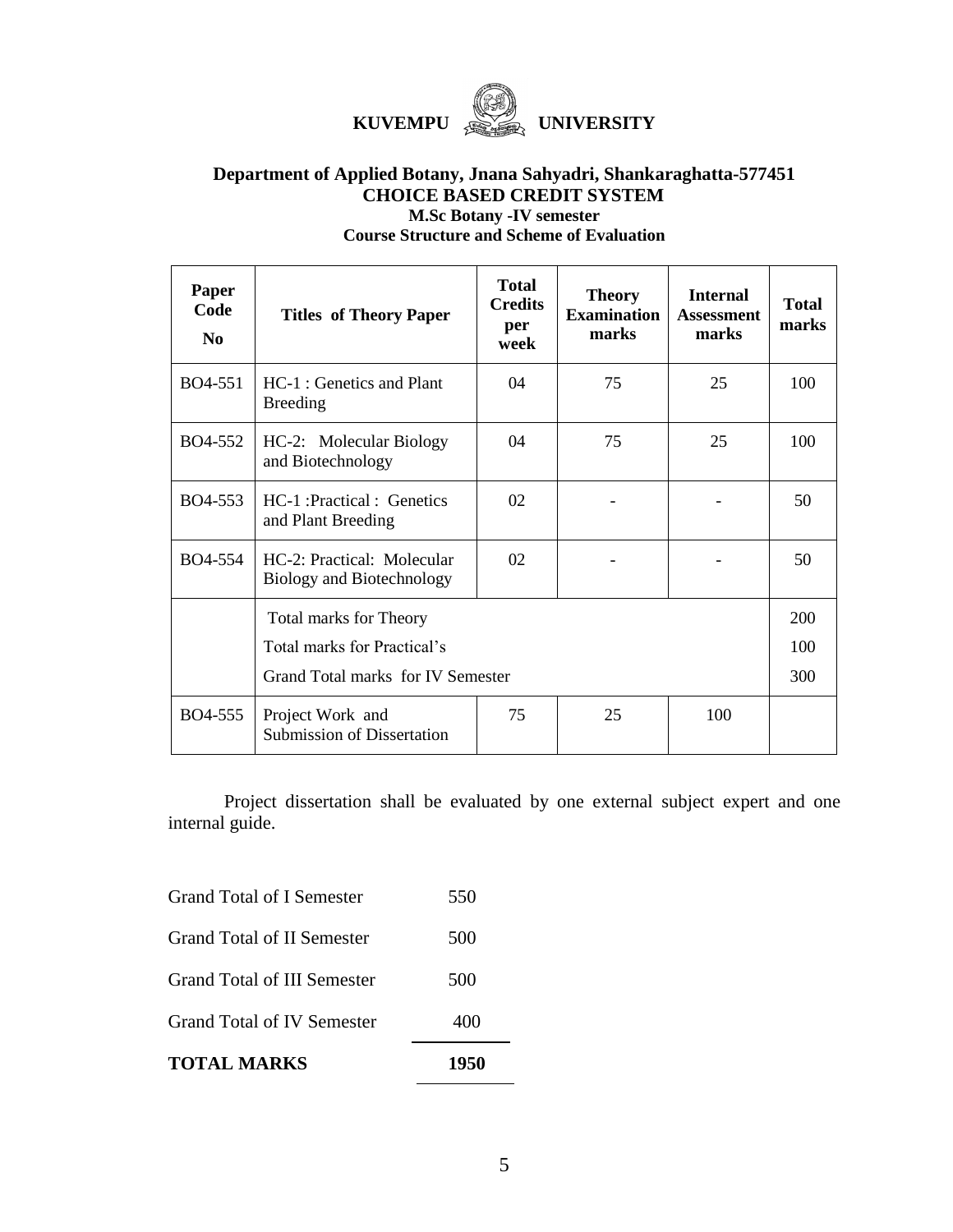

## **Department of Applied Botany, Jnana Sahyadri, Shankaraghatta-577451 CHOICE BASED CREDIT SYSTEM M.Sc Botany -IV semester Course Structure and Scheme of Evaluation**

| Paper<br>Code<br>No. | <b>Titles of Theory Paper</b>                                                                     | <b>Total</b><br><b>Credits</b><br>per<br>week | <b>Theory</b><br><b>Examination</b><br>marks | <b>Internal</b><br><b>Assessment</b><br>marks | <b>Total</b><br>marks |
|----------------------|---------------------------------------------------------------------------------------------------|-----------------------------------------------|----------------------------------------------|-----------------------------------------------|-----------------------|
| BO4-551              | HC-1 : Genetics and Plant<br><b>Breeding</b>                                                      | 04                                            | 75                                           | 25                                            | 100                   |
| BO4-552              | HC-2: Molecular Biology<br>and Biotechnology                                                      | $\Omega$                                      | 75                                           | 25                                            | 100                   |
| BO4-553              | HC-1: Practical: Genetics<br>and Plant Breeding                                                   | 02                                            |                                              |                                               | 50                    |
| BO4-554              | HC-2: Practical: Molecular<br><b>Biology and Biotechnology</b>                                    | 02                                            |                                              |                                               | 50                    |
|                      | <b>Total marks for Theory</b><br>Total marks for Practical's<br>Grand Total marks for IV Semester |                                               |                                              | 200<br>100<br>300                             |                       |
| BO4-555              | Project Work and<br><b>Submission of Dissertation</b>                                             | 75                                            | 25                                           | 100                                           |                       |

Project dissertation shall be evaluated by one external subject expert and one internal guide.

| <b>TOTAL MARKS</b>               | 1950 |
|----------------------------------|------|
| Grand Total of IV Semester       | 400  |
| Grand Total of III Semester      | 500  |
| Grand Total of II Semester       | 500  |
| <b>Grand Total of I Semester</b> | 550  |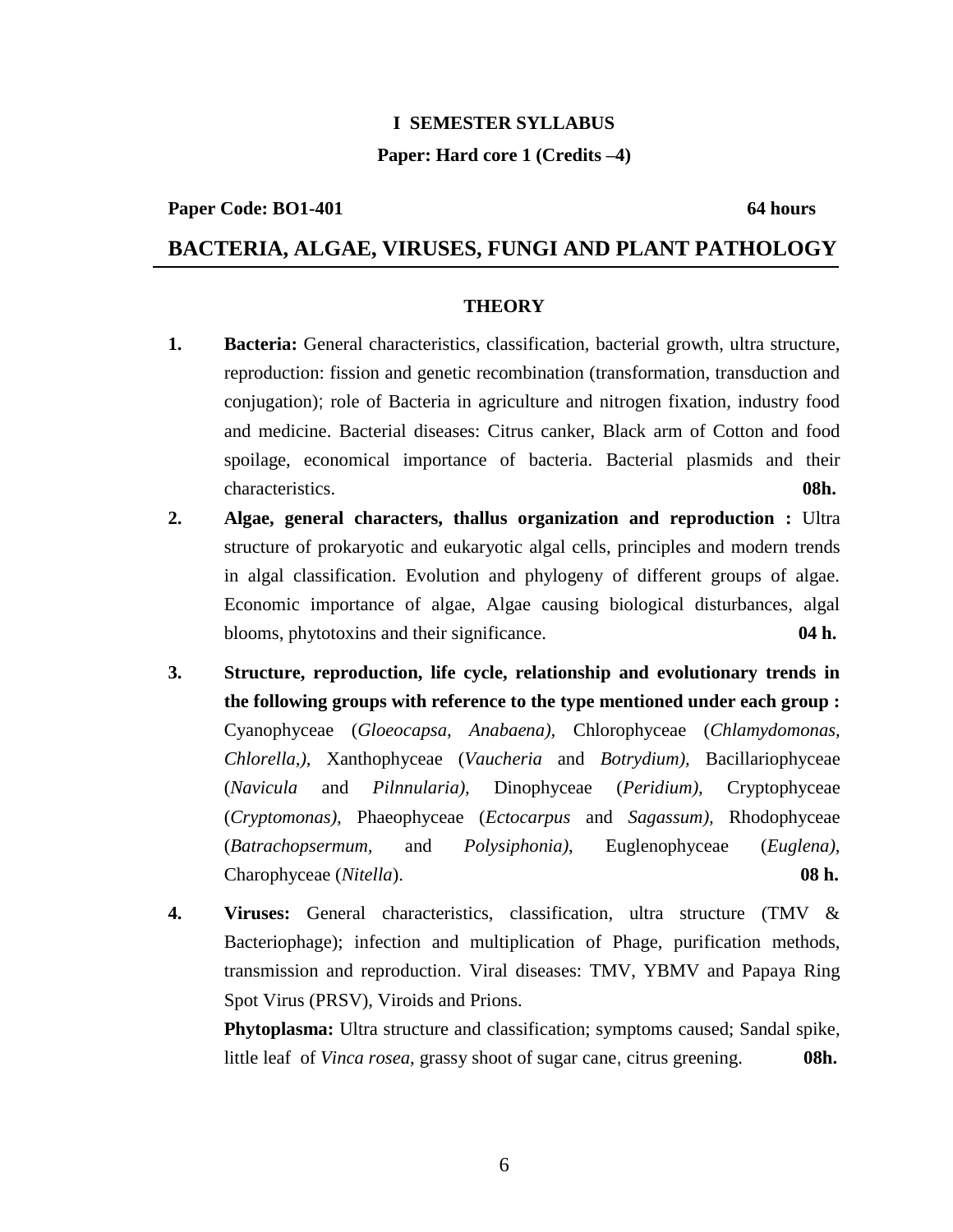## **I SEMESTER SYLLABUS**

## **Paper: Hard core 1 (Credits –4)**

### **Paper Code: BO1-401** 64 hours

## **BACTERIA, ALGAE, VIRUSES, FUNGI AND PLANT PATHOLOGY**

### **THEORY**

- **1. Bacteria:** General characteristics, classification, bacterial growth, ultra structure, reproduction: fission and genetic recombination (transformation, transduction and conjugation); role of Bacteria in agriculture and nitrogen fixation, industry food and medicine. Bacterial diseases: Citrus canker, Black arm of Cotton and food spoilage, economical importance of bacteria. Bacterial plasmids and their characteristics. **08h.**
- **2. Algae, general characters, thallus organization and reproduction :** Ultra structure of prokaryotic and eukaryotic algal cells, principles and modern trends in algal classification. Evolution and phylogeny of different groups of algae. Economic importance of algae, Algae causing biological disturbances, algal blooms, phytotoxins and their significance. **04 h.**
- **3. Structure, reproduction, life cycle, relationship and evolutionary trends in the following groups with reference to the type mentioned under each group :** Cyanophyceae (*Gloeocapsa, Anabaena),* Chlorophyceae (*Chlamydomonas, Chlorella,),* Xanthophyceae (*Vaucheria* and *Botrydium),* Bacillariophyceae (*Navicula* and *Pilnnularia),* Dinophyceae (*Peridium),* Cryptophyceae (*Cryptomonas),* Phaeophyceae (*Ectocarpus* and *Sagassum),* Rhodophyceae (*Batrachopsermum,* and *Polysiphonia)*, Euglenophyceae (*Euglena),* Charophyceae (*Nitella*). **08 h.**
- **4. Viruses:** General characteristics, classification, ultra structure (TMV & Bacteriophage); infection and multiplication of Phage, purification methods, transmission and reproduction. Viral diseases: TMV, YBMV and Papaya Ring Spot Virus (PRSV), Viroids and Prions.

**Phytoplasma:** Ultra structure and classification; symptoms caused; Sandal spike, little leaf of *Vinca rosea*, grassy shoot of sugar cane, citrus greening. **08h.**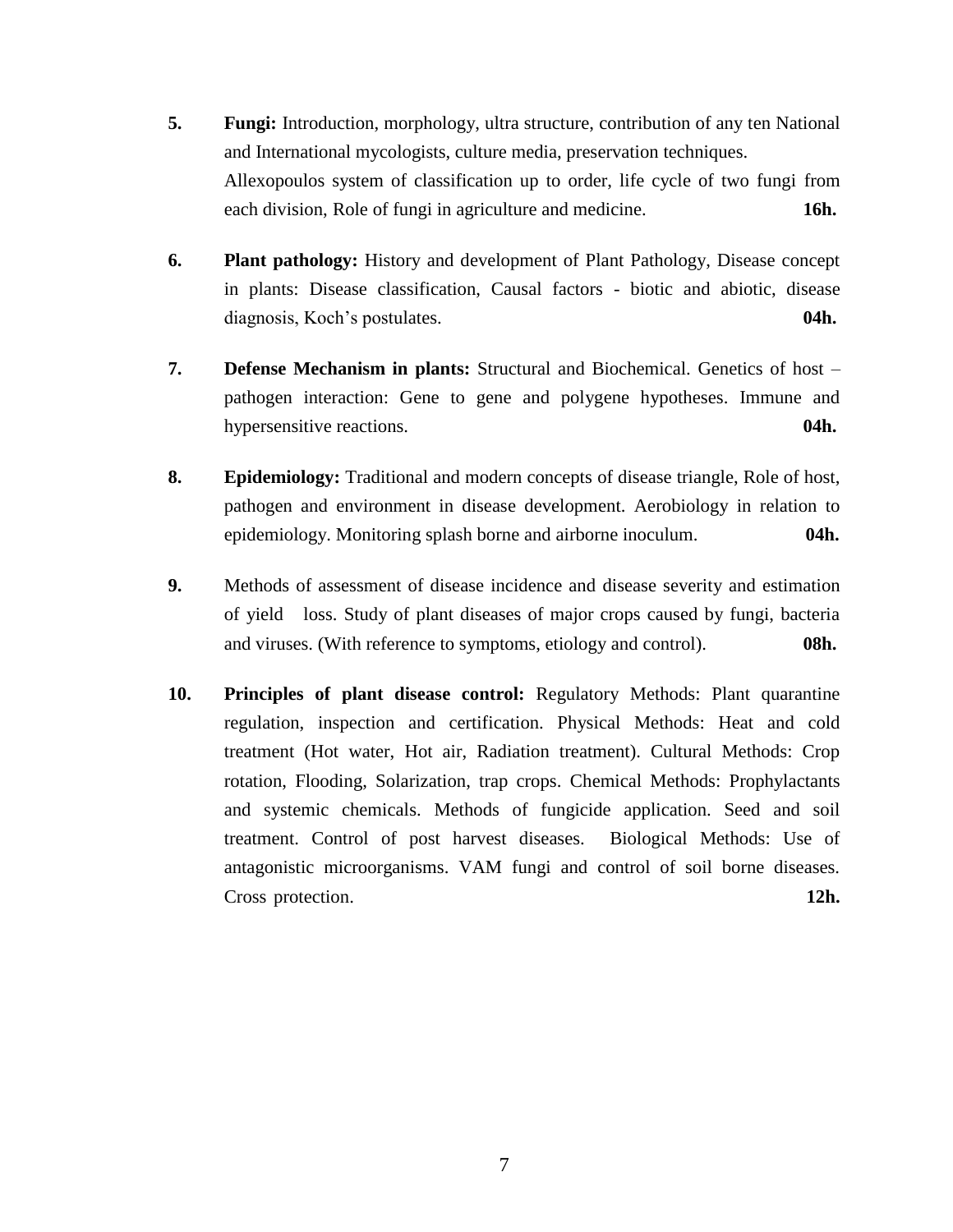- **5. Fungi:** Introduction, morphology, ultra structure, contribution of any ten National and International mycologists, culture media, preservation techniques. Allexopoulos system of classification up to order, life cycle of two fungi from each division, Role of fungi in agriculture and medicine. **16h.**
- **6. Plant pathology:** History and development of Plant Pathology, Disease concept in plants: Disease classification, Causal factors - biotic and abiotic, disease diagnosis, Koch's postulates. **04h.**
- **7. Defense Mechanism in plants:** Structural and Biochemical. Genetics of host pathogen interaction: Gene to gene and polygene hypotheses. Immune and hypersensitive reactions. **04h.**
- **8. Epidemiology:** Traditional and modern concepts of disease triangle, Role of host, pathogen and environment in disease development. Aerobiology in relation to epidemiology. Monitoring splash borne and airborne inoculum. **04h.**
- **9.** Methods of assessment of disease incidence and disease severity and estimation of yield loss. Study of plant diseases of major crops caused by fungi, bacteria and viruses. (With reference to symptoms, etiology and control). **08h.**
- **10. Principles of plant disease control:** Regulatory Methods: Plant quarantine regulation, inspection and certification. Physical Methods: Heat and cold treatment (Hot water, Hot air, Radiation treatment). Cultural Methods: Crop rotation, Flooding, Solarization, trap crops. Chemical Methods: Prophylactants and systemic chemicals. Methods of fungicide application. Seed and soil treatment. Control of post harvest diseases. Biological Methods: Use of antagonistic microorganisms. VAM fungi and control of soil borne diseases. Cross protection. **12h.**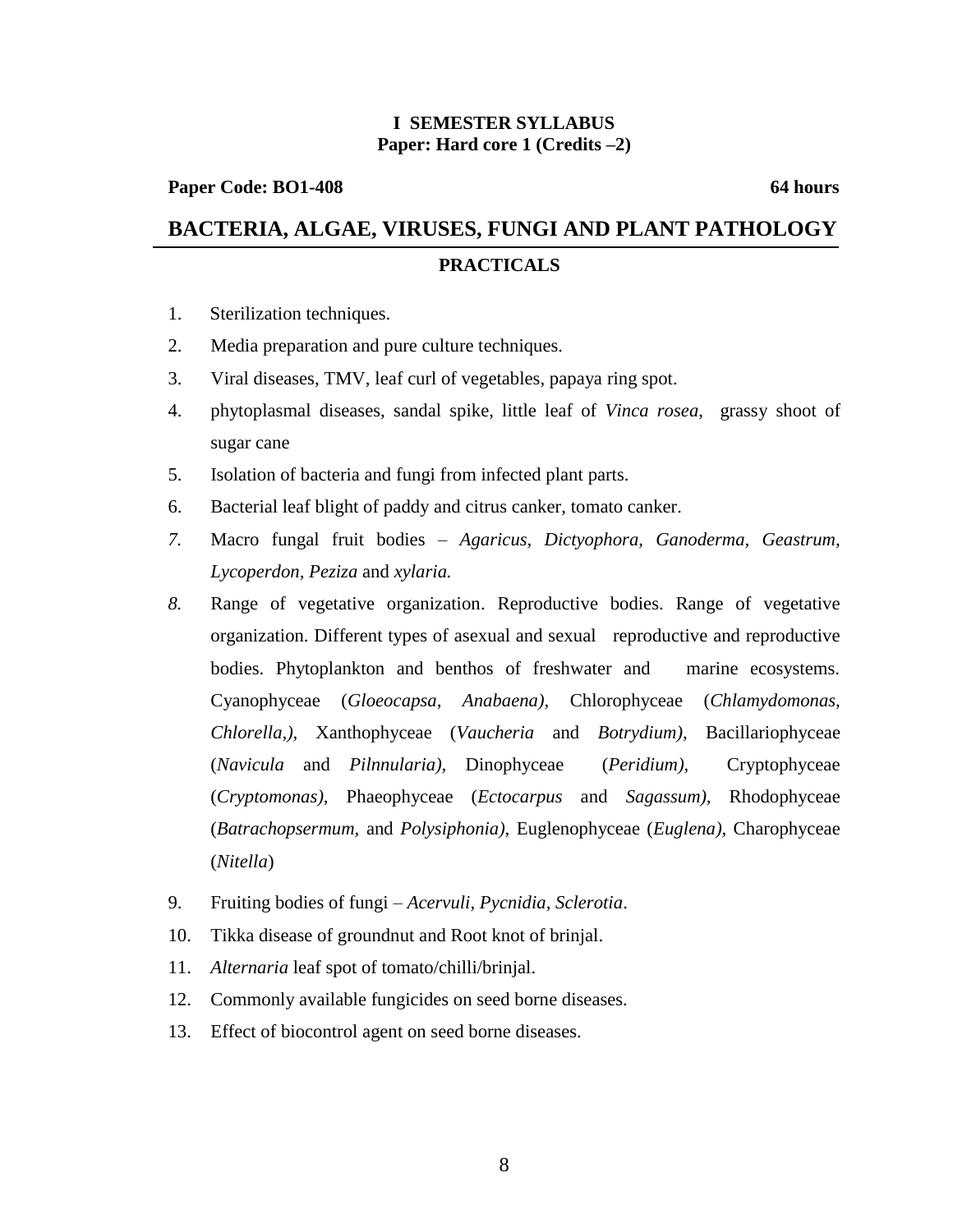## **I SEMESTER SYLLABUS Paper: Hard core 1 (Credits –2)**

## Paper Code: BO1-408 64 hours

# **BACTERIA, ALGAE, VIRUSES, FUNGI AND PLANT PATHOLOGY PRACTICALS**

- 1. Sterilization techniques.
- 2. Media preparation and pure culture techniques.
- 3. Viral diseases, TMV, leaf curl of vegetables, papaya ring spot.
- 4. phytoplasmal diseases, sandal spike, little leaf of *Vinca rosea*, grassy shoot of sugar cane
- 5. Isolation of bacteria and fungi from infected plant parts.
- 6. Bacterial leaf blight of paddy and citrus canker, tomato canker.
- *7.* Macro fungal fruit bodies *Agaricus, Dictyophora, Ganoderma, Geastrum, Lycoperdon, Peziza* and *xylaria.*
- *8.* Range of vegetative organization. Reproductive bodies. Range of vegetative organization. Different types of asexual and sexual reproductive and reproductive bodies. Phytoplankton and benthos of freshwater and marine ecosystems. Cyanophyceae (*Gloeocapsa, Anabaena),* Chlorophyceae (*Chlamydomonas, Chlorella,),* Xanthophyceae (*Vaucheria* and *Botrydium),* Bacillariophyceae (*Navicula* and *Pilnnularia),* Dinophyceae (*Peridium),* Cryptophyceae (*Cryptomonas),* Phaeophyceae (*Ectocarpus* and *Sagassum),* Rhodophyceae (*Batrachopsermum,* and *Polysiphonia)*, Euglenophyceae (*Euglena),* Charophyceae (*Nitella*)
- 9. Fruiting bodies of fungi *Acervuli, Pycnidia, Sclerotia*.
- 10. Tikka disease of groundnut and Root knot of brinjal.
- 11. *Alternaria* leaf spot of tomato/chilli/brinjal.
- 12. Commonly available fungicides on seed borne diseases.
- 13. Effect of biocontrol agent on seed borne diseases.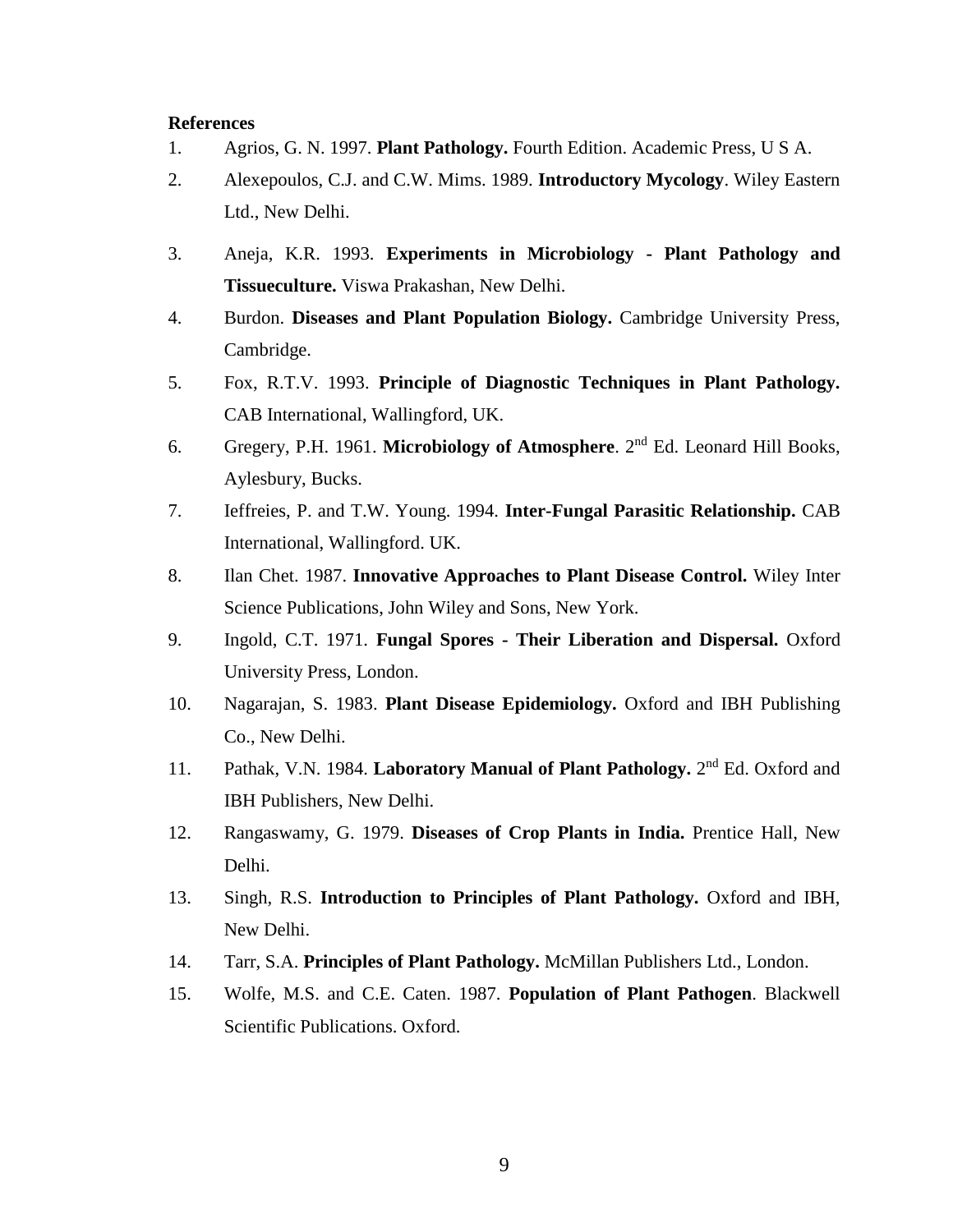- 1. Agrios, G. N. 1997. **Plant Pathology.** Fourth Edition. Academic Press, U S A.
- 2. Alexepoulos, C.J. and C.W. Mims. 1989. **Introductory Mycology**. Wiley Eastern Ltd., New Delhi.
- 3. Aneja, K.R. 1993. **Experiments in Microbiology - Plant Pathology and Tissueculture.** Viswa Prakashan, New Delhi.
- 4. Burdon. **Diseases and Plant Population Biology.** Cambridge University Press, Cambridge.
- 5. Fox, R.T.V. 1993. **Principle of Diagnostic Techniques in Plant Pathology.** CAB International, Wallingford, UK.
- 6. Gregery, P.H. 1961. **Microbiology of Atmosphere**. 2nd Ed. Leonard Hill Books, Aylesbury, Bucks.
- 7. Ieffreies, P. and T.W. Young. 1994. **Inter-Fungal Parasitic Relationship.** CAB International, Wallingford. UK.
- 8. Ilan Chet. 1987. **Innovative Approaches to Plant Disease Control.** Wiley Inter Science Publications, John Wiley and Sons, New York.
- 9. Ingold, C.T. 1971. **Fungal Spores - Their Liberation and Dispersal.** Oxford University Press, London.
- 10. Nagarajan, S. 1983. **Plant Disease Epidemiology.** Oxford and IBH Publishing Co., New Delhi.
- 11. Pathak, V.N. 1984. Laboratory Manual of Plant Pathology. 2<sup>nd</sup> Ed. Oxford and IBH Publishers, New Delhi.
- 12. Rangaswamy, G. 1979. **Diseases of Crop Plants in India.** Prentice Hall, New Delhi.
- 13. Singh, R.S. **Introduction to Principles of Plant Pathology.** Oxford and IBH, New Delhi.
- 14. Tarr, S.A. **Principles of Plant Pathology.** McMillan Publishers Ltd., London.
- 15. Wolfe, M.S. and C.E. Caten. 1987. **Population of Plant Pathogen**. Blackwell Scientific Publications. Oxford.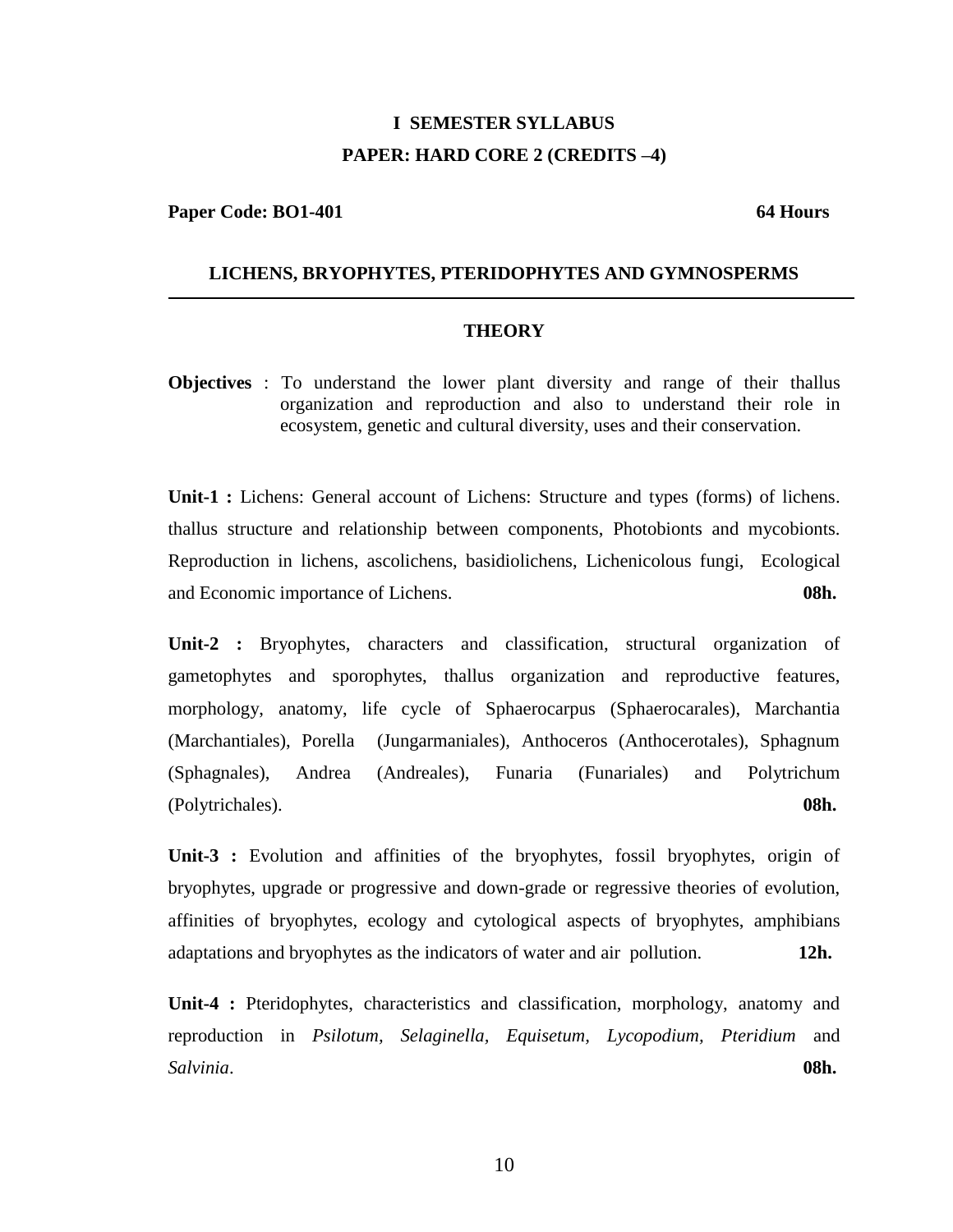# **I SEMESTER SYLLABUS PAPER: HARD CORE 2 (CREDITS –4)**

**Paper Code: BO1-401** 64 Hours

## **LICHENS, BRYOPHYTES, PTERIDOPHYTES AND GYMNOSPERMS**

### **THEORY**

**Objectives** : To understand the lower plant diversity and range of their thallus organization and reproduction and also to understand their role in ecosystem, genetic and cultural diversity, uses and their conservation.

Unit-1 : Lichens: General account of Lichens: Structure and types (forms) of lichens. thallus structure and relationship between components, Photobionts and mycobionts. Reproduction in lichens, ascolichens, basidiolichens, Lichenicolous fungi, Ecological and Economic importance of Lichens. **08h.**

**Unit-2 :** Bryophytes, characters and classification, structural organization of gametophytes and sporophytes, thallus organization and reproductive features, morphology, anatomy, life cycle of Sphaerocarpus (Sphaerocarales), Marchantia (Marchantiales), Porella (Jungarmaniales), Anthoceros (Anthocerotales), Sphagnum (Sphagnales), Andrea (Andreales), Funaria (Funariales) and Polytrichum (Polytrichales). **08h.**

Unit-3 : Evolution and affinities of the bryophytes, fossil bryophytes, origin of bryophytes, upgrade or progressive and down-grade or regressive theories of evolution, affinities of bryophytes, ecology and cytological aspects of bryophytes, amphibians adaptations and bryophytes as the indicators of water and air pollution. **12h.**

**Unit-4 :** Pteridophytes, characteristics and classification, morphology, anatomy and reproduction in *Psilotum, Selaginella, Equisetum, Lycopodium, Pteridium* and *Salvinia*. **08h.**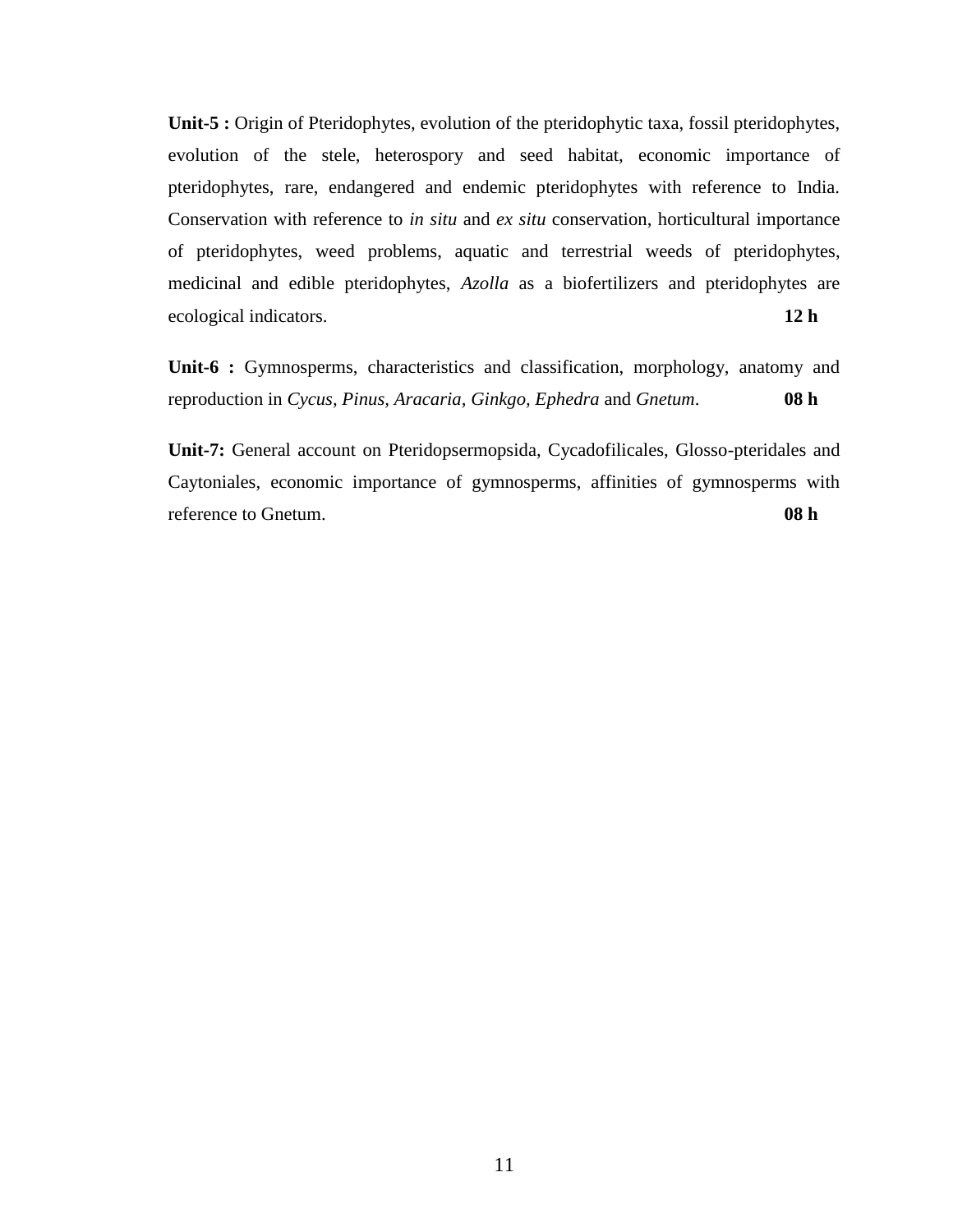**Unit-5 :** Origin of Pteridophytes, evolution of the pteridophytic taxa, fossil pteridophytes, evolution of the stele, heterospory and seed habitat, economic importance of pteridophytes, rare, endangered and endemic pteridophytes with reference to India. Conservation with reference to *in situ* and *ex situ* conservation, horticultural importance of pteridophytes, weed problems, aquatic and terrestrial weeds of pteridophytes, medicinal and edible pteridophytes, *Azolla* as a biofertilizers and pteridophytes are ecological indicators. **12 h**

**Unit-6 :** Gymnosperms, characteristics and classification, morphology, anatomy and reproduction in *Cycus, Pinus, Aracaria, Ginkgo, Ephedra* and *Gnetum*. **08 h**

**Unit-7:** General account on Pteridopsermopsida, Cycadofilicales, Glosso-pteridales and Caytoniales, economic importance of gymnosperms, affinities of gymnosperms with reference to Gnetum. **08 h**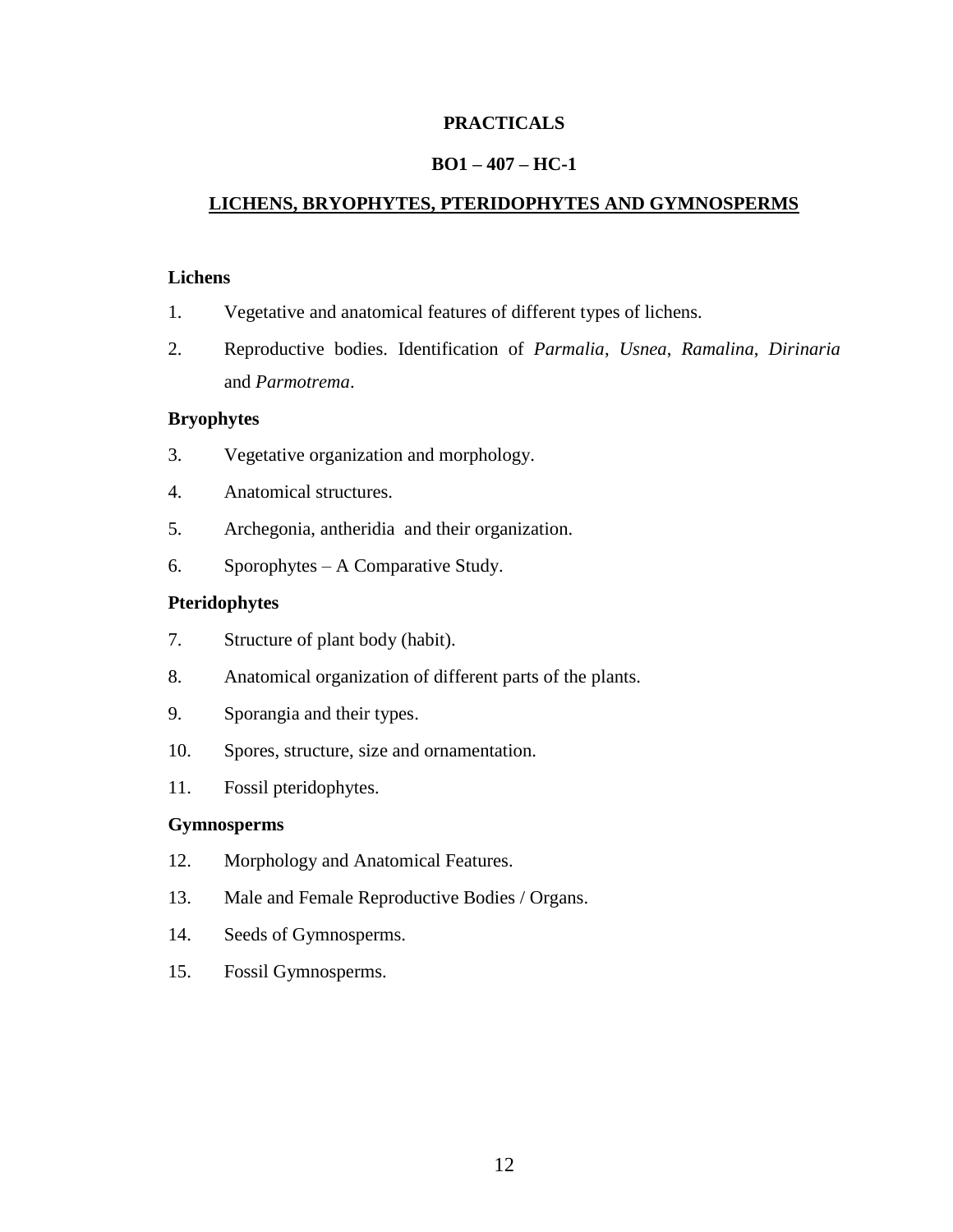## **PRACTICALS**

## **BO1 – 407 – HC-1**

## **LICHENS, BRYOPHYTES, PTERIDOPHYTES AND GYMNOSPERMS**

## **Lichens**

- 1. Vegetative and anatomical features of different types of lichens.
- 2. Reproductive bodies. Identification of *Parmalia*, *Usnea*, *Ramalina*, *Dirinaria* and *Parmotrema*.

## **Bryophytes**

- 3. Vegetative organization and morphology.
- 4. Anatomical structures.
- 5. Archegonia, antheridia and their organization.
- 6. Sporophytes A Comparative Study.

## **Pteridophytes**

- 7. Structure of plant body (habit).
- 8. Anatomical organization of different parts of the plants.
- 9. Sporangia and their types.
- 10. Spores, structure, size and ornamentation.
- 11. Fossil pteridophytes.

## **Gymnosperms**

- 12. Morphology and Anatomical Features.
- 13. Male and Female Reproductive Bodies / Organs.
- 14. Seeds of Gymnosperms.
- 15. Fossil Gymnosperms.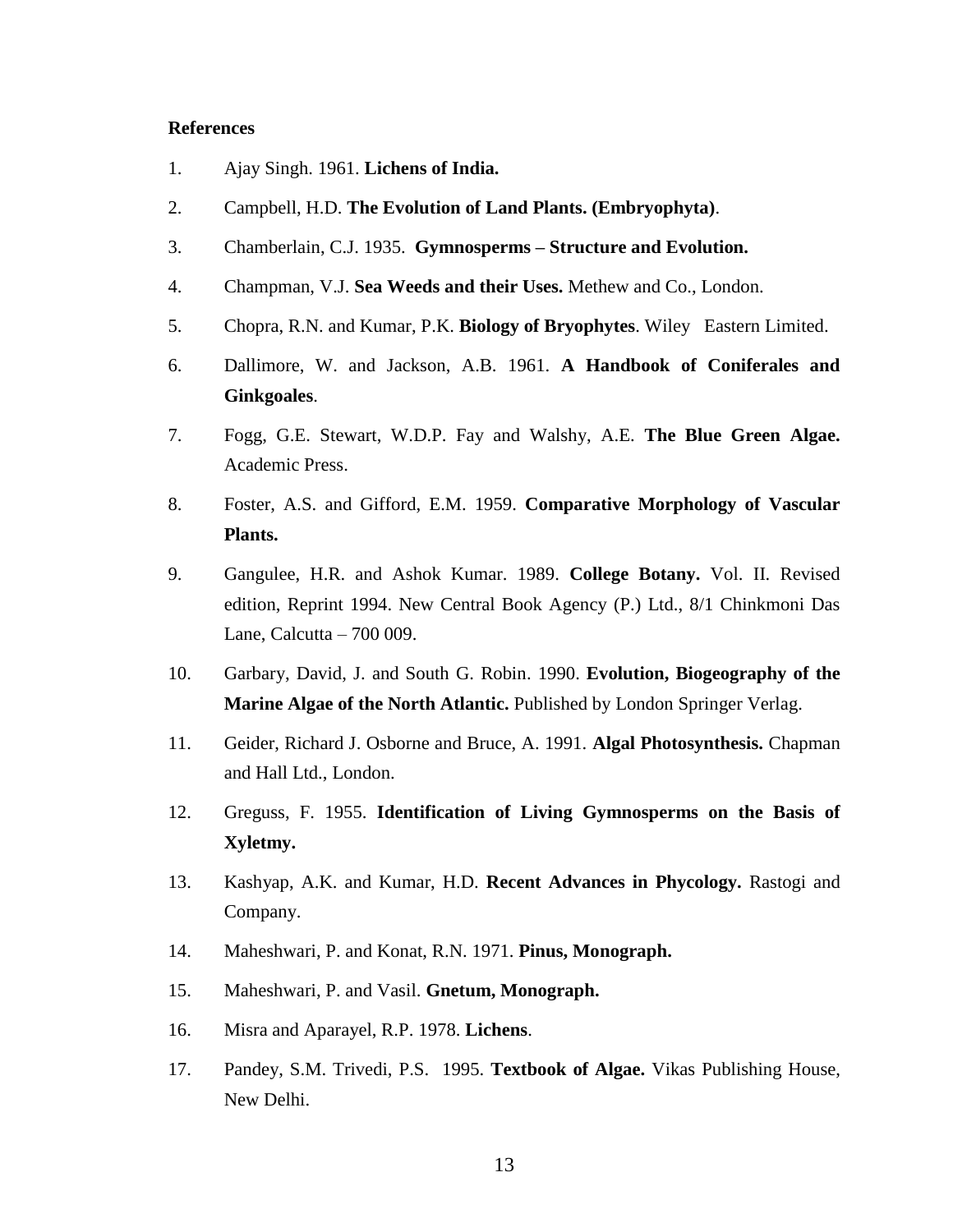- 1. Ajay Singh. 1961. **Lichens of India.**
- 2. Campbell, H.D. **The Evolution of Land Plants. (Embryophyta)**.
- 3. Chamberlain, C.J. 1935. **Gymnosperms – Structure and Evolution.**
- 4. Champman, V.J. **Sea Weeds and their Uses.** Methew and Co., London.
- 5. Chopra, R.N. and Kumar, P.K. **Biology of Bryophytes**. Wiley Eastern Limited.
- 6. Dallimore, W. and Jackson, A.B. 1961. **A Handbook of Coniferales and Ginkgoales**.
- 7. Fogg, G.E. Stewart, W.D.P. Fay and Walshy, A.E. **The Blue Green Algae.** Academic Press.
- 8. Foster, A.S. and Gifford, E.M. 1959. **Comparative Morphology of Vascular Plants.**
- 9. Gangulee, H.R. and Ashok Kumar. 1989. **College Botany.** Vol. II. Revised edition, Reprint 1994. New Central Book Agency (P.) Ltd., 8/1 Chinkmoni Das Lane, Calcutta – 700 009.
- 10. Garbary, David, J. and South G. Robin. 1990. **Evolution, Biogeography of the Marine Algae of the North Atlantic.** Published by London Springer Verlag.
- 11. Geider, Richard J. Osborne and Bruce, A. 1991. **Algal Photosynthesis.** Chapman and Hall Ltd., London.
- 12. Greguss, F. 1955. **Identification of Living Gymnosperms on the Basis of Xyletmy.**
- 13. Kashyap, A.K. and Kumar, H.D. **Recent Advances in Phycology.** Rastogi and Company.
- 14. Maheshwari, P. and Konat, R.N. 1971. **Pinus, Monograph.**
- 15. Maheshwari, P. and Vasil. **Gnetum, Monograph.**
- 16. Misra and Aparayel, R.P. 1978. **Lichens**.
- 17. Pandey, S.M. Trivedi, P.S. 1995. **Textbook of Algae.** Vikas Publishing House, New Delhi.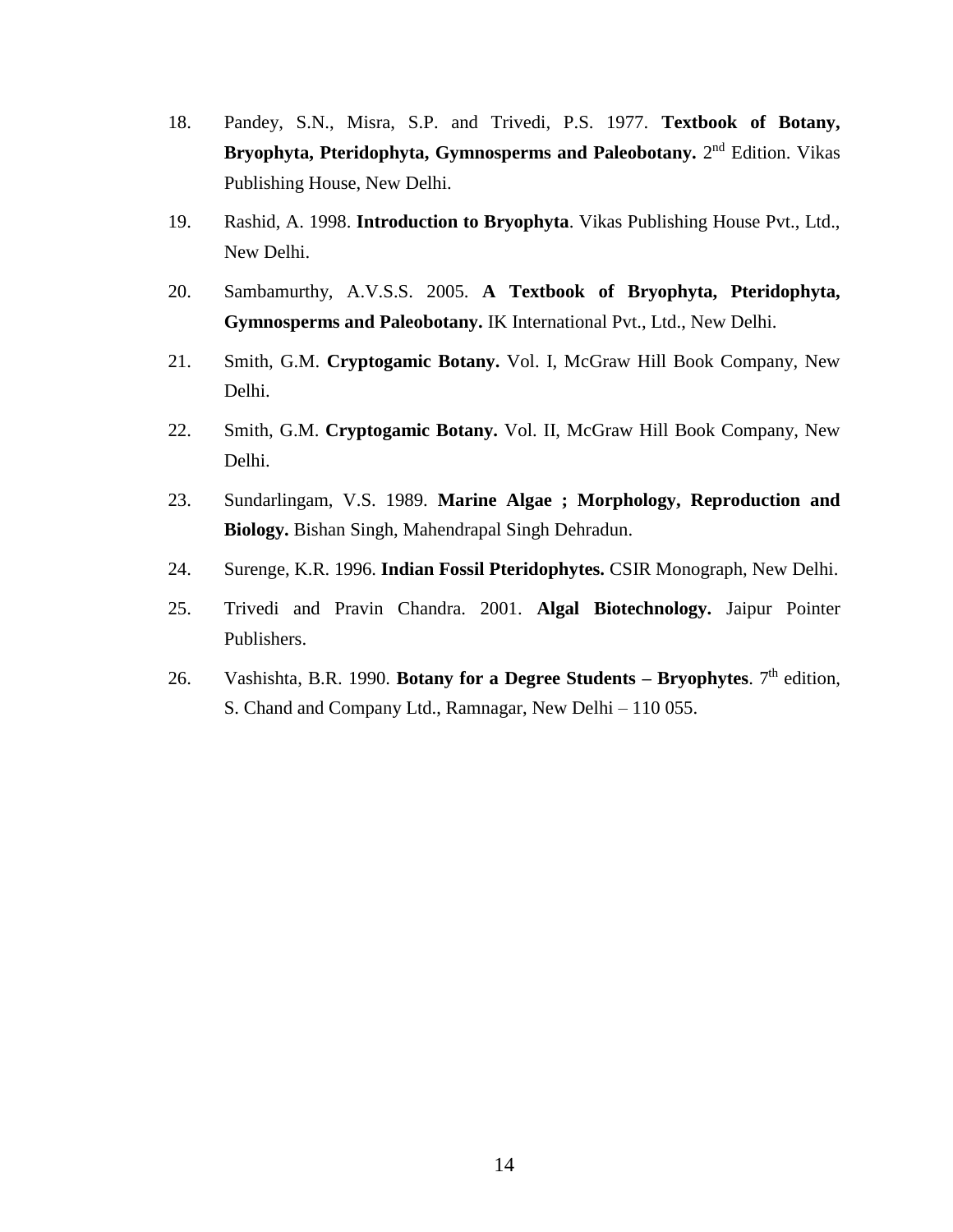- 18. Pandey, S.N., Misra, S.P. and Trivedi, P.S. 1977. **Textbook of Botany,**  Bryophyta, Pteridophyta, Gymnosperms and Paleobotany. 2<sup>nd</sup> Edition. Vikas Publishing House, New Delhi.
- 19. Rashid, A. 1998. **Introduction to Bryophyta**. Vikas Publishing House Pvt., Ltd., New Delhi.
- 20. Sambamurthy, A.V.S.S. 2005. **A Textbook of Bryophyta, Pteridophyta, Gymnosperms and Paleobotany.** IK International Pvt., Ltd., New Delhi.
- 21. Smith, G.M. **Cryptogamic Botany.** Vol. I, McGraw Hill Book Company, New Delhi.
- 22. Smith, G.M. **Cryptogamic Botany.** Vol. II, McGraw Hill Book Company, New Delhi.
- 23. Sundarlingam, V.S. 1989. **Marine Algae ; Morphology, Reproduction and Biology.** Bishan Singh, Mahendrapal Singh Dehradun.
- 24. Surenge, K.R. 1996. **Indian Fossil Pteridophytes.** CSIR Monograph, New Delhi.
- 25. Trivedi and Pravin Chandra. 2001. **Algal Biotechnology.** Jaipur Pointer Publishers.
- 26. Vashishta, B.R. 1990. **Botany for a Degree Students Bryophytes**.  $7<sup>th</sup>$  edition, S. Chand and Company Ltd., Ramnagar, New Delhi – 110 055.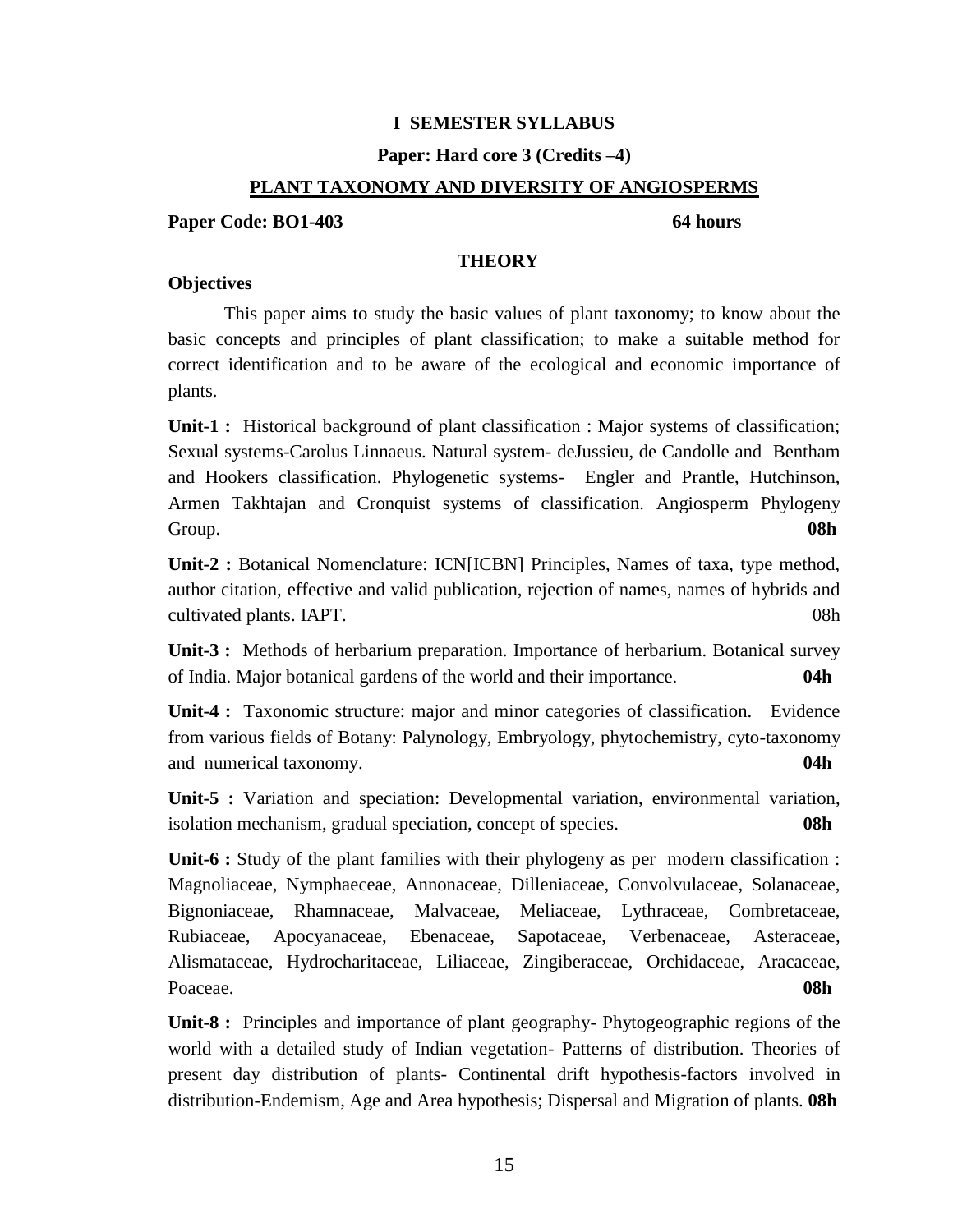## **I SEMESTER SYLLABUS**

## **Paper: Hard core 3 (Credits –4)**

## **PLANT TAXONOMY AND DIVERSITY OF ANGIOSPERMS**

## **Paper Code: BO1-403** 64 **hours**

## **THEORY**

## **Objectives**

This paper aims to study the basic values of plant taxonomy; to know about the basic concepts and principles of plant classification; to make a suitable method for correct identification and to be aware of the ecological and economic importance of plants.

**Unit-1 :** Historical background of plant classification : Major systems of classification; Sexual systems-Carolus Linnaeus. Natural system- deJussieu, de Candolle and Bentham and Hookers classification. Phylogenetic systems- Engler and Prantle, Hutchinson, Armen Takhtajan and Cronquist systems of classification. Angiosperm Phylogeny Group. **08h**

**Unit-2 :** Botanical Nomenclature: ICN[ICBN] Principles, Names of taxa, type method, author citation, effective and valid publication, rejection of names, names of hybrids and cultivated plants. IAPT. 08h

**Unit-3 :** Methods of herbarium preparation. Importance of herbarium. Botanical survey of India. Major botanical gardens of the world and their importance. **04h**

**Unit-4 :** Taxonomic structure: major and minor categories of classification. Evidence from various fields of Botany: Palynology, Embryology, phytochemistry, cyto-taxonomy and numerical taxonomy. **04h**

**Unit-5 :** Variation and speciation: Developmental variation, environmental variation, isolation mechanism, gradual speciation, concept of species. **08h**

**Unit-6 :** Study of the plant families with their phylogeny as per modern classification : Magnoliaceae, Nymphaeceae, Annonaceae, Dilleniaceae, Convolvulaceae, Solanaceae, Bignoniaceae, Rhamnaceae, Malvaceae, Meliaceae, Lythraceae, Combretaceae, Rubiaceae, Apocyanaceae, Ebenaceae, Sapotaceae, Verbenaceae, Asteraceae, Alismataceae, Hydrocharitaceae, Liliaceae, Zingiberaceae, Orchidaceae, Aracaceae, Poaceae. **08h**

**Unit-8 :** Principles and importance of plant geography- Phytogeographic regions of the world with a detailed study of Indian vegetation- Patterns of distribution. Theories of present day distribution of plants- Continental drift hypothesis-factors involved in distribution-Endemism, Age and Area hypothesis; Dispersal and Migration of plants. **08h**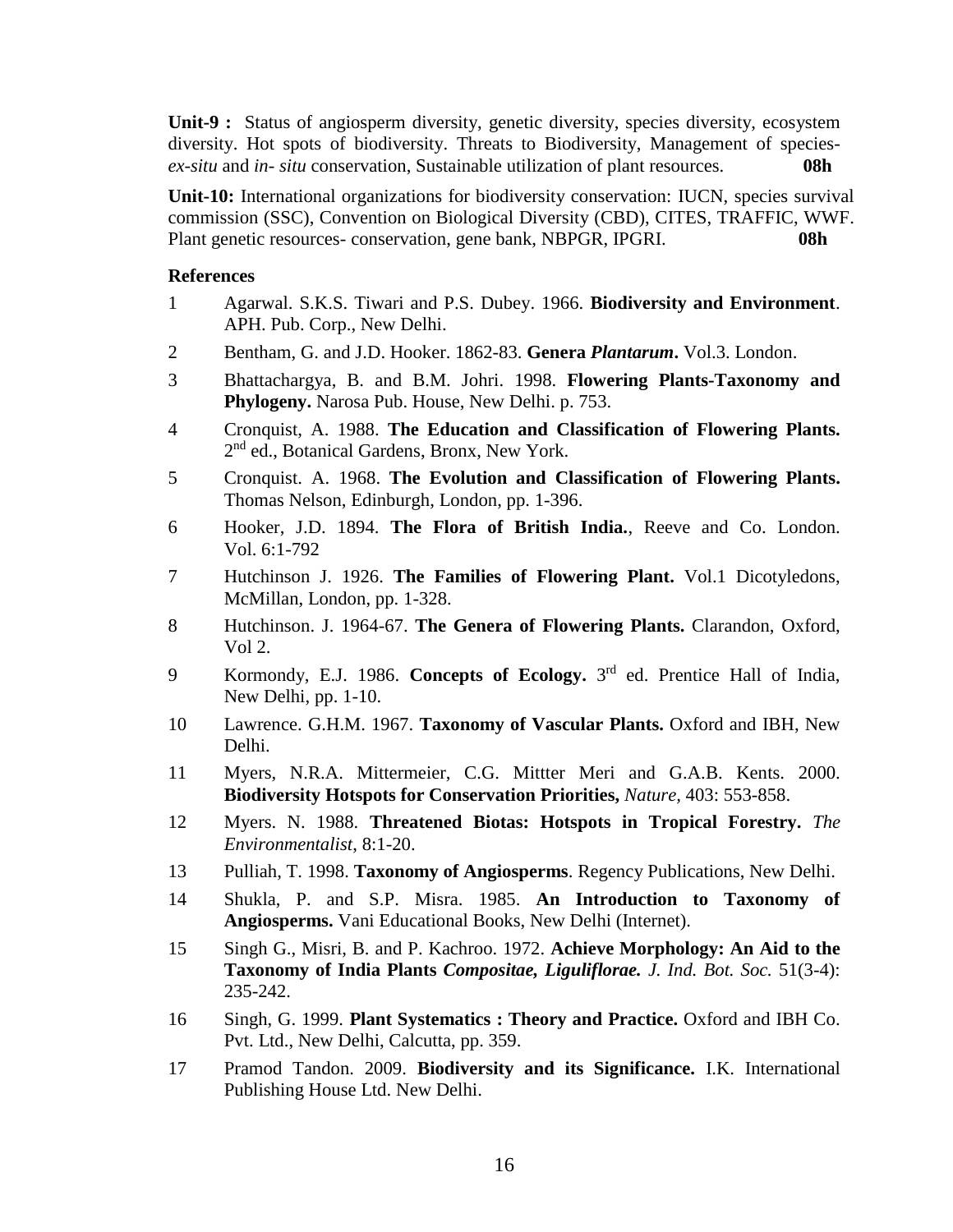**Unit-9 :** Status of angiosperm diversity, genetic diversity, species diversity, ecosystem diversity. Hot spots of biodiversity. Threats to Biodiversity, Management of species*ex-situ* and *in- situ* conservation, Sustainable utilization of plant resources. **08h**

**Unit-10:** International organizations for biodiversity conservation: IUCN, species survival commission (SSC), Convention on Biological Diversity (CBD), CITES, TRAFFIC, WWF. Plant genetic resources- conservation, gene bank, NBPGR, IPGRI. **08h**

- 1 Agarwal. S.K.S. Tiwari and P.S. Dubey. 1966. **Biodiversity and Environment**. APH. Pub. Corp., New Delhi.
- 2 Bentham, G. and J.D. Hooker. 1862-83. **Genera** *Plantarum***.** Vol.3. London.
- 3 Bhattachargya, B. and B.M. Johri. 1998. **Flowering Plants-Taxonomy and Phylogeny.** Narosa Pub. House, New Delhi. p. 753.
- 4 Cronquist, A. 1988. **The Education and Classification of Flowering Plants.** 2<sup>nd</sup> ed., Botanical Gardens, Bronx, New York.
- 5 Cronquist. A. 1968. **The Evolution and Classification of Flowering Plants.** Thomas Nelson, Edinburgh, London, pp. 1-396.
- 6 Hooker, J.D. 1894. **The Flora of British India.**, Reeve and Co. London. Vol. 6:1-792
- 7 Hutchinson J. 1926. **The Families of Flowering Plant.** Vol.1 Dicotyledons, McMillan, London, pp. 1-328.
- 8 Hutchinson. J. 1964-67. **The Genera of Flowering Plants.** Clarandon, Oxford, Vol 2.
- 9 Kormondy, E.J. 1986. **Concepts of Ecology.** 3<sup>rd</sup> ed. Prentice Hall of India, New Delhi, pp. 1-10.
- 10 Lawrence. G.H.M. 1967. **Taxonomy of Vascular Plants.** Oxford and IBH, New Delhi.
- 11 Myers, N.R.A. Mittermeier, C.G. Mittter Meri and G.A.B. Kents. 2000. **Biodiversity Hotspots for Conservation Priorities,** *Nature,* 403: 553-858.
- 12 Myers. N. 1988. **Threatened Biotas: Hotspots in Tropical Forestry.** *The Environmentalist*, 8:1-20.
- 13 Pulliah, T. 1998. **Taxonomy of Angiosperms**. Regency Publications, New Delhi.
- 14 Shukla, P. and S.P. Misra. 1985. **An Introduction to Taxonomy of Angiosperms.** Vani Educational Books, New Delhi (Internet).
- 15 Singh G., Misri, B. and P. Kachroo. 1972. **Achieve Morphology: An Aid to the Taxonomy of India Plants** *Compositae, Liguliflorae. J. Ind. Bot. Soc.* 51(3-4): 235-242.
- 16 Singh, G. 1999. **Plant Systematics : Theory and Practice.** Oxford and IBH Co. Pvt. Ltd., New Delhi, Calcutta, pp. 359.
- 17 Pramod Tandon. 2009. **Biodiversity and its Significance.** I.K. International Publishing House Ltd. New Delhi.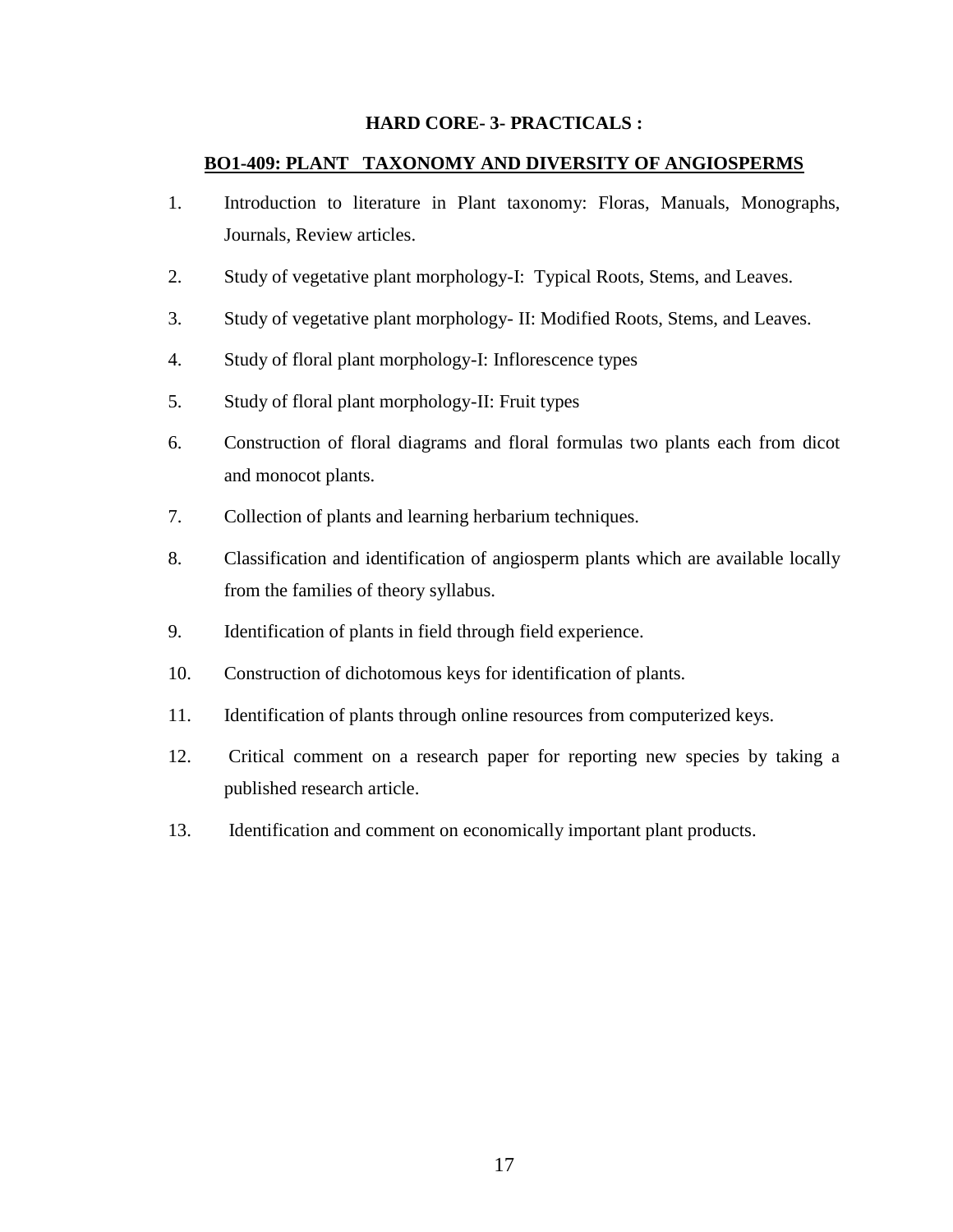## **HARD CORE- 3- PRACTICALS :**

## **BO1-409: PLANT TAXONOMY AND DIVERSITY OF ANGIOSPERMS**

- 1. Introduction to literature in Plant taxonomy: Floras, Manuals, Monographs, Journals, Review articles.
- 2. Study of vegetative plant morphology-I: Typical Roots, Stems, and Leaves.
- 3. Study of vegetative plant morphology- II: Modified Roots, Stems, and Leaves.
- 4. Study of floral plant morphology-I: Inflorescence types
- 5. Study of floral plant morphology-II: Fruit types
- 6. Construction of floral diagrams and floral formulas two plants each from dicot and monocot plants.
- 7. Collection of plants and learning herbarium techniques.
- 8. Classification and identification of angiosperm plants which are available locally from the families of theory syllabus.
- 9. Identification of plants in field through field experience.
- 10. Construction of dichotomous keys for identification of plants.
- 11. Identification of plants through online resources from computerized keys.
- 12. Critical comment on a research paper for reporting new species by taking a published research article.
- 13. Identification and comment on economically important plant products.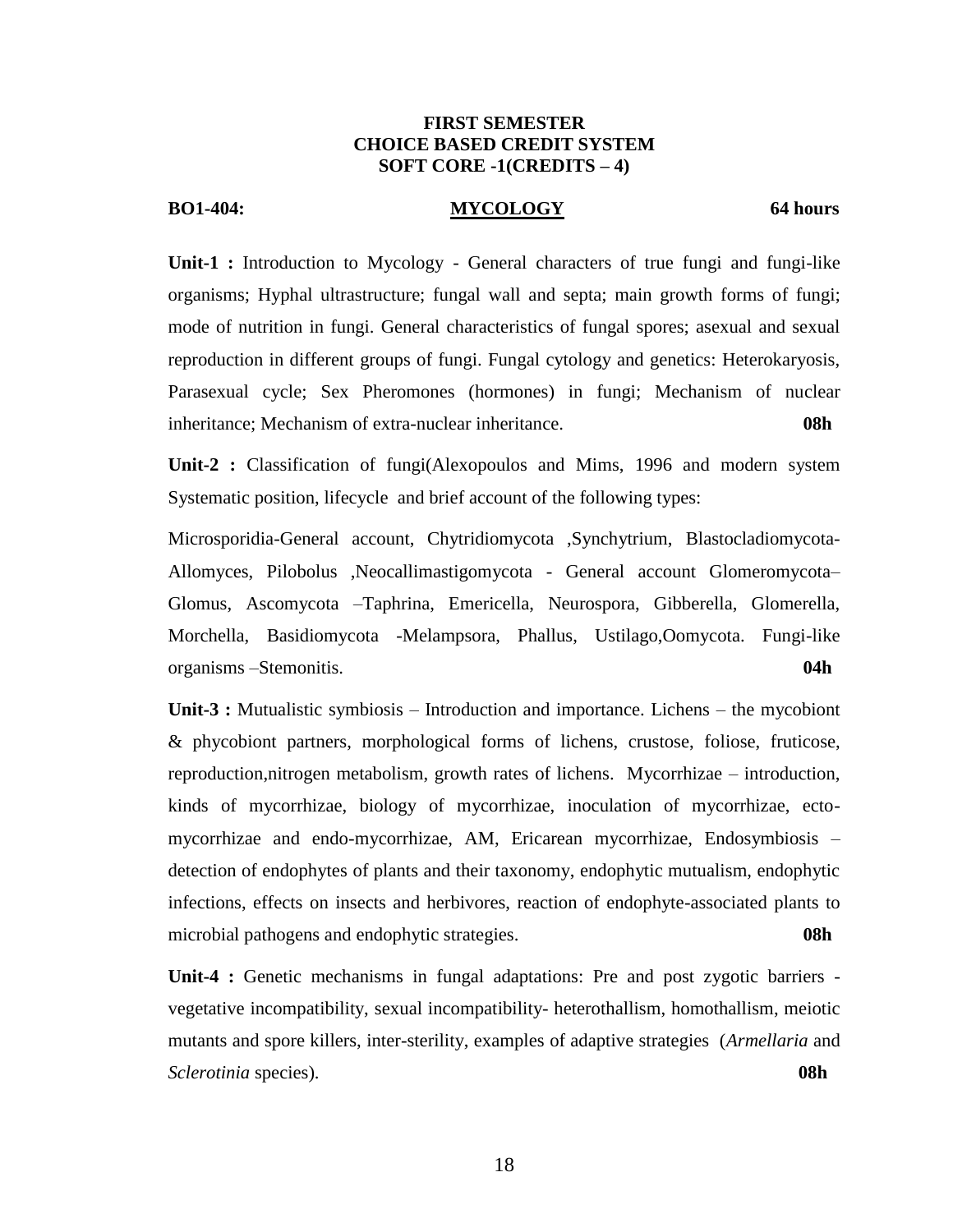## **FIRST SEMESTER CHOICE BASED CREDIT SYSTEM SOFT CORE -1(CREDITS – 4)**

## **BO1-404: MYCOLOGY 64 hours**

**Unit-1 :** Introduction to Mycology - General characters of true fungi and fungi-like organisms; Hyphal ultrastructure; fungal wall and septa; main growth forms of fungi; mode of nutrition in fungi. General characteristics of fungal spores; asexual and sexual reproduction in different groups of fungi. Fungal cytology and genetics: Heterokaryosis, Parasexual cycle; Sex Pheromones (hormones) in fungi; Mechanism of nuclear inheritance; Mechanism of extra-nuclear inheritance. **08h** 

**Unit-2 :** Classification of fungi(Alexopoulos and Mims, 1996 and modern system Systematic position, lifecycle and brief account of the following types:

Microsporidia-General account, Chytridiomycota ,Synchytrium, Blastocladiomycota-Allomyces, Pilobolus ,Neocallimastigomycota - General account Glomeromycota– Glomus, Ascomycota –Taphrina, Emericella, Neurospora, Gibberella, Glomerella, Morchella, Basidiomycota -Melampsora, Phallus, Ustilago,Oomycota. Fungi-like organisms –Stemonitis. **04h**

**Unit-3 :** Mutualistic symbiosis – Introduction and importance. Lichens – the mycobiont & phycobiont partners, morphological forms of lichens, crustose, foliose, fruticose, reproduction,nitrogen metabolism, growth rates of lichens. Mycorrhizae – introduction, kinds of mycorrhizae, biology of mycorrhizae, inoculation of mycorrhizae, ectomycorrhizae and endo-mycorrhizae, AM, Ericarean mycorrhizae, Endosymbiosis – detection of endophytes of plants and their taxonomy, endophytic mutualism, endophytic infections, effects on insects and herbivores, reaction of endophyte-associated plants to microbial pathogens and endophytic strategies. **08h**

**Unit-4 :** Genetic mechanisms in fungal adaptations: Pre and post zygotic barriers vegetative incompatibility, sexual incompatibility- heterothallism, homothallism, meiotic mutants and spore killers, inter-sterility, examples of adaptive strategies (*Armellaria* and *Sclerotinia* species). **08h**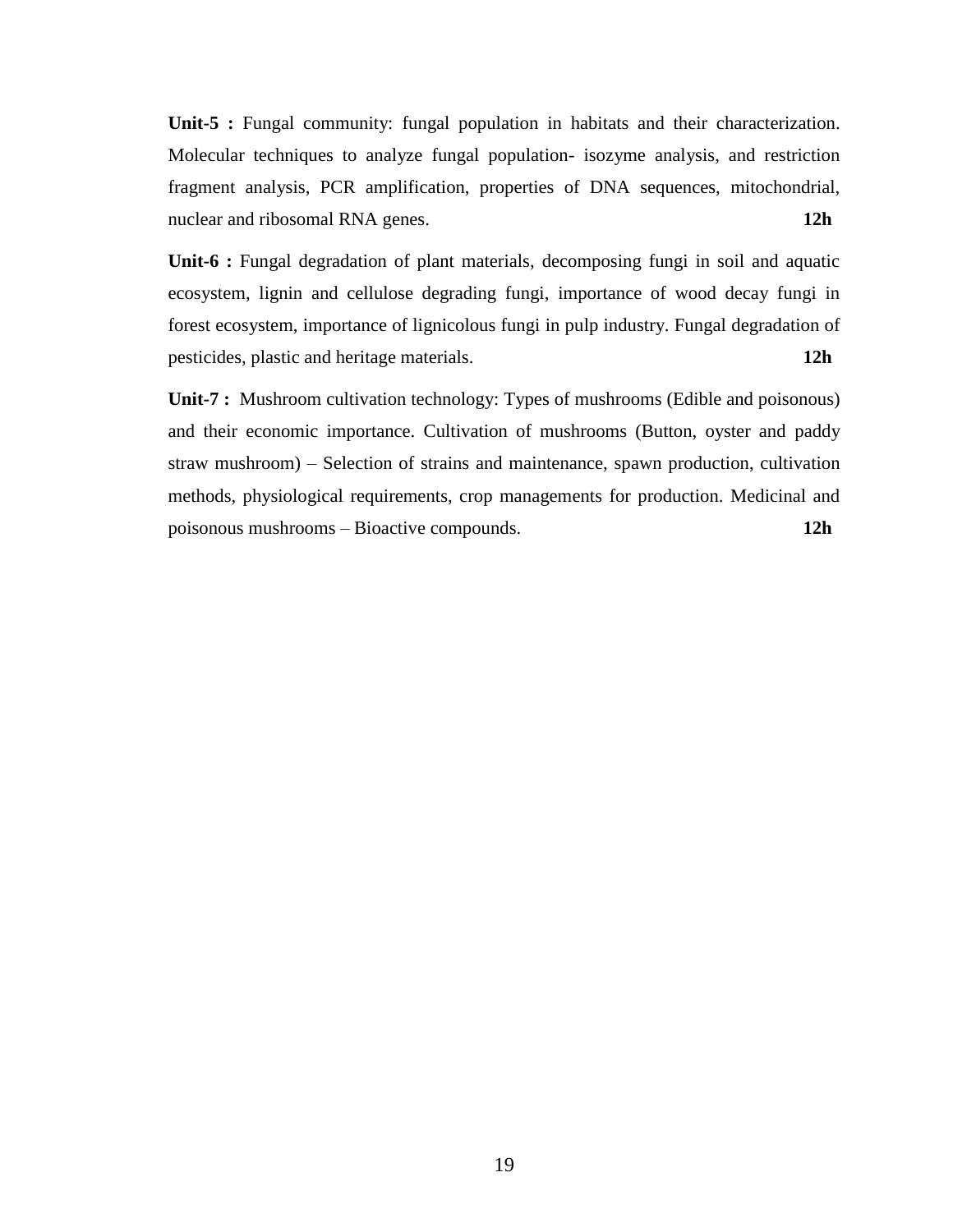**Unit-5 :** Fungal community: fungal population in habitats and their characterization. Molecular techniques to analyze fungal population- isozyme analysis, and restriction fragment analysis, PCR amplification, properties of DNA sequences, mitochondrial, nuclear and ribosomal RNA genes. **12h** 

**Unit-6 :** Fungal degradation of plant materials, decomposing fungi in soil and aquatic ecosystem, lignin and cellulose degrading fungi, importance of wood decay fungi in forest ecosystem, importance of lignicolous fungi in pulp industry. Fungal degradation of pesticides, plastic and heritage materials. **12h**

**Unit-7 :** Mushroom cultivation technology: Types of mushrooms (Edible and poisonous) and their economic importance. Cultivation of mushrooms (Button, oyster and paddy straw mushroom) – Selection of strains and maintenance, spawn production, cultivation methods, physiological requirements, crop managements for production. Medicinal and poisonous mushrooms – Bioactive compounds. **12h**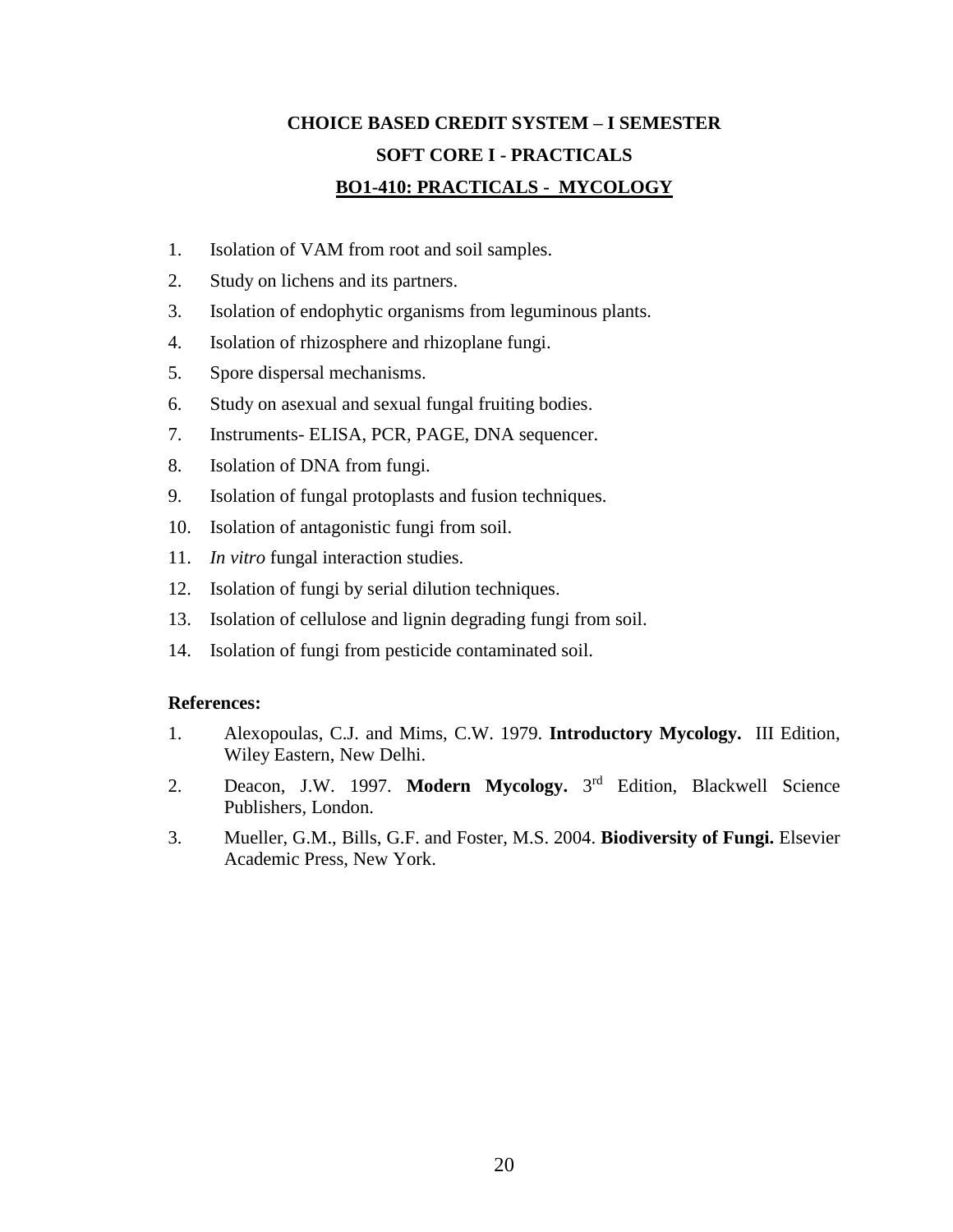# **CHOICE BASED CREDIT SYSTEM – I SEMESTER SOFT CORE I - PRACTICALS BO1-410: PRACTICALS - MYCOLOGY**

- 1. Isolation of VAM from root and soil samples.
- 2. Study on lichens and its partners.
- 3. Isolation of endophytic organisms from leguminous plants.
- 4. Isolation of rhizosphere and rhizoplane fungi.
- 5. Spore dispersal mechanisms.
- 6. Study on asexual and sexual fungal fruiting bodies.
- 7. Instruments- ELISA, PCR, PAGE, DNA sequencer.
- 8. Isolation of DNA from fungi.
- 9. Isolation of fungal protoplasts and fusion techniques.
- 10. Isolation of antagonistic fungi from soil.
- 11. *In vitro* fungal interaction studies.
- 12. Isolation of fungi by serial dilution techniques.
- 13. Isolation of cellulose and lignin degrading fungi from soil.
- 14. Isolation of fungi from pesticide contaminated soil.

- 1. Alexopoulas, C.J. and Mims, C.W. 1979. **Introductory Mycology.** III Edition, Wiley Eastern, New Delhi.
- 2. Deacon, J.W. 1997. **Modern Mycology.** 3 rd Edition, Blackwell Science Publishers, London.
- 3. Mueller, G.M., Bills, G.F. and Foster, M.S. 2004. **Biodiversity of Fungi.** Elsevier Academic Press, New York.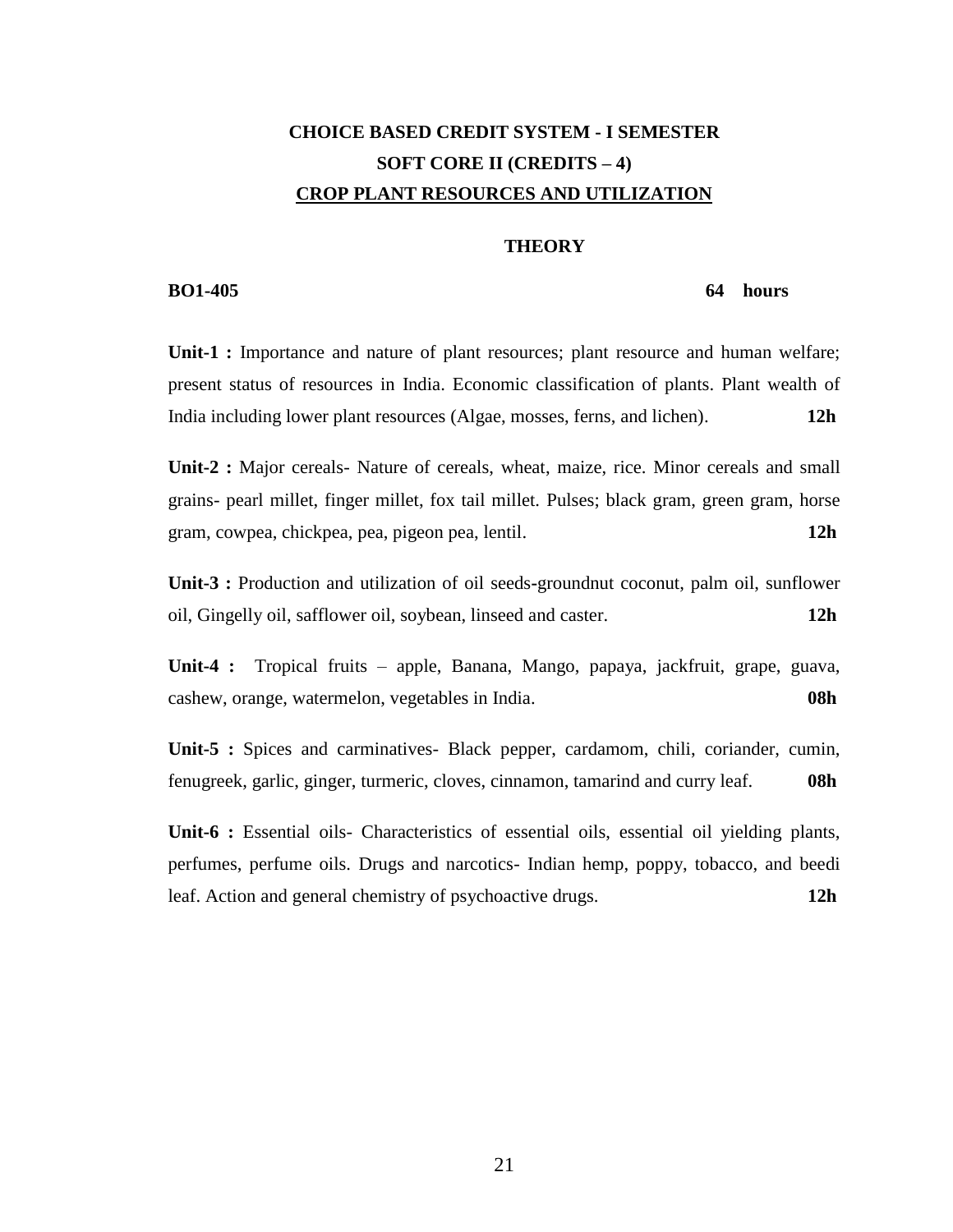# **CHOICE BASED CREDIT SYSTEM - I SEMESTER SOFT CORE II (CREDITS – 4) CROP PLANT RESOURCES AND UTILIZATION**

### **THEORY**

### **BO1-405** 64 hours

**Unit-1 :** Importance and nature of plant resources; plant resource and human welfare; present status of resources in India. Economic classification of plants. Plant wealth of India including lower plant resources (Algae, mosses, ferns, and lichen). **12h**

**Unit-2 :** Major cereals- Nature of cereals, wheat, maize, rice. Minor cereals and small grains- pearl millet, finger millet, fox tail millet. Pulses; black gram, green gram, horse gram, cowpea, chickpea, pea, pigeon pea, lentil. **12h** 

**Unit-3 :** Production and utilization of oil seeds**-**groundnut coconut, palm oil, sunflower oil, Gingelly oil, safflower oil, soybean, linseed and caster. **12h**

**Unit-4 :** Tropical fruits – apple, Banana, Mango, papaya, jackfruit, grape, guava, cashew, orange, watermelon, vegetables in India. **08h**

**Unit-5 :** Spices and carminatives- Black pepper, cardamom, chili, coriander, cumin, fenugreek, garlic, ginger, turmeric, cloves, cinnamon, tamarind and curry leaf. **08h**

**Unit-6 :** Essential oils- Characteristics of essential oils, essential oil yielding plants, perfumes, perfume oils. Drugs and narcotics- Indian hemp, poppy, tobacco, and beedi leaf. Action and general chemistry of psychoactive drugs. **12h**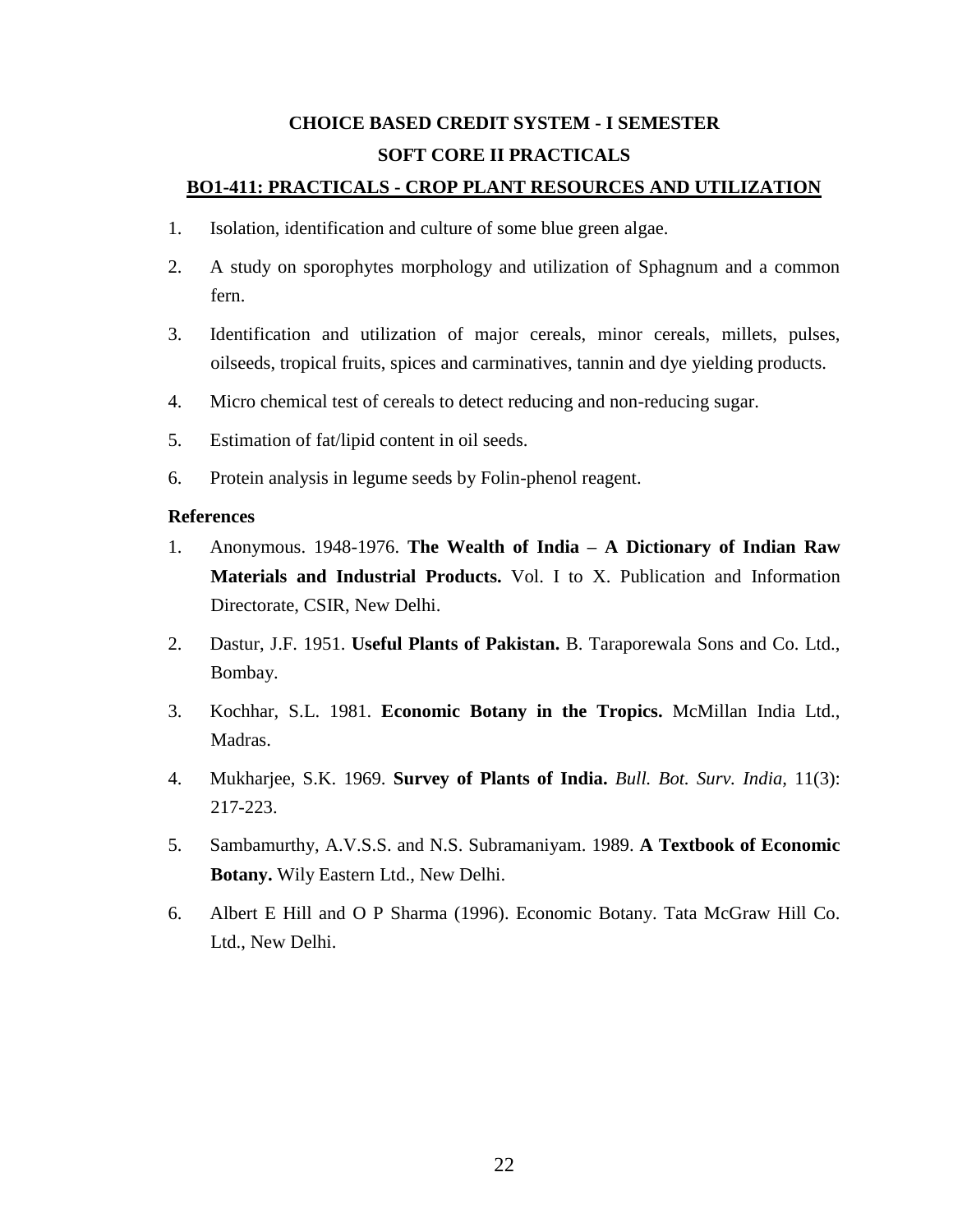# **CHOICE BASED CREDIT SYSTEM - I SEMESTER SOFT CORE II PRACTICALS**

## **BO1-411: PRACTICALS - CROP PLANT RESOURCES AND UTILIZATION**

- 1. Isolation, identification and culture of some blue green algae.
- 2. A study on sporophytes morphology and utilization of Sphagnum and a common fern.
- 3. Identification and utilization of major cereals, minor cereals, millets, pulses, oilseeds, tropical fruits, spices and carminatives, tannin and dye yielding products.
- 4. Micro chemical test of cereals to detect reducing and non-reducing sugar.
- 5. Estimation of fat/lipid content in oil seeds.
- 6. Protein analysis in legume seeds by Folin-phenol reagent.

- 1. Anonymous. 1948-1976. **The Wealth of India – A Dictionary of Indian Raw Materials and Industrial Products.** Vol. I to X. Publication and Information Directorate, CSIR, New Delhi.
- 2. Dastur, J.F. 1951. **Useful Plants of Pakistan.** B. Taraporewala Sons and Co. Ltd., Bombay.
- 3. Kochhar, S.L. 1981. **Economic Botany in the Tropics.** McMillan India Ltd., Madras.
- 4. Mukharjee, S.K. 1969. **Survey of Plants of India.** *Bull. Bot. Surv. India,* 11(3): 217-223.
- 5. Sambamurthy, A.V.S.S. and N.S. Subramaniyam. 1989. **A Textbook of Economic Botany.** Wily Eastern Ltd., New Delhi.
- 6. Albert E Hill and O P Sharma (1996). Economic Botany. Tata McGraw Hill Co. Ltd., New Delhi.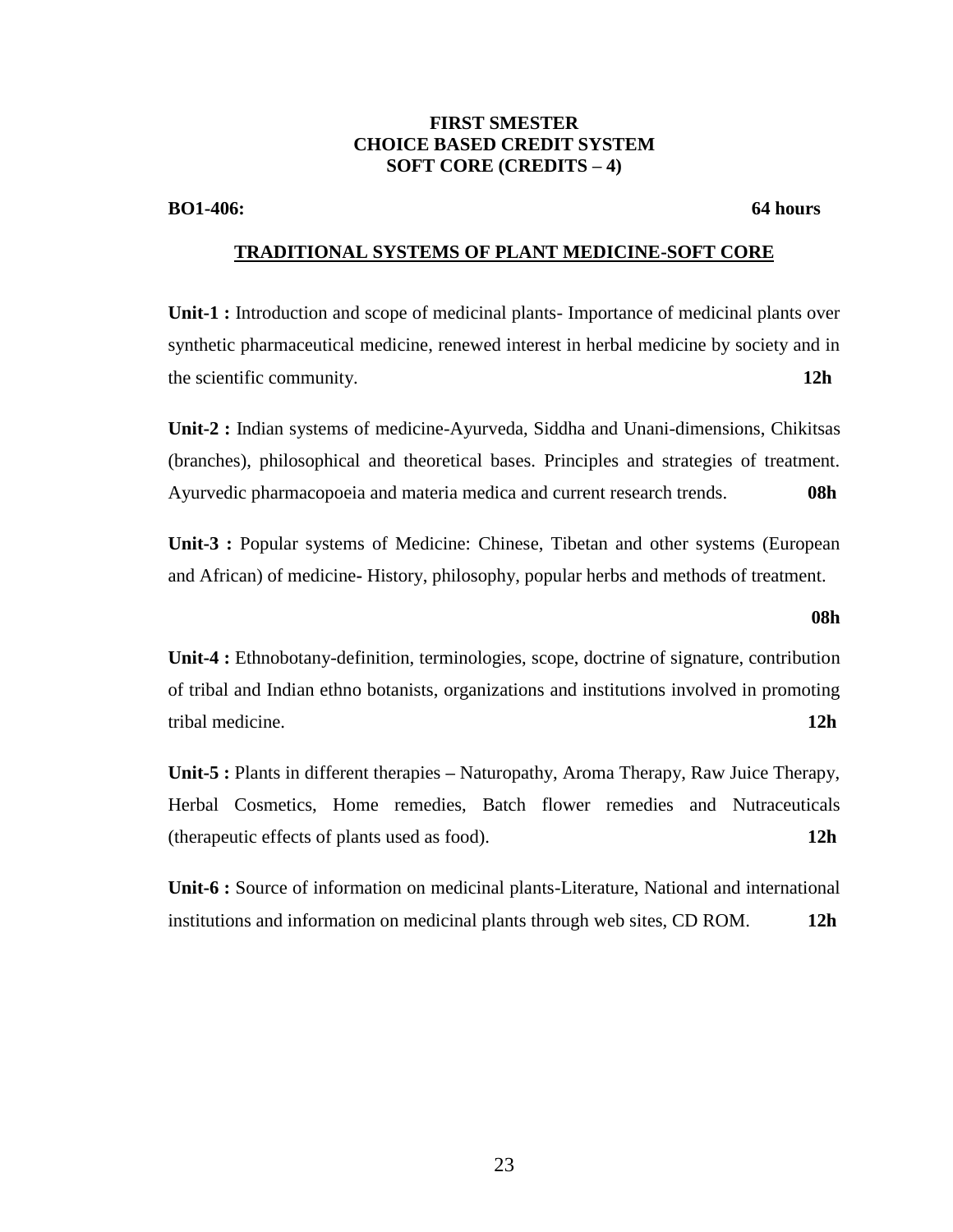## **FIRST SMESTER CHOICE BASED CREDIT SYSTEM SOFT CORE (CREDITS – 4)**

**BO1-406:** 64 hours

## **TRADITIONAL SYSTEMS OF PLANT MEDICINE-SOFT CORE**

**Unit-1 :** Introduction and scope of medicinal plants- Importance of medicinal plants over synthetic pharmaceutical medicine, renewed interest in herbal medicine by society and in the scientific community. **12h**

**Unit-2 :** Indian systems of medicine-Ayurveda, Siddha and Unani-dimensions, Chikitsas (branches), philosophical and theoretical bases. Principles and strategies of treatment. Ayurvedic pharmacopoeia and materia medica and current research trends. **08h**

**Unit-3 :** Popular systems of Medicine: Chinese, Tibetan and other systems (European and African) of medicine**-** History, philosophy, popular herbs and methods of treatment.

### **08h**

**Unit-4 :** Ethnobotany-definition, terminologies, scope, doctrine of signature, contribution of tribal and Indian ethno botanists, organizations and institutions involved in promoting tribal medicine. **12h**

**Unit-5 :** Plants in different therapies **–** Naturopathy, Aroma Therapy, Raw Juice Therapy, Herbal Cosmetics, Home remedies, Batch flower remedies and Nutraceuticals (therapeutic effects of plants used as food). **12h**

**Unit-6 :** Source of information on medicinal plants-Literature, National and international institutions and information on medicinal plants through web sites, CD ROM. **12h**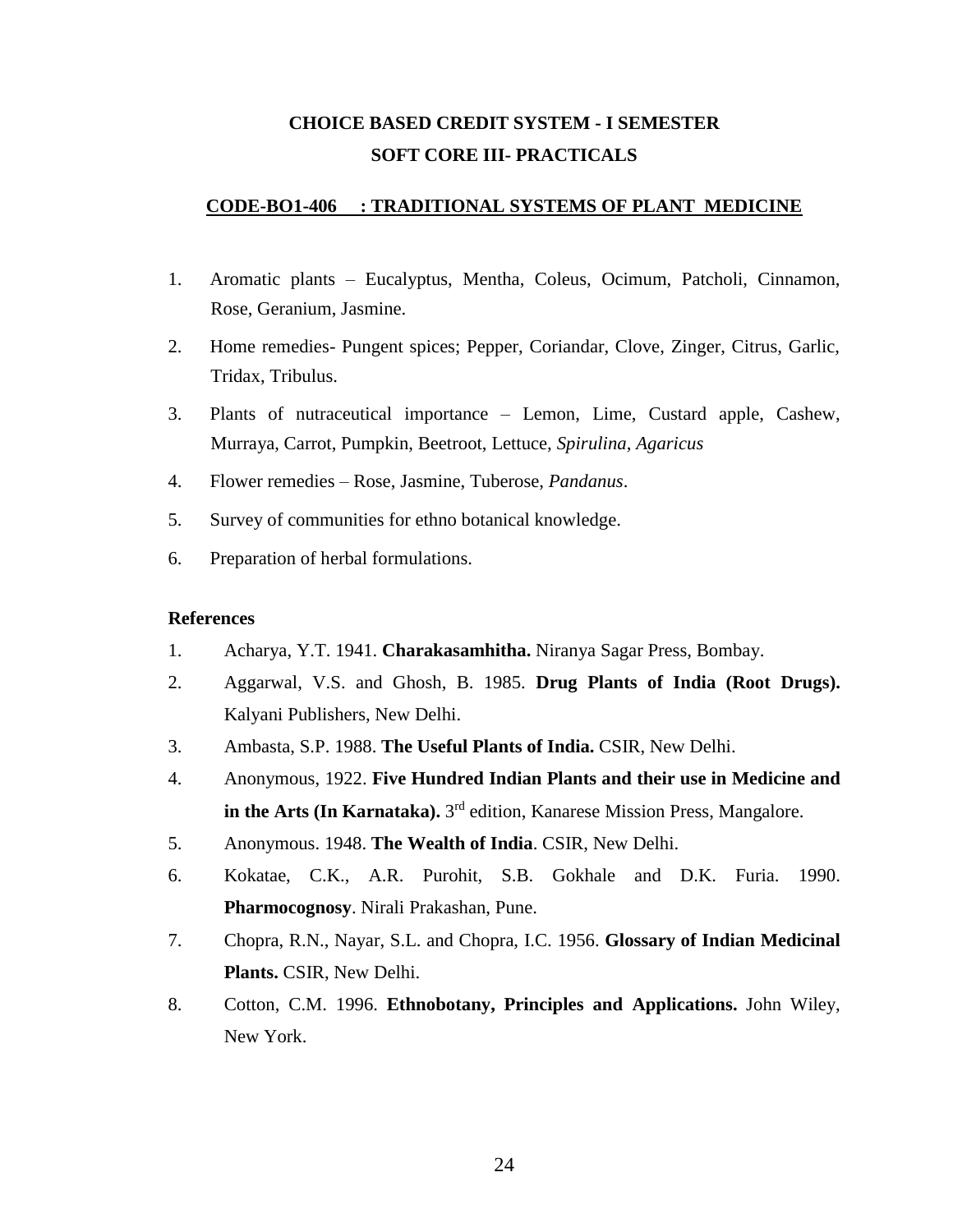## **CHOICE BASED CREDIT SYSTEM - I SEMESTER SOFT CORE III- PRACTICALS**

## **CODE-BO1-406 : TRADITIONAL SYSTEMS OF PLANT MEDICINE**

- 1. Aromatic plants Eucalyptus, Mentha, Coleus, Ocimum, Patcholi, Cinnamon, Rose, Geranium, Jasmine.
- 2. Home remedies- Pungent spices; Pepper, Coriandar, Clove, Zinger, Citrus, Garlic, Tridax, Tribulus.
- 3. Plants of nutraceutical importance Lemon, Lime, Custard apple, Cashew, Murraya, Carrot, Pumpkin, Beetroot, Lettuce, *Spirulina*, *Agaricus*
- 4. Flower remedies Rose, Jasmine, Tuberose, *Pandanus*.
- 5. Survey of communities for ethno botanical knowledge.
- 6. Preparation of herbal formulations.

- 1. Acharya, Y.T. 1941. **Charakasamhitha.** Niranya Sagar Press, Bombay.
- 2. Aggarwal, V.S. and Ghosh, B. 1985. **Drug Plants of India (Root Drugs).** Kalyani Publishers, New Delhi.
- 3. Ambasta, S.P. 1988. **The Useful Plants of India.** CSIR, New Delhi.
- 4. Anonymous, 1922. **Five Hundred Indian Plants and their use in Medicine and in the Arts (In Karnataka).** 3 rd edition, Kanarese Mission Press, Mangalore.
- 5. Anonymous. 1948. **The Wealth of India**. CSIR, New Delhi.
- 6. Kokatae, C.K., A.R. Purohit, S.B. Gokhale and D.K. Furia. 1990. **Pharmocognosy**. Nirali Prakashan, Pune.
- 7. Chopra, R.N., Nayar, S.L. and Chopra, I.C. 1956. **Glossary of Indian Medicinal Plants.** CSIR, New Delhi.
- 8. Cotton, C.M. 1996. **Ethnobotany, Principles and Applications.** John Wiley, New York.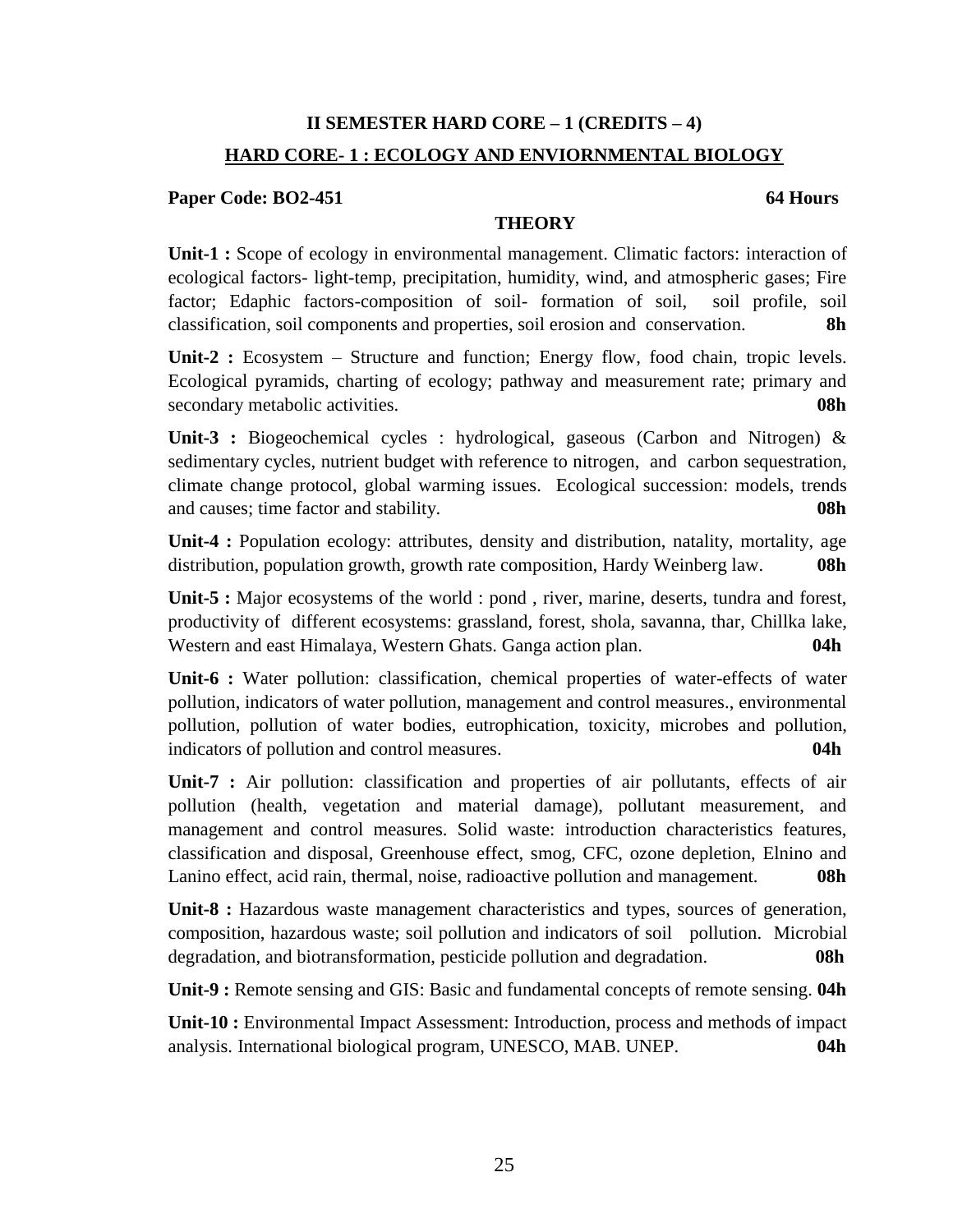## **II SEMESTER HARD CORE – 1 (CREDITS – 4) HARD CORE- 1 : ECOLOGY AND ENVIORNMENTAL BIOLOGY**

## **Paper Code: BO2-451** 64 **Hours**

## **THEORY**

**Unit-1 :** Scope of ecology in environmental management. Climatic factors: interaction of ecological factors- light-temp, precipitation, humidity, wind, and atmospheric gases; Fire factor; Edaphic factors-composition of soil- formation of soil, soil profile, soil classification, soil components and properties, soil erosion and conservation. **8h**

Unit-2 : Ecosystem – Structure and function; Energy flow, food chain, tropic levels. Ecological pyramids, charting of ecology; pathway and measurement rate; primary and secondary metabolic activities. **08h**

**Unit-3 :** Biogeochemical cycles : hydrological, gaseous (Carbon and Nitrogen) & sedimentary cycles, nutrient budget with reference to nitrogen, and carbon sequestration, climate change protocol, global warming issues. Ecological succession: models, trends and causes; time factor and stability. **08h**

**Unit-4 :** Population ecology: attributes, density and distribution, natality, mortality, age distribution, population growth, growth rate composition, Hardy Weinberg law. **08h**

Unit-5 : Major ecosystems of the world : pond, river, marine, deserts, tundra and forest, productivity of different ecosystems: grassland, forest, shola, savanna, thar, Chillka lake, Western and east Himalaya, Western Ghats. Ganga action plan. **04h** 

**Unit-6 :** Water pollution: classification, chemical properties of water-effects of water pollution, indicators of water pollution, management and control measures., environmental pollution, pollution of water bodies, eutrophication, toxicity, microbes and pollution, indicators of pollution and control measures. **04h**

**Unit-7 :** Air pollution: classification and properties of air pollutants, effects of air pollution (health, vegetation and material damage), pollutant measurement, and management and control measures. Solid waste: introduction characteristics features, classification and disposal, Greenhouse effect, smog, CFC, ozone depletion, Elnino and Lanino effect, acid rain, thermal, noise, radioactive pollution and management. **08h**

**Unit-8 :** Hazardous waste management characteristics and types, sources of generation, composition, hazardous waste; soil pollution and indicators of soil pollution. Microbial degradation, and biotransformation, pesticide pollution and degradation. **08h**

**Unit-9 :** Remote sensing and GIS: Basic and fundamental concepts of remote sensing. **04h**

**Unit-10 :** Environmental Impact Assessment: Introduction, process and methods of impact analysis. International biological program, UNESCO, MAB. UNEP. **04h**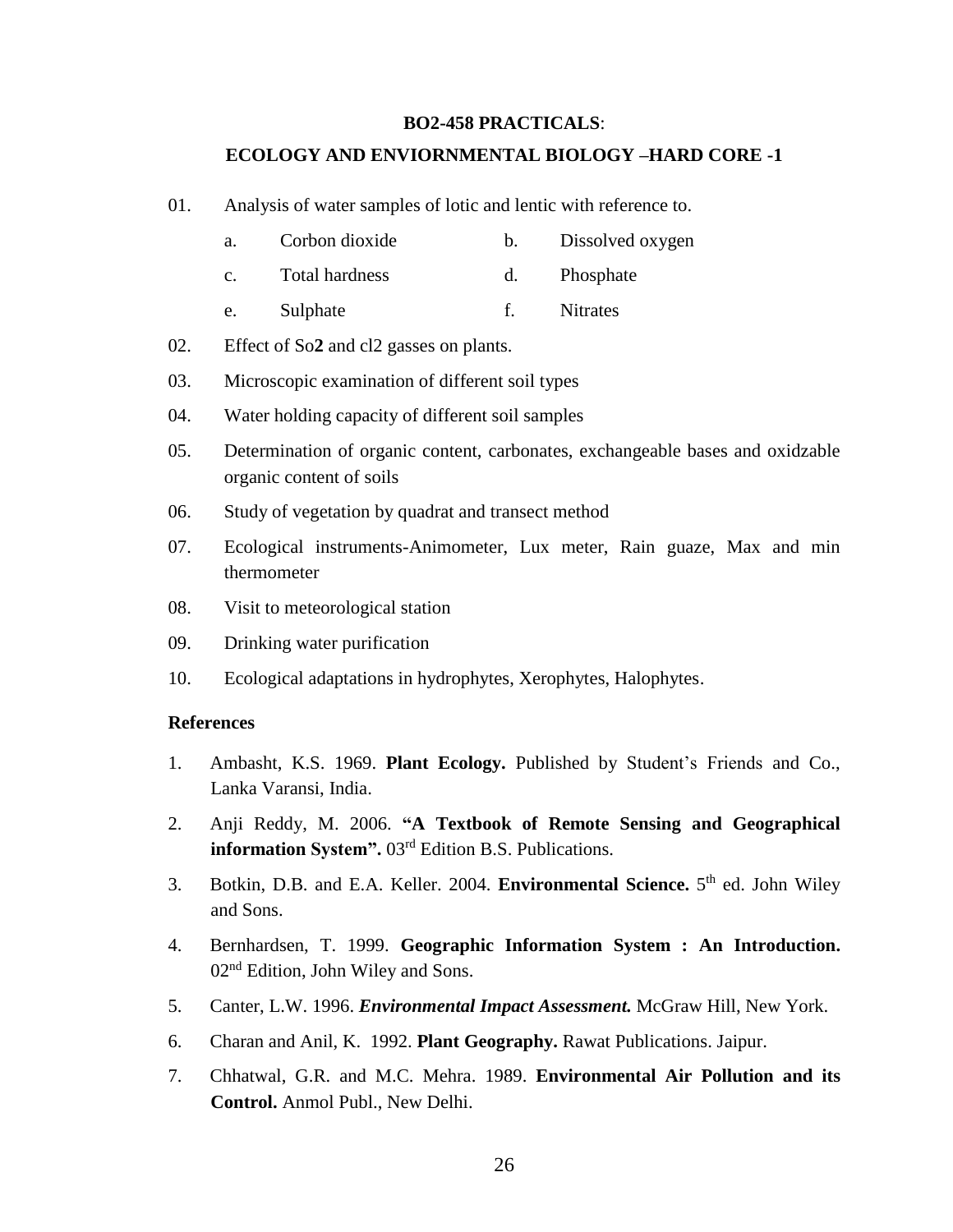## **BO2-458 PRACTICALS**:

## **ECOLOGY AND ENVIORNMENTAL BIOLOGY –HARD CORE -1**

- 01. Analysis of water samples of lotic and lentic with reference to.
	- a. Corbon dioxide b. Dissolved oxygen
	- c. Total hardness d. Phosphate
	- e. Sulphate f. Nitrates
- 02. Effect of So**2** and cl2 gasses on plants.
- 03. Microscopic examination of different soil types
- 04. Water holding capacity of different soil samples
- 05. Determination of organic content, carbonates, exchangeable bases and oxidzable organic content of soils
- 06. Study of vegetation by quadrat and transect method
- 07. Ecological instruments-Animometer, Lux meter, Rain guaze, Max and min thermometer
- 08. Visit to meteorological station
- 09. Drinking water purification
- 10. Ecological adaptations in hydrophytes, Xerophytes, Halophytes.

- 1. Ambasht, K.S. 1969. **Plant Ecology.** Published by Student's Friends and Co., Lanka Varansi, India.
- 2. Anji Reddy, M. 2006. **"A Textbook of Remote Sensing and Geographical information System".** 03rd Edition B.S. Publications.
- 3. Botkin, D.B. and E.A. Keller. 2004. **Environmental Science.** 5<sup>th</sup> ed. John Wiley and Sons.
- 4. Bernhardsen, T. 1999. **Geographic Information System : An Introduction.**  02nd Edition, John Wiley and Sons.
- 5. Canter, L.W. 1996. *Environmental Impact Assessment.* McGraw Hill, New York.
- 6. Charan and Anil, K. 1992. **Plant Geography.** Rawat Publications. Jaipur.
- 7. Chhatwal, G.R. and M.C. Mehra. 1989. **Environmental Air Pollution and its Control.** Anmol Publ., New Delhi.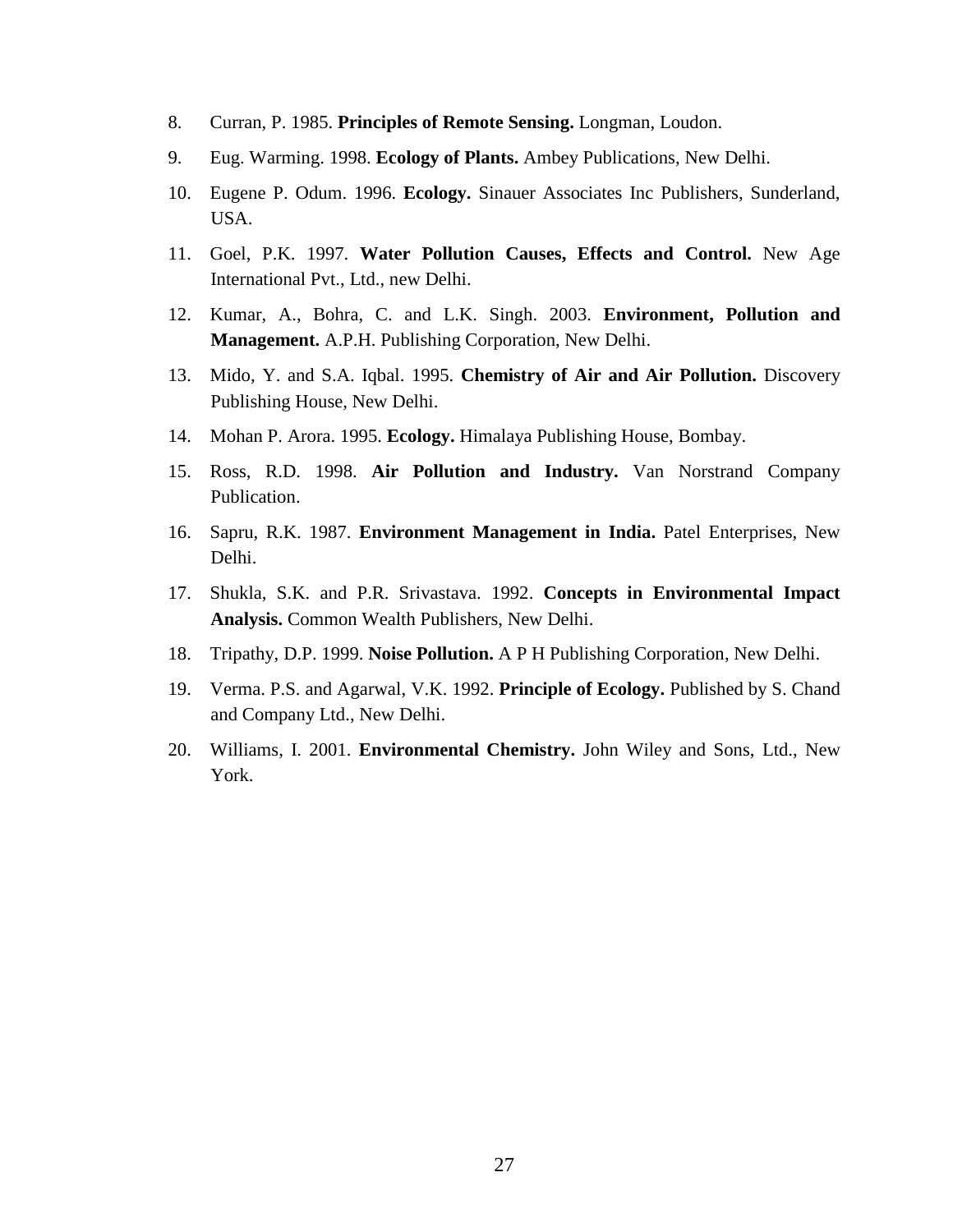- 8. Curran, P. 1985. **Principles of Remote Sensing.** Longman, Loudon.
- 9. Eug. Warming. 1998. **Ecology of Plants.** Ambey Publications, New Delhi.
- 10. Eugene P. Odum. 1996. **Ecology.** Sinauer Associates Inc Publishers, Sunderland, USA.
- 11. Goel, P.K. 1997. **Water Pollution Causes, Effects and Control.** New Age International Pvt., Ltd., new Delhi.
- 12. Kumar, A., Bohra, C. and L.K. Singh. 2003. **Environment, Pollution and Management.** A.P.H. Publishing Corporation, New Delhi.
- 13. Mido, Y. and S.A. Iqbal. 1995. **Chemistry of Air and Air Pollution.** Discovery Publishing House, New Delhi.
- 14. Mohan P. Arora. 1995. **Ecology.** Himalaya Publishing House, Bombay.
- 15. Ross, R.D. 1998. **Air Pollution and Industry.** Van Norstrand Company Publication.
- 16. Sapru, R.K. 1987. **Environment Management in India.** Patel Enterprises, New Delhi.
- 17. Shukla, S.K. and P.R. Srivastava. 1992. **Concepts in Environmental Impact Analysis.** Common Wealth Publishers, New Delhi.
- 18. Tripathy, D.P. 1999. **Noise Pollution.** A P H Publishing Corporation, New Delhi.
- 19. Verma. P.S. and Agarwal, V.K. 1992. **Principle of Ecology.** Published by S. Chand and Company Ltd., New Delhi.
- 20. Williams, I. 2001. **Environmental Chemistry.** John Wiley and Sons, Ltd., New York.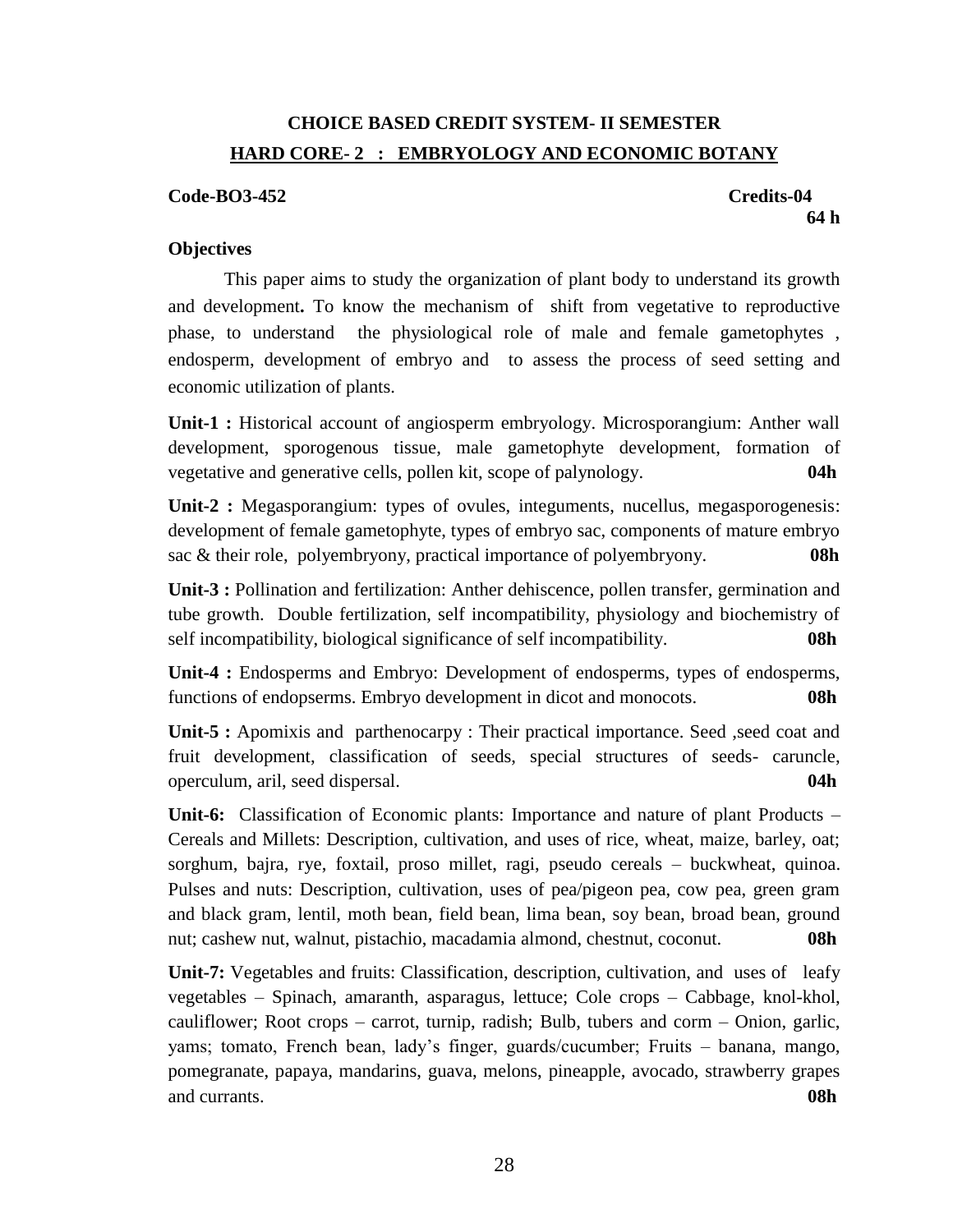## **CHOICE BASED CREDIT SYSTEM- II SEMESTER HARD CORE- 2 : EMBRYOLOGY AND ECONOMIC BOTANY**

## **Code-BO3-452 Credits-04**

**64 h** 

## **Objectives**

This paper aims to study the organization of plant body to understand its growth and development**.** To know the mechanism of shift from vegetative to reproductive phase, to understand the physiological role of male and female gametophytes , endosperm, development of embryo and to assess the process of seed setting and economic utilization of plants.

**Unit-1 :** Historical account of angiosperm embryology. Microsporangium: Anther wall development, sporogenous tissue, male gametophyte development, formation of vegetative and generative cells, pollen kit, scope of palynology. **04h**

**Unit-2 :** Megasporangium: types of ovules, integuments, nucellus, megasporogenesis: development of female gametophyte, types of embryo sac, components of mature embryo sac & their role, polyembryony, practical importance of polyembryony. **08h**

**Unit-3 :** Pollination and fertilization: Anther dehiscence, pollen transfer, germination and tube growth. Double fertilization, self incompatibility, physiology and biochemistry of self incompatibility, biological significance of self incompatibility. **08h**

**Unit-4 :** Endosperms and Embryo: Development of endosperms, types of endosperms, functions of endopserms. Embryo development in dicot and monocots. **08h**

**Unit-5 :** Apomixis and parthenocarpy : Their practical importance. Seed ,seed coat and fruit development, classification of seeds, special structures of seeds- caruncle, operculum, aril, seed dispersal. **04h**

**Unit-6:** Classification of Economic plants: Importance and nature of plant Products – Cereals and Millets: Description, cultivation, and uses of rice, wheat, maize, barley, oat; sorghum, bajra, rye, foxtail, proso millet, ragi, pseudo cereals – buckwheat, quinoa. Pulses and nuts: Description, cultivation, uses of pea/pigeon pea, cow pea, green gram and black gram, lentil, moth bean, field bean, lima bean, soy bean, broad bean, ground nut; cashew nut, walnut, pistachio, macadamia almond, chestnut, coconut. **08h**

**Unit-7:** Vegetables and fruits: Classification, description, cultivation, and uses of leafy vegetables – Spinach, amaranth, asparagus, lettuce; Cole crops – Cabbage, knol-khol, cauliflower; Root crops – carrot, turnip, radish; Bulb, tubers and corm – Onion, garlic, yams; tomato, French bean, lady's finger, guards/cucumber; Fruits – banana, mango, pomegranate, papaya, mandarins, guava, melons, pineapple, avocado, strawberry grapes and currants. **08h**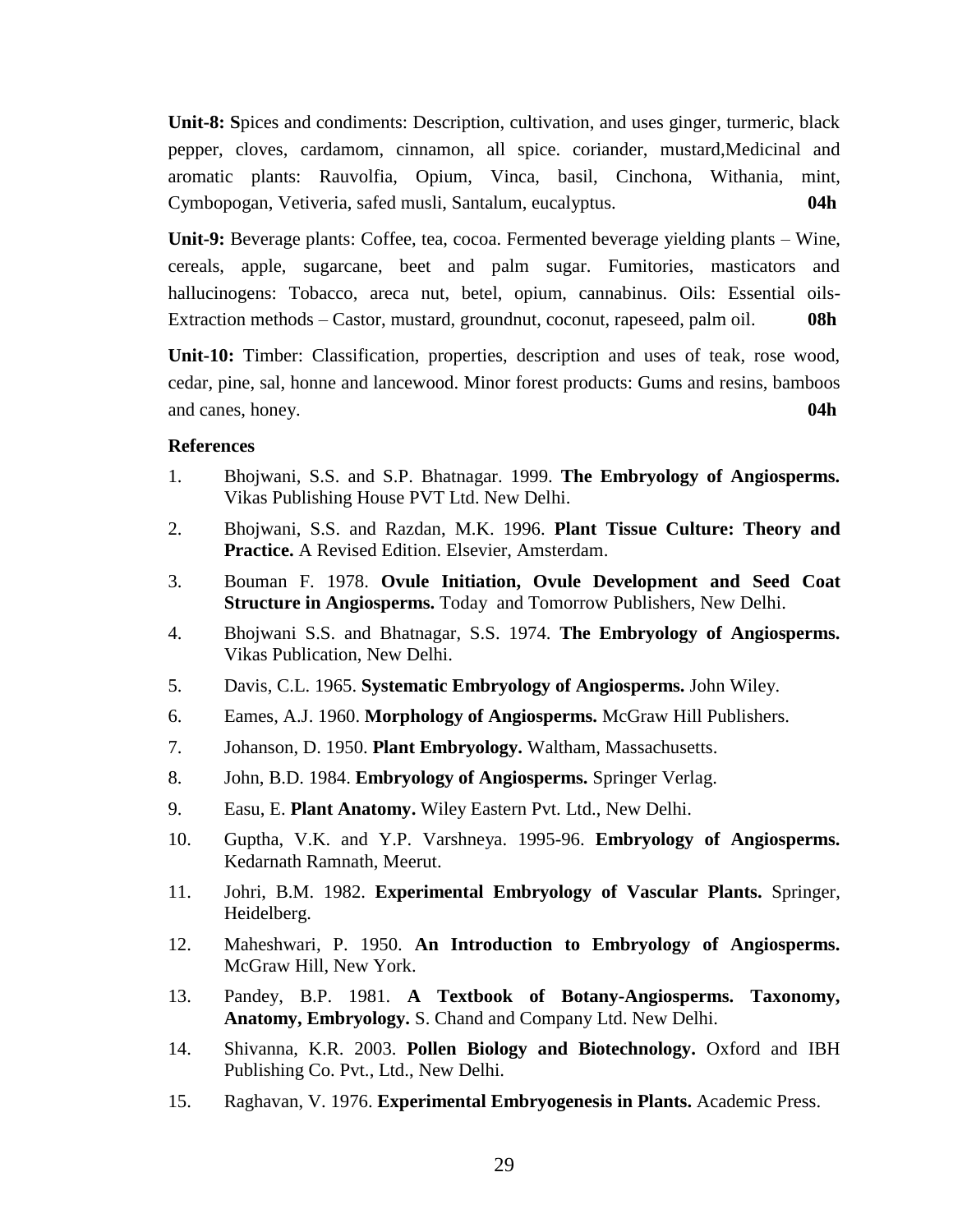**Unit-8: S**pices and condiments: Description, cultivation, and uses ginger, turmeric, black pepper, cloves, cardamom, cinnamon, all spice. coriander, mustard,Medicinal and aromatic plants: Rauvolfia, Opium, Vinca, basil, Cinchona, Withania, mint, Cymbopogan, Vetiveria, safed musli, Santalum, eucalyptus. **04h**

**Unit-9:** Beverage plants: Coffee, tea, cocoa. Fermented beverage yielding plants – Wine, cereals, apple, sugarcane, beet and palm sugar. Fumitories, masticators and hallucinogens: Tobacco, areca nut, betel, opium, cannabinus. Oils: Essential oils-Extraction methods – Castor, mustard, groundnut, coconut, rapeseed, palm oil. **08h**

**Unit-10:** Timber: Classification, properties, description and uses of teak, rose wood, cedar, pine, sal, honne and lancewood. Minor forest products: Gums and resins, bamboos and canes, honey. **04h**

- 1. Bhojwani, S.S. and S.P. Bhatnagar. 1999. **The Embryology of Angiosperms.** Vikas Publishing House PVT Ltd. New Delhi.
- 2. Bhojwani, S.S. and Razdan, M.K. 1996. **Plant Tissue Culture: Theory and Practice.** A Revised Edition. Elsevier, Amsterdam.
- 3. Bouman F. 1978. **Ovule Initiation, Ovule Development and Seed Coat Structure in Angiosperms.** Today and Tomorrow Publishers, New Delhi.
- 4. Bhojwani S.S. and Bhatnagar, S.S. 1974. **The Embryology of Angiosperms.**  Vikas Publication, New Delhi.
- 5. Davis, C.L. 1965. **Systematic Embryology of Angiosperms.** John Wiley.
- 6. Eames, A.J. 1960. **Morphology of Angiosperms.** McGraw Hill Publishers.
- 7. Johanson, D. 1950. **Plant Embryology.** Waltham, Massachusetts.
- 8. John, B.D. 1984. **Embryology of Angiosperms.** Springer Verlag.
- 9. Easu, E. **Plant Anatomy.** Wiley Eastern Pvt. Ltd., New Delhi.
- 10. Guptha, V.K. and Y.P. Varshneya. 1995-96. **Embryology of Angiosperms.** Kedarnath Ramnath, Meerut.
- 11. Johri, B.M. 1982. **Experimental Embryology of Vascular Plants.** Springer, Heidelberg.
- 12. Maheshwari, P. 1950. **An Introduction to Embryology of Angiosperms.** McGraw Hill, New York.
- 13. Pandey, B.P. 1981. **A Textbook of Botany-Angiosperms. Taxonomy, Anatomy, Embryology.** S. Chand and Company Ltd. New Delhi.
- 14. Shivanna, K.R. 2003. **Pollen Biology and Biotechnology.** Oxford and IBH Publishing Co. Pvt., Ltd., New Delhi.
- 15. Raghavan, V. 1976. **Experimental Embryogenesis in Plants.** Academic Press.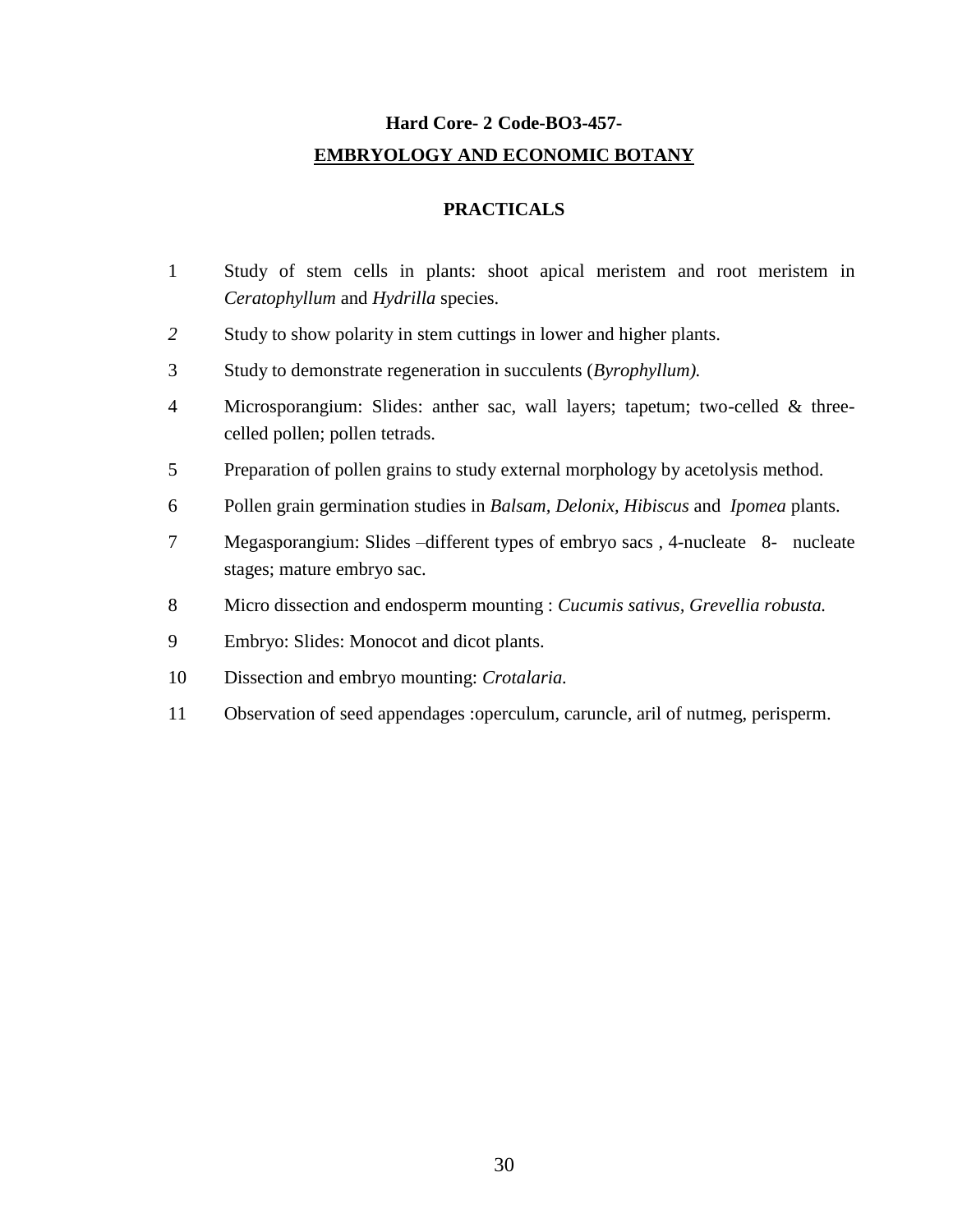# **Hard Core- 2 Code-BO3-457- EMBRYOLOGY AND ECONOMIC BOTANY**

## **PRACTICALS**

- Study of stem cells in plants: shoot apical meristem and root meristem in *Ceratophyllum* and *Hydrilla* species.
- Study to show polarity in stem cuttings in lower and higher plants.
- Study to demonstrate regeneration in succulents (*Byrophyllum).*
- Microsporangium: Slides: anther sac, wall layers; tapetum; two-celled & threecelled pollen; pollen tetrads.
- Preparation of pollen grains to study external morphology by acetolysis method.
- Pollen grain germination studies in *Balsam, Delonix, Hibiscus* and *Ipomea* plants.
- Megasporangium: Slides –different types of embryo sacs *,* 4-nucleate8- nucleate stages; mature embryo sac.
- Micro dissection and endosperm mounting : *Cucumis sativus, Grevellia robusta.*
- Embryo: Slides: Monocot and dicot plants.
- Dissection and embryo mounting: *Crotalaria.*
- Observation of seed appendages :operculum, caruncle, aril of nutmeg, perisperm.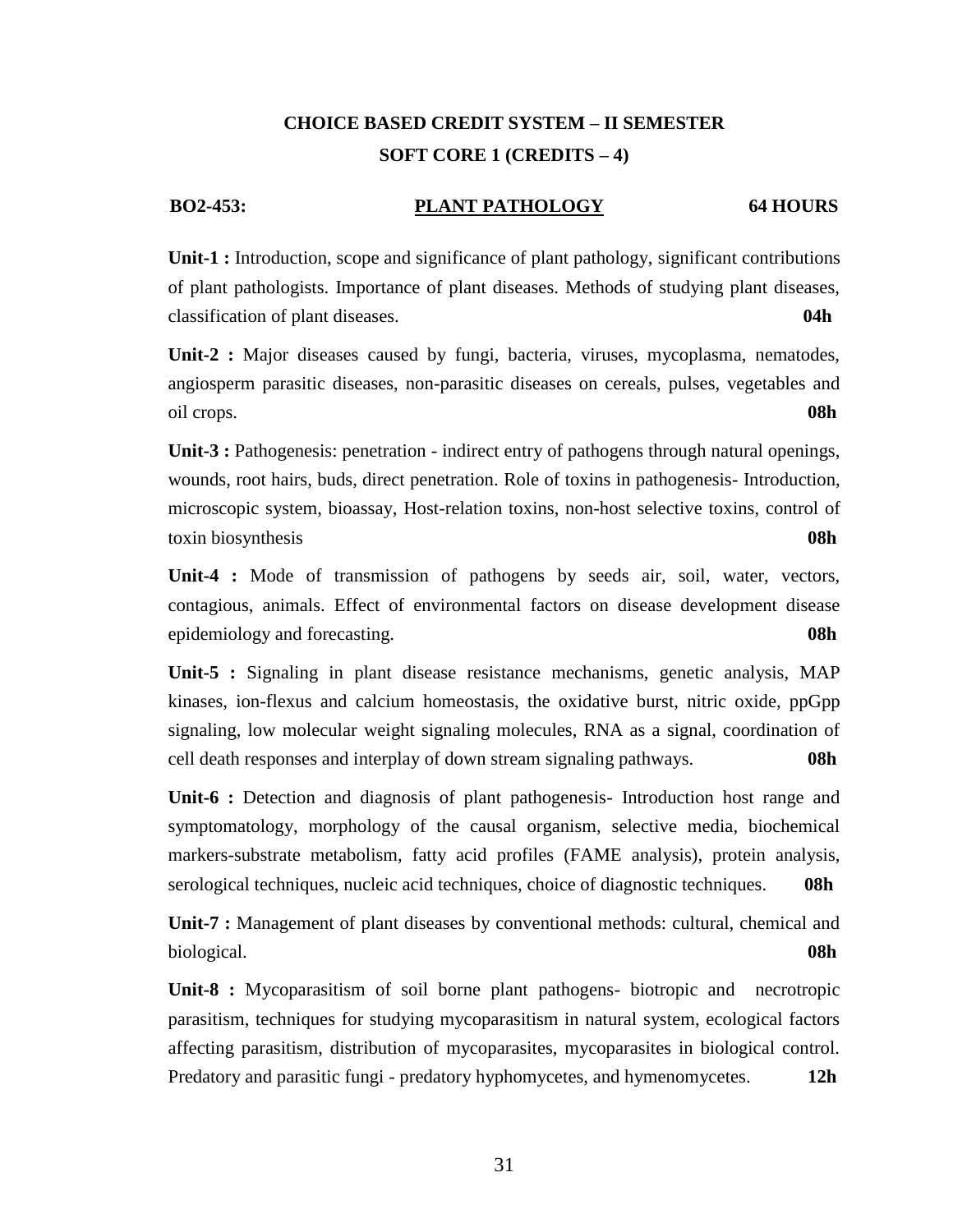## **CHOICE BASED CREDIT SYSTEM – II SEMESTER SOFT CORE 1 (CREDITS – 4)**

## **BO2-453: PLANT PATHOLOGY 64 HOURS**

**Unit-1 :** Introduction, scope and significance of plant pathology, significant contributions of plant pathologists. Importance of plant diseases. Methods of studying plant diseases, classification of plant diseases. **04h**

**Unit-2 :** Major diseases caused by fungi, bacteria, viruses, mycoplasma, nematodes, angiosperm parasitic diseases, non-parasitic diseases on cereals, pulses, vegetables and oil crops. **08h**

**Unit-3 :** Pathogenesis: penetration - indirect entry of pathogens through natural openings, wounds, root hairs, buds, direct penetration. Role of toxins in pathogenesis- Introduction, microscopic system, bioassay, Host-relation toxins, non-host selective toxins, control of toxin biosynthesis **08h**

**Unit-4 :** Mode of transmission of pathogens by seeds air, soil, water, vectors, contagious, animals. Effect of environmental factors on disease development disease epidemiology and forecasting. **08h**

**Unit-5 :** Signaling in plant disease resistance mechanisms, genetic analysis, MAP kinases, ion-flexus and calcium homeostasis, the oxidative burst, nitric oxide, ppGpp signaling, low molecular weight signaling molecules, RNA as a signal, coordination of cell death responses and interplay of down stream signaling pathways. **08h**

**Unit-6 :** Detection and diagnosis of plant pathogenesis- Introduction host range and symptomatology, morphology of the causal organism, selective media, biochemical markers-substrate metabolism, fatty acid profiles (FAME analysis), protein analysis, serological techniques, nucleic acid techniques, choice of diagnostic techniques. **08h**

**Unit-7 :** Management of plant diseases by conventional methods: cultural, chemical and biological. **08h** 

**Unit-8 :** Mycoparasitism of soil borne plant pathogens- biotropic and necrotropic parasitism, techniques for studying mycoparasitism in natural system, ecological factors affecting parasitism, distribution of mycoparasites, mycoparasites in biological control. Predatory and parasitic fungi - predatory hyphomycetes, and hymenomycetes. **12h**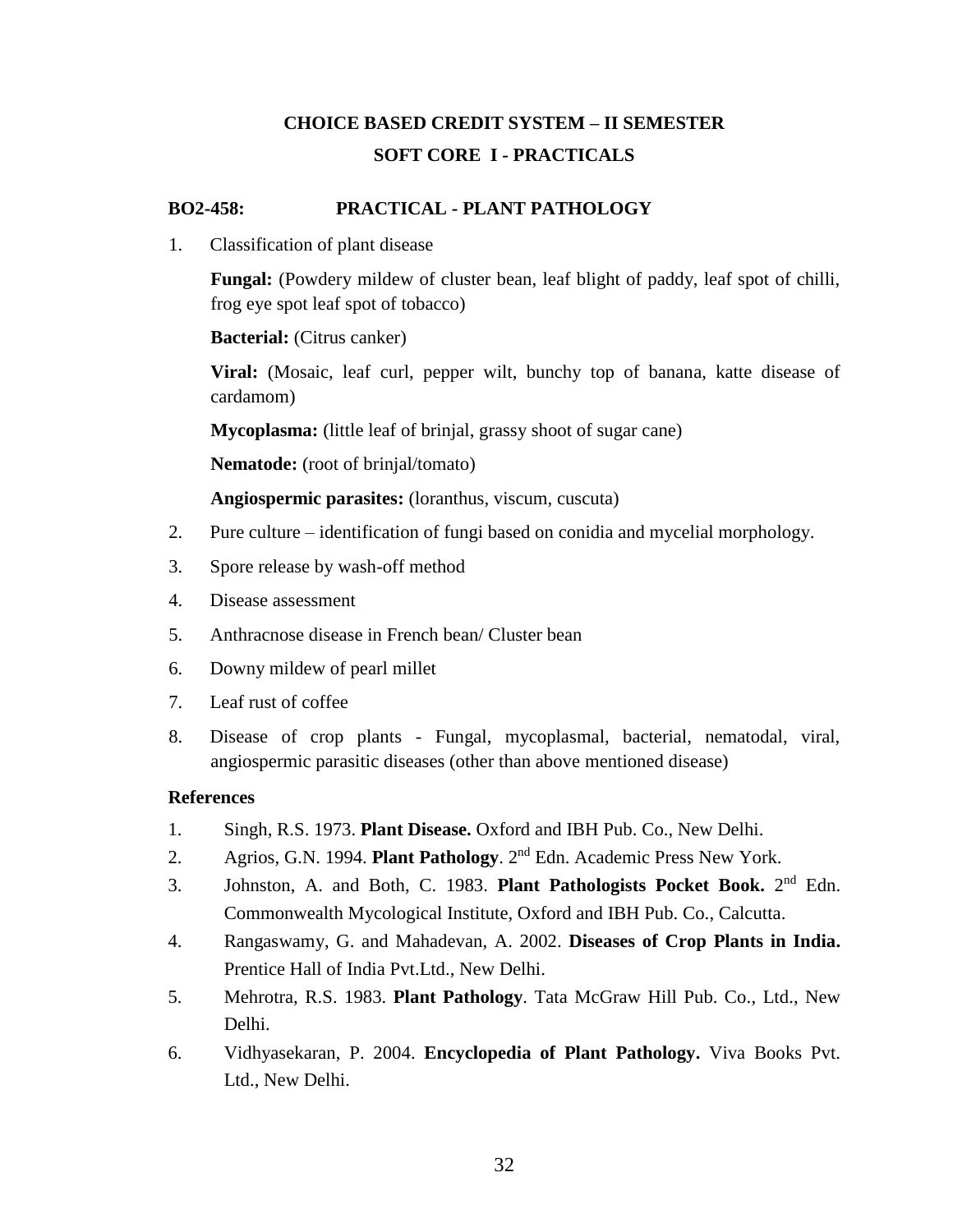# **CHOICE BASED CREDIT SYSTEM – II SEMESTER SOFT CORE I - PRACTICALS**

## **BO2-458: PRACTICAL - PLANT PATHOLOGY**

1. Classification of plant disease

**Fungal:** (Powdery mildew of cluster bean, leaf blight of paddy, leaf spot of chilli, frog eye spot leaf spot of tobacco)

**Bacterial:** (Citrus canker)

**Viral:** (Mosaic, leaf curl, pepper wilt, bunchy top of banana, katte disease of cardamom)

**Mycoplasma:** (little leaf of brinjal, grassy shoot of sugar cane)

**Nematode:** (root of brinjal/tomato)

**Angiospermic parasites:** (loranthus, viscum, cuscuta)

- 2. Pure culture identification of fungi based on conidia and mycelial morphology.
- 3. Spore release by wash-off method
- 4. Disease assessment
- 5. Anthracnose disease in French bean/ Cluster bean
- 6. Downy mildew of pearl millet
- 7. Leaf rust of coffee
- 8. Disease of crop plants Fungal, mycoplasmal, bacterial, nematodal, viral, angiospermic parasitic diseases (other than above mentioned disease)

- 1. Singh, R.S. 1973. **Plant Disease.** Oxford and IBH Pub. Co., New Delhi.
- 2. Agrios, G.N. 1994. **Plant Pathology**. 2<sup>nd</sup> Edn. Academic Press New York.
- 3. Johnston, A. and Both, C. 1983. **Plant Pathologists Pocket Book.** 2 nd Edn. Commonwealth Mycological Institute, Oxford and IBH Pub. Co., Calcutta.
- 4. Rangaswamy, G. and Mahadevan, A. 2002. **Diseases of Crop Plants in India.** Prentice Hall of India Pvt.Ltd., New Delhi.
- 5. Mehrotra, R.S. 1983. **Plant Pathology**. Tata McGraw Hill Pub. Co., Ltd., New Delhi.
- 6. Vidhyasekaran, P. 2004. **Encyclopedia of Plant Pathology.** Viva Books Pvt. Ltd., New Delhi.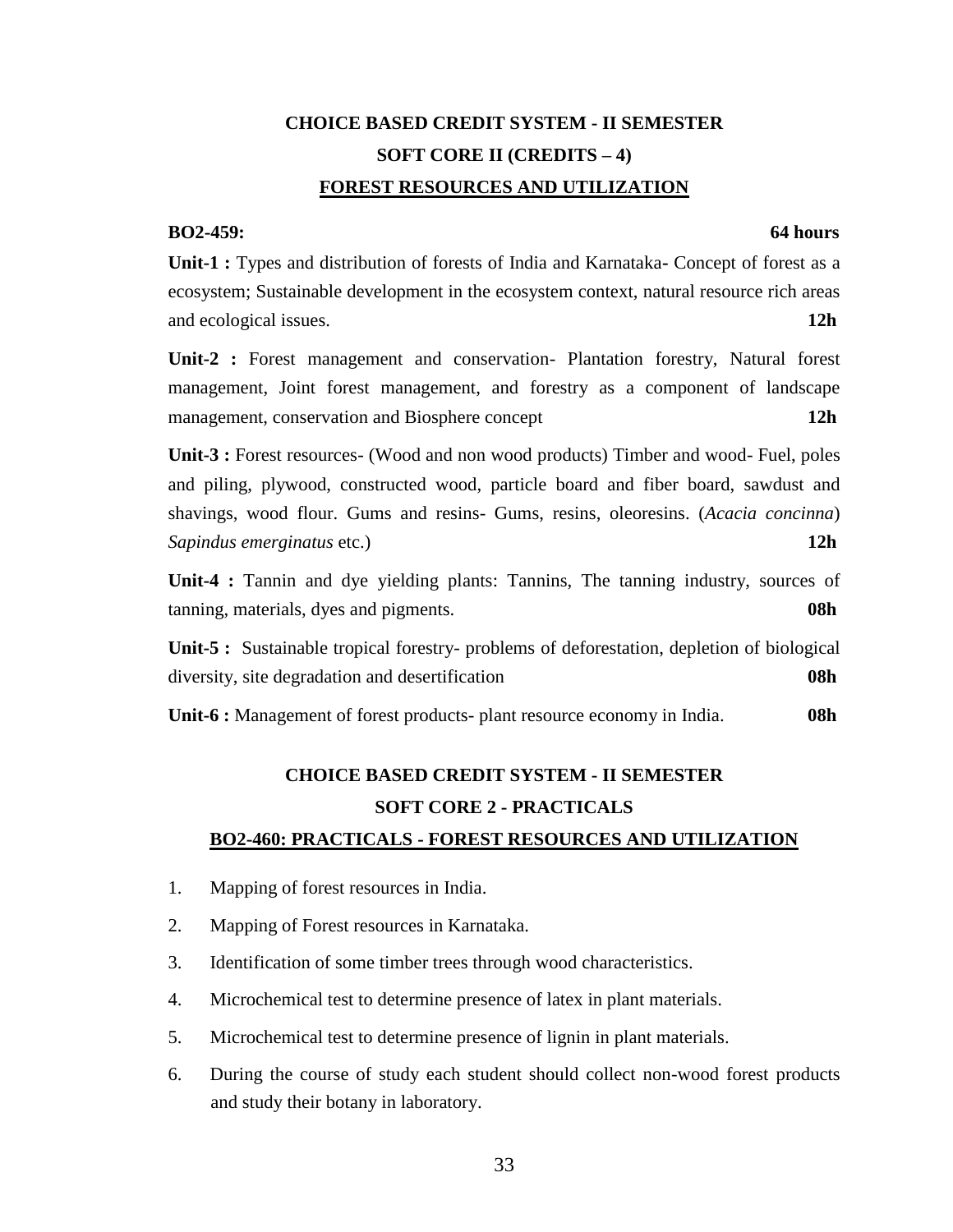# **CHOICE BASED CREDIT SYSTEM - II SEMESTER SOFT CORE II (CREDITS – 4) FOREST RESOURCES AND UTILIZATION**

## **BO2-459: 64 hours**

**Unit-1 :** Types and distribution of forests of India and Karnataka**-** Concept of forest as a ecosystem; Sustainable development in the ecosystem context, natural resource rich areas and ecological issues. **12h**

**Unit-2 :** Forest management and conservation- Plantation forestry, Natural forest management, Joint forest management, and forestry as a component of landscape management, conservation and Biosphere concept **12h**

**Unit-3 :** Forest resources- (Wood and non wood products) Timber and wood- Fuel, poles and piling, plywood, constructed wood, particle board and fiber board, sawdust and shavings, wood flour. Gums and resins- Gums, resins, oleoresins. (*Acacia concinna*) *Sapindus emerginatus* etc.) **12h**

**Unit-4 :** Tannin and dye yielding plants: Tannins, The tanning industry, sources of tanning, materials, dyes and pigments. **08h**

**Unit-5 :** Sustainable tropical forestry- problems of deforestation, depletion of biological diversity, site degradation and desertification **08h**

**Unit-6 :** Management of forest products- plant resource economy in India. **08h**

# **CHOICE BASED CREDIT SYSTEM - II SEMESTER SOFT CORE 2 - PRACTICALS BO2-460: PRACTICALS - FOREST RESOURCES AND UTILIZATION**

- 1. Mapping of forest resources in India.
- 2. Mapping of Forest resources in Karnataka.
- 3. Identification of some timber trees through wood characteristics.
- 4. Microchemical test to determine presence of latex in plant materials.
- 5. Microchemical test to determine presence of lignin in plant materials.
- 6. During the course of study each student should collect non-wood forest products and study their botany in laboratory.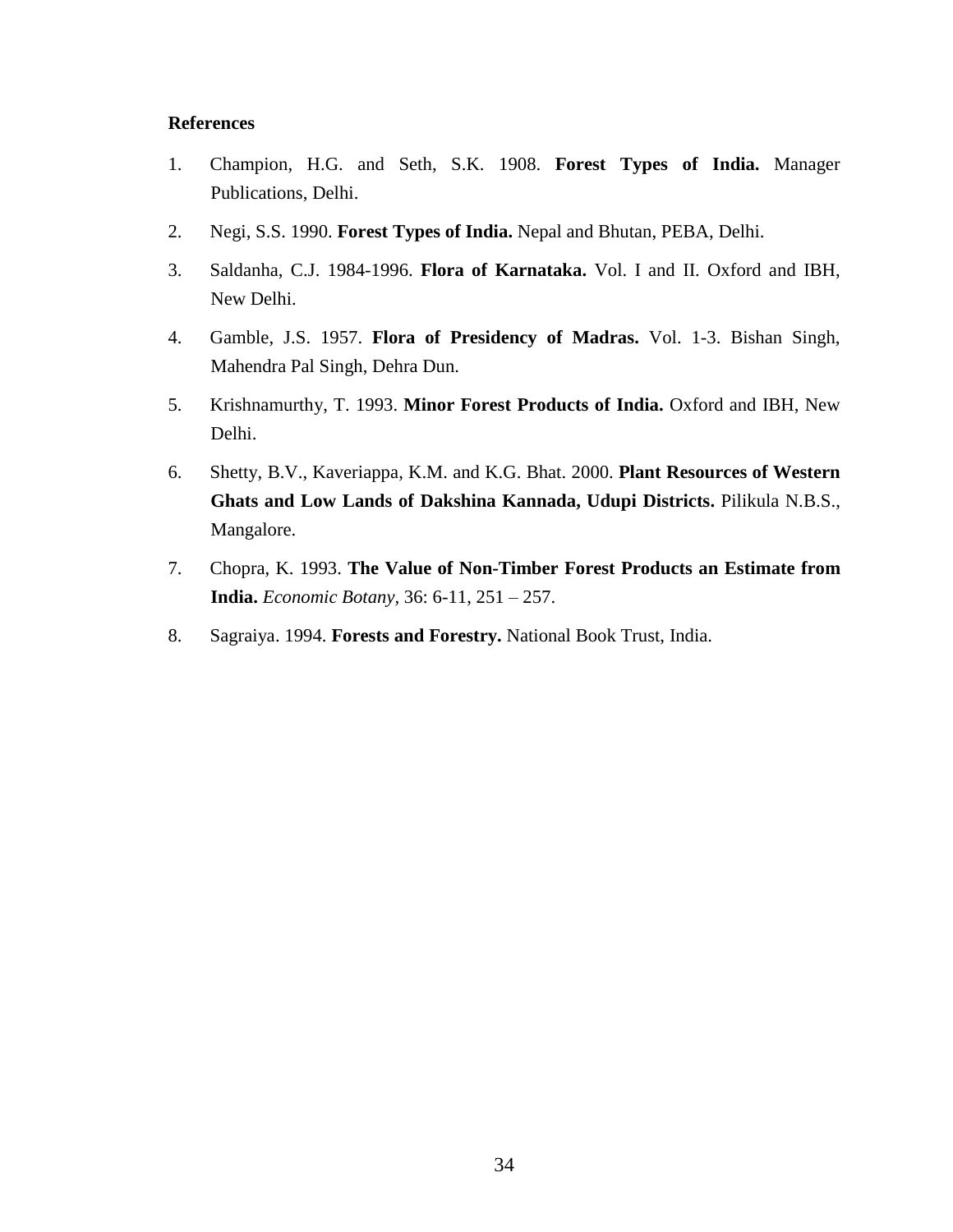- 1. Champion, H.G. and Seth, S.K. 1908. **Forest Types of India.** Manager Publications, Delhi.
- 2. Negi, S.S. 1990. **Forest Types of India.** Nepal and Bhutan, PEBA, Delhi.
- 3. Saldanha, C.J. 1984-1996. **Flora of Karnataka.** Vol. I and II. Oxford and IBH, New Delhi.
- 4. Gamble, J.S. 1957. **Flora of Presidency of Madras.** Vol. 1-3. Bishan Singh, Mahendra Pal Singh, Dehra Dun.
- 5. Krishnamurthy, T. 1993. **Minor Forest Products of India.** Oxford and IBH, New Delhi.
- 6. Shetty, B.V., Kaveriappa, K.M. and K.G. Bhat. 2000. **Plant Resources of Western Ghats and Low Lands of Dakshina Kannada, Udupi Districts.** Pilikula N.B.S., Mangalore.
- 7. Chopra, K. 1993. **The Value of Non-Timber Forest Products an Estimate from India.** *Economic Botany,* 36: 6-11, 251 – 257.
- 8. Sagraiya. 1994. **Forests and Forestry.** National Book Trust, India.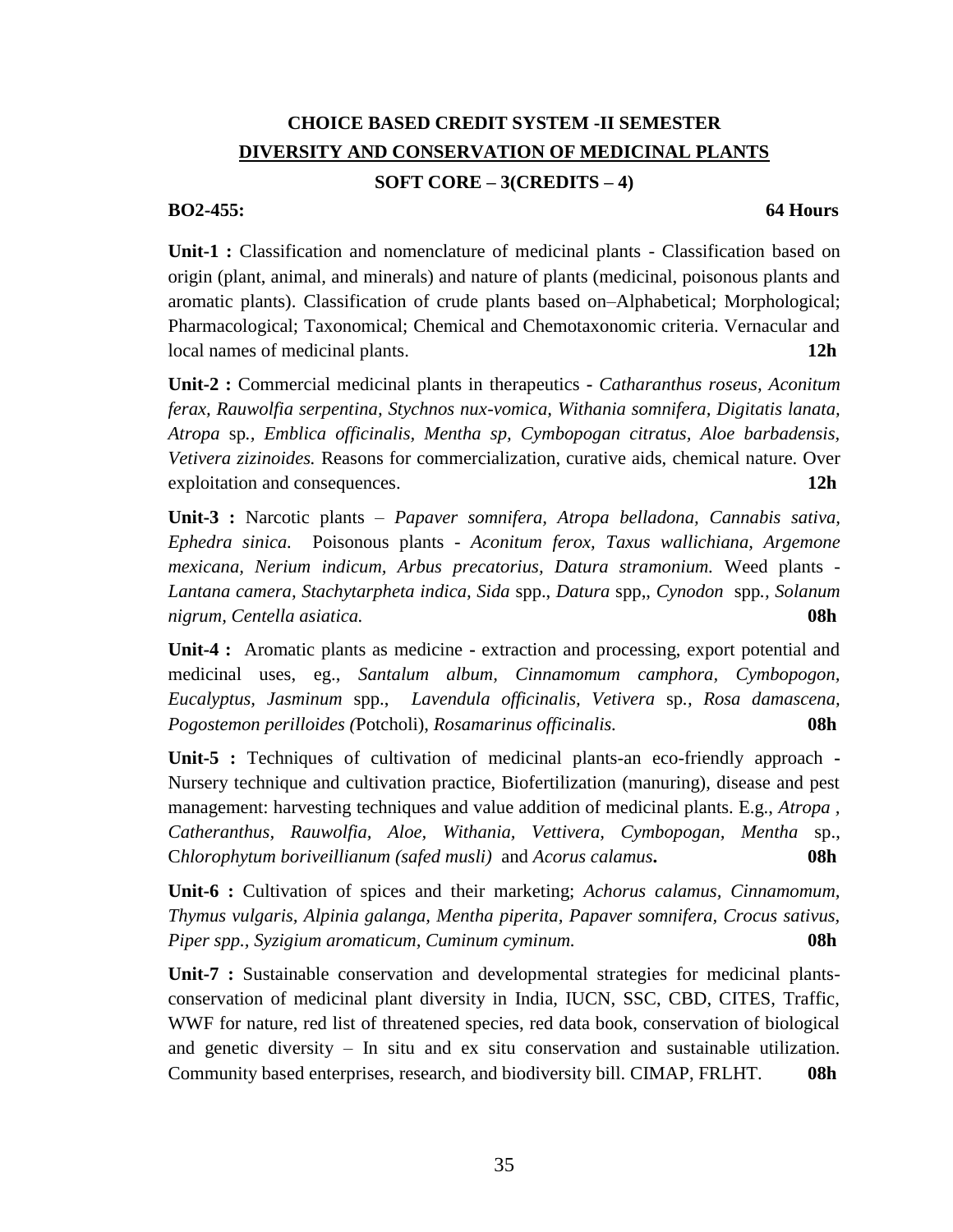## **CHOICE BASED CREDIT SYSTEM -II SEMESTER DIVERSITY AND CONSERVATION OF MEDICINAL PLANTS**

## **SOFT CORE – 3(CREDITS – 4)**

## **BO2-455: 64 Hours**

**Unit-1 :** Classification and nomenclature of medicinal plants - Classification based on origin (plant, animal, and minerals) and nature of plants (medicinal, poisonous plants and aromatic plants). Classification of crude plants based on–Alphabetical; Morphological; Pharmacological; Taxonomical; Chemical and Chemotaxonomic criteria. Vernacular and local names of medicinal plants. **12h**

**Unit-2 :** Commercial medicinal plants in therapeutics **-** *Catharanthus roseus, Aconitum ferax, Rauwolfia serpentina, Stychnos nux-vomica, Withania somnifera, Digitatis lanata, Atropa* sp*., Emblica officinalis, Mentha sp, Cymbopogan citratus, Aloe barbadensis, Vetivera zizinoides.* Reasons for commercialization, curative aids, chemical nature. Over exploitation and consequences. **12h**

**Unit-3 :** Narcotic plants – *Papaver somnifera, Atropa belladona, Cannabis sativa, Ephedra sinica.* Poisonous plants - *Aconitum ferox, Taxus wallichiana, Argemone mexicana, Nerium indicum, Arbus precatorius, Datura stramonium.* Weed plants - *Lantana camera, Stachytarpheta indica, Sida* spp., *Datura* spp,, *Cynodon* spp*., Solanum nigrum, Centella asiatica.* **08h**

**Unit-4 :** Aromatic plants as medicine **-** extraction and processing, export potential and medicinal uses, eg., *Santalum album, Cinnamomum camphora, Cymbopogon, Eucalyptus, Jasminum* spp., *Lavendula officinalis, Vetivera* sp*., Rosa damascena, Pogostemon perilloides (*Potcholi), *Rosamarinus officinalis.* **08h**

**Unit-5 :** Techniques of cultivation of medicinal plants-an eco-friendly approach **-** Nursery technique and cultivation practice, Biofertilization (manuring), disease and pest management: harvesting techniques and value addition of medicinal plants. E.g., *Atropa , Catheranthus, Rauwolfia, Aloe, Withania, Vettivera, Cymbopogan, Mentha* sp., C*hlorophytum boriveillianum (safed musli)* and *Acorus calamus***. 08h**

**Unit-6 :** Cultivation of spices and their marketing; *Achorus calamus, Cinnamomum, Thymus vulgaris, Alpinia galanga, Mentha piperita, Papaver somnifera, Crocus sativus, Piper spp., Syzigium aromaticum, Cuminum cyminum.* **08h**

**Unit-7 :** Sustainable conservation and developmental strategies for medicinal plantsconservation of medicinal plant diversity in India, IUCN, SSC, CBD, CITES, Traffic, WWF for nature, red list of threatened species, red data book, conservation of biological and genetic diversity – In situ and ex situ conservation and sustainable utilization. Community based enterprises, research, and biodiversity bill. CIMAP, FRLHT. **08h**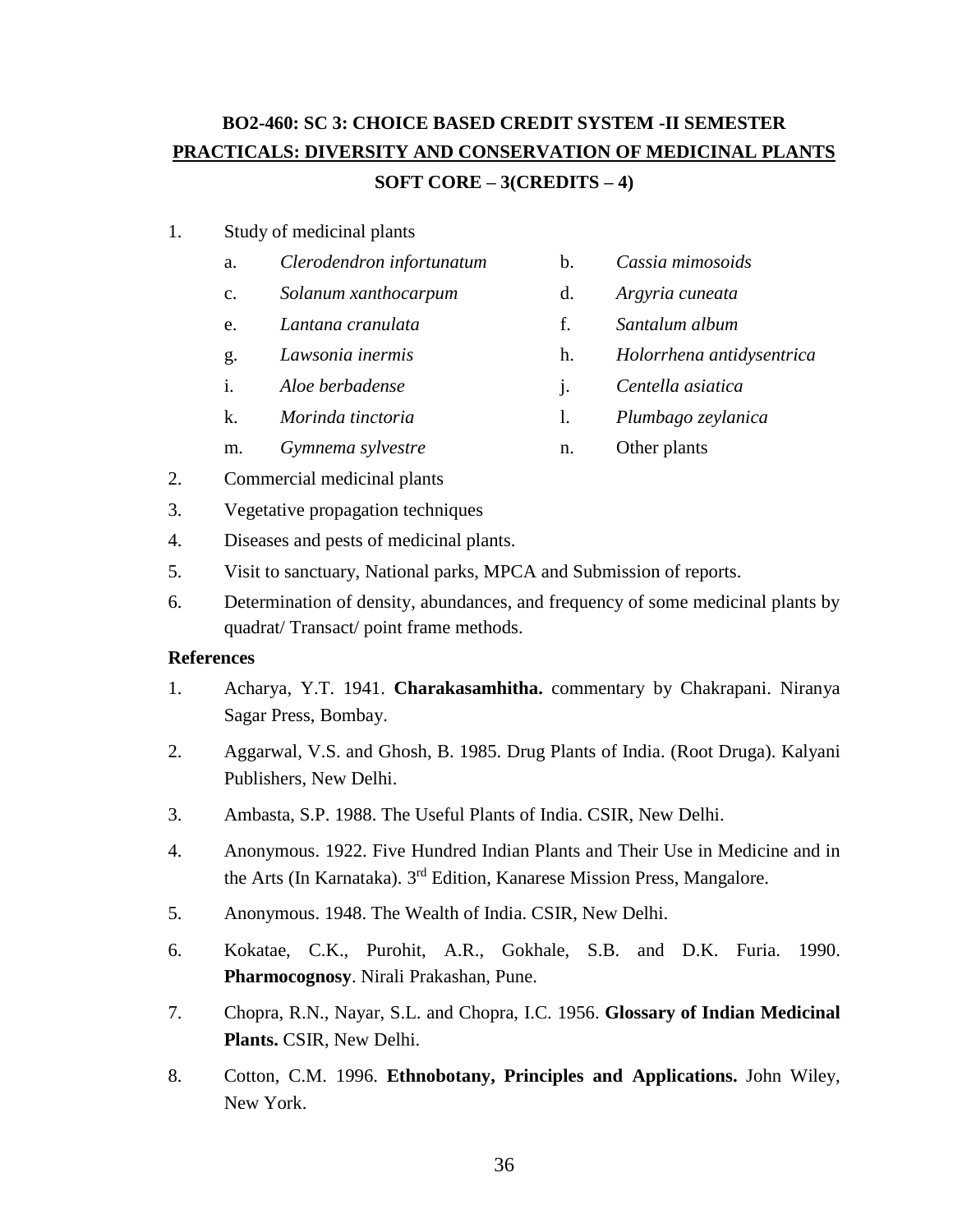# **BO2-460: SC 3: CHOICE BASED CREDIT SYSTEM -II SEMESTER PRACTICALS: DIVERSITY AND CONSERVATION OF MEDICINAL PLANTS SOFT CORE – 3(CREDITS – 4)**

## 1. Study of medicinal plants

- a. *Clerodendron infortunatum* b. *Cassia mimosoids*
- c. *Solanum xanthocarpum* d. *Argyria cuneata*
- e. *Lantana cranulata* f. *Santalum album*
- 
- i. *Aloe berbadense* j. *Centella asiatica*
- k. *Morinda tinctoria* l. *Plumbago zeylanica*
- m. *Gymnema sylvestre* n. Other plants
- 2. Commercial medicinal plants
- 3. Vegetative propagation techniques
- 4. Diseases and pests of medicinal plants.
- 5. Visit to sanctuary, National parks, MPCA and Submission of reports.
- 6. Determination of density, abundances, and frequency of some medicinal plants by quadrat/ Transact/ point frame methods.

- 1. Acharya, Y.T. 1941. **Charakasamhitha.** commentary by Chakrapani. Niranya Sagar Press, Bombay.
- 2. Aggarwal, V.S. and Ghosh, B. 1985. Drug Plants of India. (Root Druga). Kalyani Publishers, New Delhi.
- 3. Ambasta, S.P. 1988. The Useful Plants of India. CSIR, New Delhi.
- 4. Anonymous. 1922. Five Hundred Indian Plants and Their Use in Medicine and in the Arts (In Karnataka). 3<sup>rd</sup> Edition, Kanarese Mission Press, Mangalore.
- 5. Anonymous. 1948. The Wealth of India. CSIR, New Delhi.
- 6. Kokatae, C.K., Purohit, A.R., Gokhale, S.B. and D.K. Furia. 1990. **Pharmocognosy**. Nirali Prakashan, Pune.
- 7. Chopra, R.N., Nayar, S.L. and Chopra, I.C. 1956. **Glossary of Indian Medicinal Plants.** CSIR, New Delhi.
- 8. Cotton, C.M. 1996. **Ethnobotany, Principles and Applications.** John Wiley, New York.
- -
	-
- g. *Lawsonia inermis* h. *Holorrhena antidysentrica*
	-
	-
	-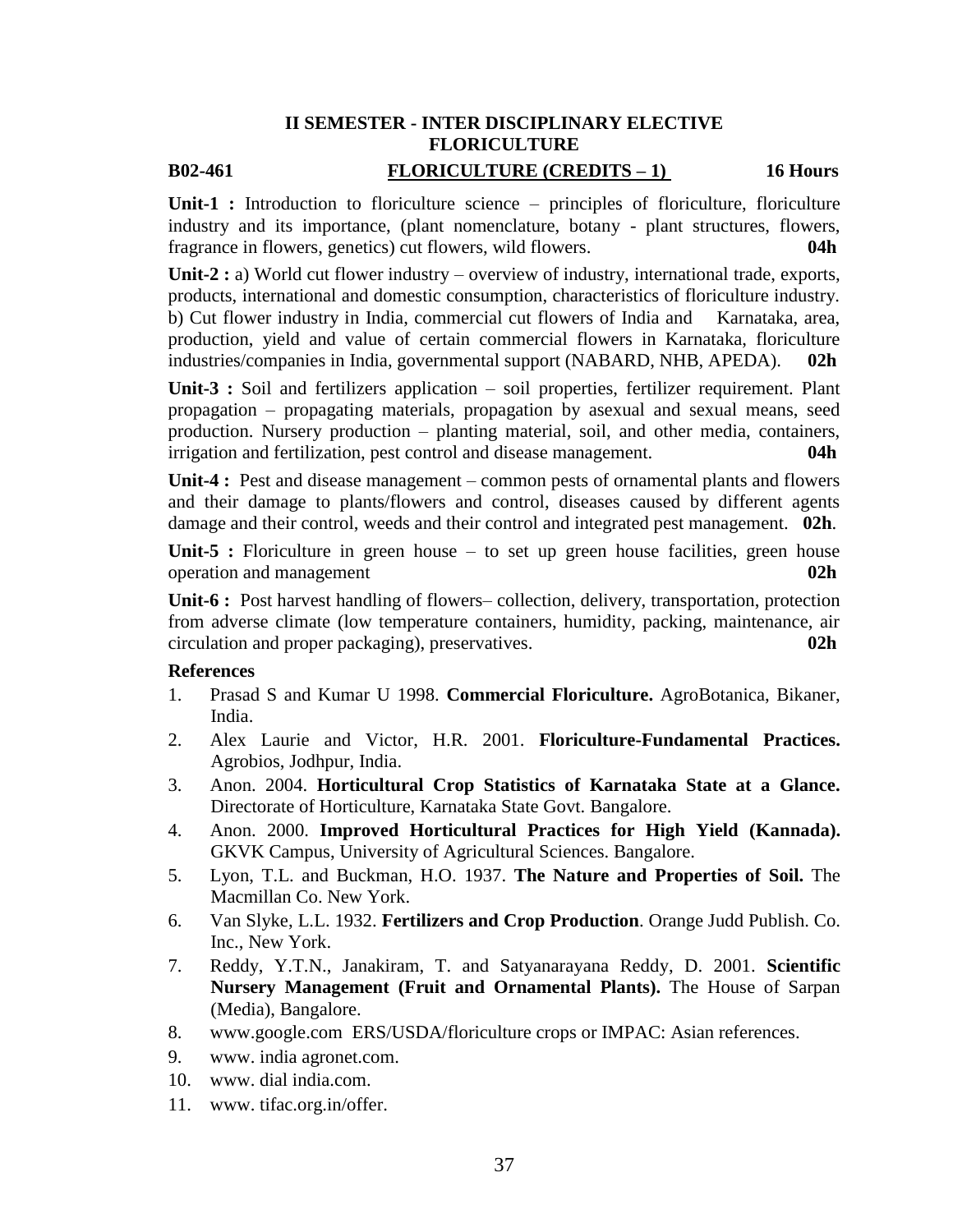## **II SEMESTER - INTER DISCIPLINARY ELECTIVE FLORICULTURE B02-461 FLORICULTURE (CREDITS – 1) 16 Hours**

**Unit-1 :** Introduction to floriculture science – principles of floriculture, floriculture industry and its importance, (plant nomenclature, botany - plant structures, flowers, fragrance in flowers, genetics) cut flowers, wild flowers. **04h**

**Unit-2 :** a) World cut flower industry – overview of industry, international trade, exports, products, international and domestic consumption, characteristics of floriculture industry. b) Cut flower industry in India, commercial cut flowers of India and Karnataka, area, production, yield and value of certain commercial flowers in Karnataka, floriculture industries/companies in India, governmental support (NABARD, NHB, APEDA). **02h**

**Unit-3 :** Soil and fertilizers application – soil properties, fertilizer requirement. Plant propagation – propagating materials, propagation by asexual and sexual means, seed production. Nursery production – planting material, soil, and other media, containers, irrigation and fertilization, pest control and disease management. **04h**

**Unit-4 :** Pest and disease management – common pests of ornamental plants and flowers and their damage to plants/flowers and control, diseases caused by different agents damage and their control, weeds and their control and integrated pest management. **02h**.

Unit-5 : Floriculture in green house – to set up green house facilities, green house operation and management **02h**

**Unit-6 :** Post harvest handling of flowers– collection, delivery, transportation, protection from adverse climate (low temperature containers, humidity, packing, maintenance, air circulation and proper packaging), preservatives. **02h**

- 1. Prasad S and Kumar U 1998. **Commercial Floriculture.** AgroBotanica, Bikaner, India.
- 2. Alex Laurie and Victor, H.R. 2001. **Floriculture-Fundamental Practices.** Agrobios, Jodhpur, India.
- 3. Anon. 2004. **Horticultural Crop Statistics of Karnataka State at a Glance.** Directorate of Horticulture, Karnataka State Govt. Bangalore.
- 4. Anon. 2000. **Improved Horticultural Practices for High Yield (Kannada).** GKVK Campus, University of Agricultural Sciences. Bangalore.
- 5. Lyon, T.L. and Buckman, H.O. 1937. **The Nature and Properties of Soil.** The Macmillan Co. New York.
- 6. Van Slyke, L.L. 1932. **Fertilizers and Crop Production**. Orange Judd Publish. Co. Inc., New York.
- 7. Reddy, Y.T.N., Janakiram, T. and Satyanarayana Reddy, D. 2001. **Scientific Nursery Management (Fruit and Ornamental Plants).** The House of Sarpan (Media), Bangalore.
- 8. [www.google.com](http://www.google.com/) ERS/USDA/floriculture crops or IMPAC: Asian references.
- 9. www. india agronet.com.
- 10. www. dial india.com.
- 11. www. tifac.org.in/offer.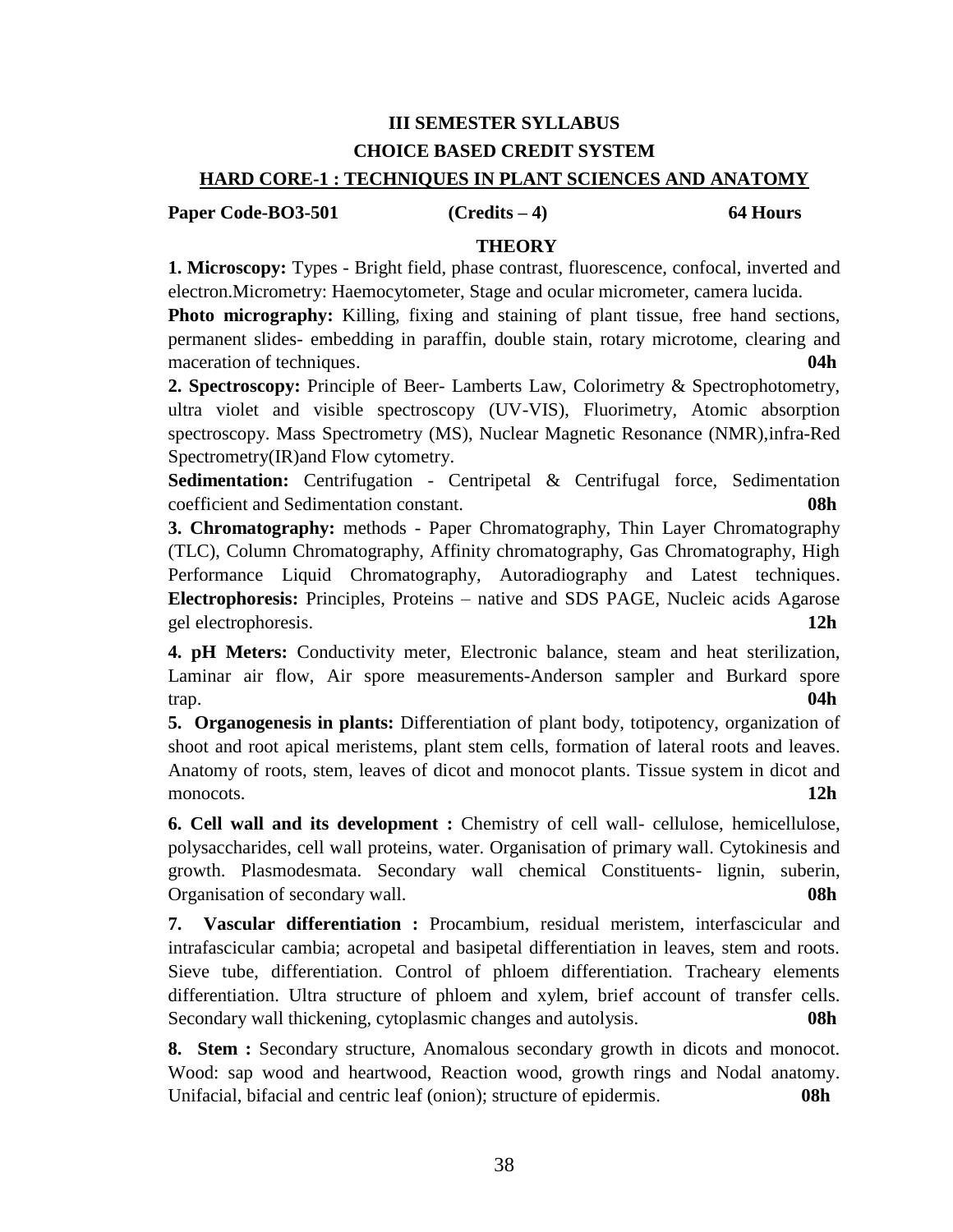# **III SEMESTER SYLLABUS CHOICE BASED CREDIT SYSTEM**

## **HARD CORE-1 : TECHNIQUES IN PLANT SCIENCES AND ANATOMY**

**Paper Code-BO3-501 (Credits – 4) 64 Hours**

## **THEORY**

**1. Microscopy:** Types - Bright field, phase contrast, fluorescence, confocal, inverted and electron.Micrometry: Haemocytometer, Stage and ocular micrometer, camera lucida.

**Photo micrography:** Killing, fixing and staining of plant tissue, free hand sections, permanent slides- embedding in paraffin, double stain, rotary microtome, clearing and maceration of techniques. **04h**

**2. Spectroscopy:** Principle of Beer- Lamberts Law, Colorimetry & Spectrophotometry, ultra violet and visible spectroscopy (UV-VIS), Fluorimetry, Atomic absorption spectroscopy. Mass Spectrometry (MS), Nuclear Magnetic Resonance (NMR),infra-Red Spectrometry(IR)and Flow cytometry.

**Sedimentation:** Centrifugation - Centripetal & Centrifugal force, Sedimentation coefficient and Sedimentation constant. **08h**

**3. Chromatography:** methods - Paper Chromatography, Thin Layer Chromatography (TLC), Column Chromatography, Affinity chromatography, Gas Chromatography, High Performance Liquid Chromatography, Autoradiography and Latest techniques. **Electrophoresis:** Principles, Proteins – native and SDS PAGE, Nucleic acids Agarose gel electrophoresis. **12h**

**4. pH Meters:** Conductivity meter, Electronic balance, steam and heat sterilization, Laminar air flow, Air spore measurements-Anderson sampler and Burkard spore trap. **04h**

**5. Organogenesis in plants:** Differentiation of plant body, totipotency, organization of shoot and root apical meristems, plant stem cells, formation of lateral roots and leaves. Anatomy of roots, stem, leaves of dicot and monocot plants. Tissue system in dicot and monocots. **12h**

**6. Cell wall and its development :** Chemistry of cell wall- cellulose, hemicellulose, polysaccharides, cell wall proteins, water. Organisation of primary wall. Cytokinesis and growth. Plasmodesmata. Secondary wall chemical Constituents- lignin, suberin, Organisation of secondary wall. **08h**

**7. Vascular differentiation :** Procambium, residual meristem, interfascicular and intrafascicular cambia; acropetal and basipetal differentiation in leaves, stem and roots. Sieve tube, differentiation. Control of phloem differentiation. Tracheary elements differentiation. Ultra structure of phloem and xylem, brief account of transfer cells. Secondary wall thickening, cytoplasmic changes and autolysis. **08h**

**8. Stem :** Secondary structure, Anomalous secondary growth in dicots and monocot. Wood: sap wood and heartwood, Reaction wood, growth rings and Nodal anatomy. Unifacial, bifacial and centric leaf (onion); structure of epidermis. **08h**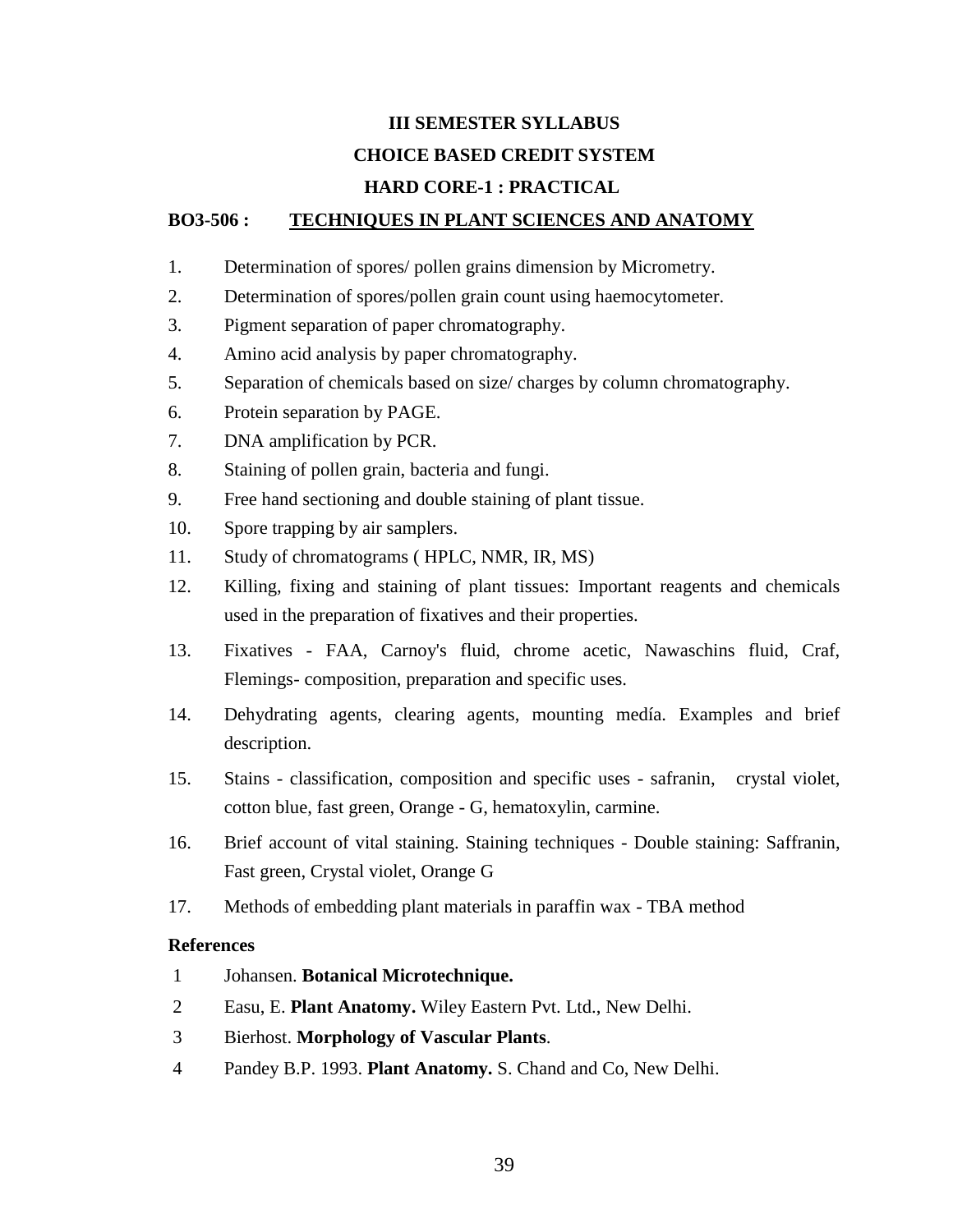# **III SEMESTER SYLLABUS CHOICE BASED CREDIT SYSTEM**

## **HARD CORE-1 : PRACTICAL**

## **BO3-506 : TECHNIQUES IN PLANT SCIENCES AND ANATOMY**

- 1. Determination of spores/ pollen grains dimension by Micrometry.
- 2. Determination of spores/pollen grain count using haemocytometer.
- 3. Pigment separation of paper chromatography.
- 4. Amino acid analysis by paper chromatography.
- 5. Separation of chemicals based on size/ charges by column chromatography.
- 6. Protein separation by PAGE.
- 7. DNA amplification by PCR.
- 8. Staining of pollen grain, bacteria and fungi.
- 9. Free hand sectioning and double staining of plant tissue.
- 10. Spore trapping by air samplers.
- 11. Study of chromatograms ( HPLC, NMR, IR, MS)
- 12. Killing, fixing and staining of plant tissues: Important reagents and chemicals used in the preparation of fixatives and their properties.
- 13. Fixatives FAA, Carnoy's fluid, chrome acetic, Nawaschins fluid, Craf, Flemings- composition, preparation and specific uses.
- 14. Dehydrating agents, clearing agents, mounting medía. Examples and brief description.
- 15. Stains classification, composition and specific uses safranin, crystal violet, cotton blue, fast green, Orange - G, hematoxylin, carmine.
- 16. Brief account of vital staining. Staining techniques Double staining: Saffranin, Fast green, Crystal violet, Orange G
- 17. Methods of embedding plant materials in paraffin wax TBA method

- 1 Johansen. **Botanical Microtechnique.**
- 2 Easu, E. **Plant Anatomy.** Wiley Eastern Pvt. Ltd., New Delhi.
- 3 Bierhost. **Morphology of Vascular Plants**.
- 4 Pandey B.P. 1993. **Plant Anatomy.** S. Chand and Co, New Delhi.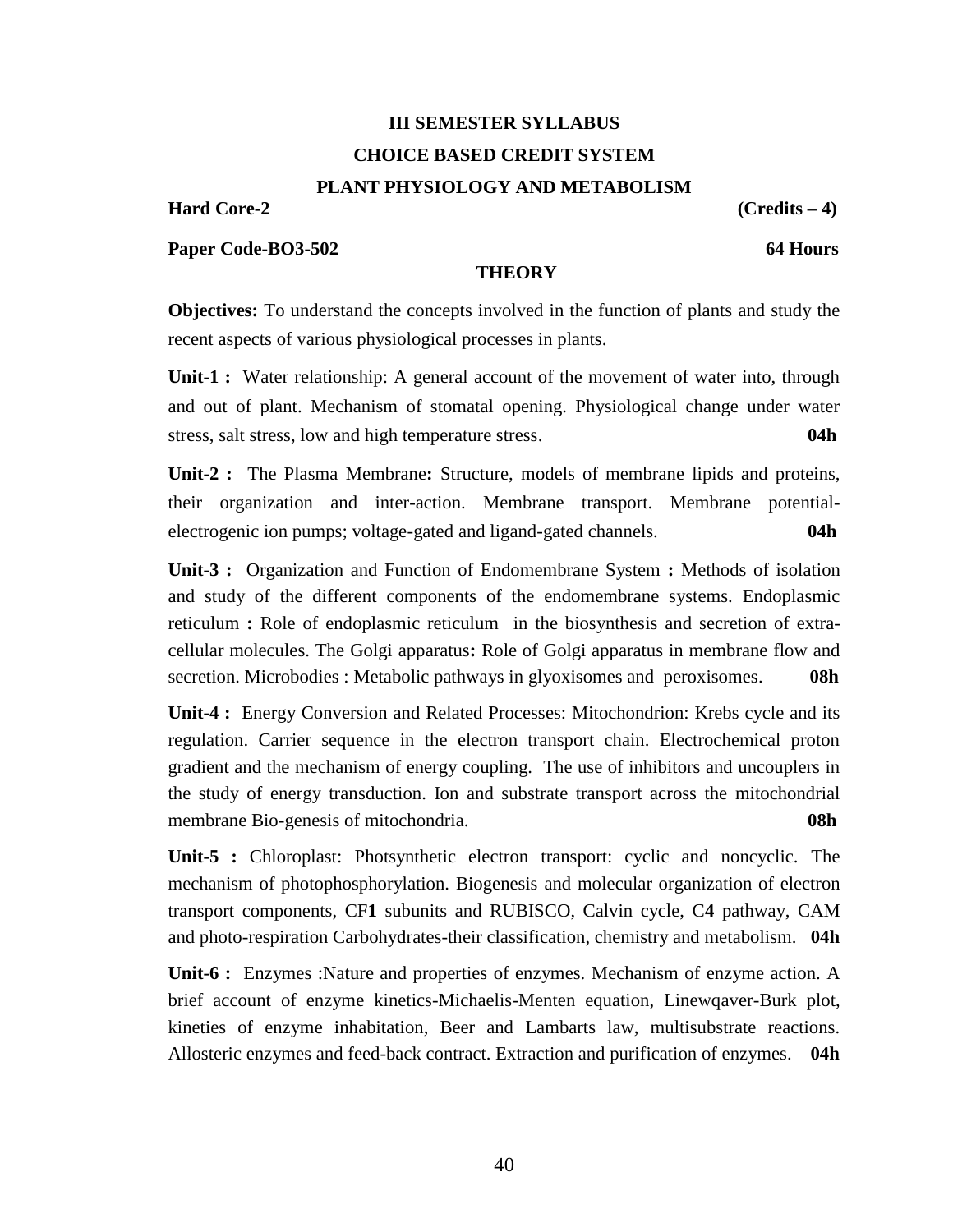# **III SEMESTER SYLLABUS CHOICE BASED CREDIT SYSTEM**

## **PLANT PHYSIOLOGY AND METABOLISM**

**Hard Core-2 (Credits – 4)**

**Paper Code-BO3-502 64 Hours**

### **THEORY**

**Objectives:** To understand the concepts involved in the function of plants and study the recent aspects of various physiological processes in plants.

Unit-1 : Water relationship: A general account of the movement of water into, through and out of plant. Mechanism of stomatal opening. Physiological change under water stress, salt stress, low and high temperature stress. **04h** 

**Unit-2 :** The Plasma Membrane**:** Structure, models of membrane lipids and proteins, their organization and inter-action. Membrane transport. Membrane potentialelectrogenic ion pumps; voltage-gated and ligand-gated channels. **04h**

**Unit-3 :** Organization and Function of Endomembrane System **:** Methods of isolation and study of the different components of the endomembrane systems. Endoplasmic reticulum **:** Role of endoplasmic reticulum in the biosynthesis and secretion of extracellular molecules. The Golgi apparatus**:** Role of Golgi apparatus in membrane flow and secretion. Microbodies : Metabolic pathways in glyoxisomes and peroxisomes. **08h**

**Unit-4 :** Energy Conversion and Related Processes: Mitochondrion: Krebs cycle and its regulation. Carrier sequence in the electron transport chain. Electrochemical proton gradient and the mechanism of energy coupling. The use of inhibitors and uncouplers in the study of energy transduction. Ion and substrate transport across the mitochondrial membrane Bio-genesis of mitochondria. **08h**

**Unit-5 :** Chloroplast: Photsynthetic electron transport: cyclic and noncyclic. The mechanism of photophosphorylation. Biogenesis and molecular organization of electron transport components, CF**1** subunits and RUBISCO, Calvin cycle, C**4** pathway, CAM and photo-respiration Carbohydrates-their classification, chemistry and metabolism. **04h**

**Unit-6 :** Enzymes :Nature and properties of enzymes. Mechanism of enzyme action. A brief account of enzyme kinetics-Michaelis-Menten equation, Linewqaver-Burk plot, kineties of enzyme inhabitation, Beer and Lambarts law, multisubstrate reactions. Allosteric enzymes and feed-back contract. Extraction and purification of enzymes. **04h**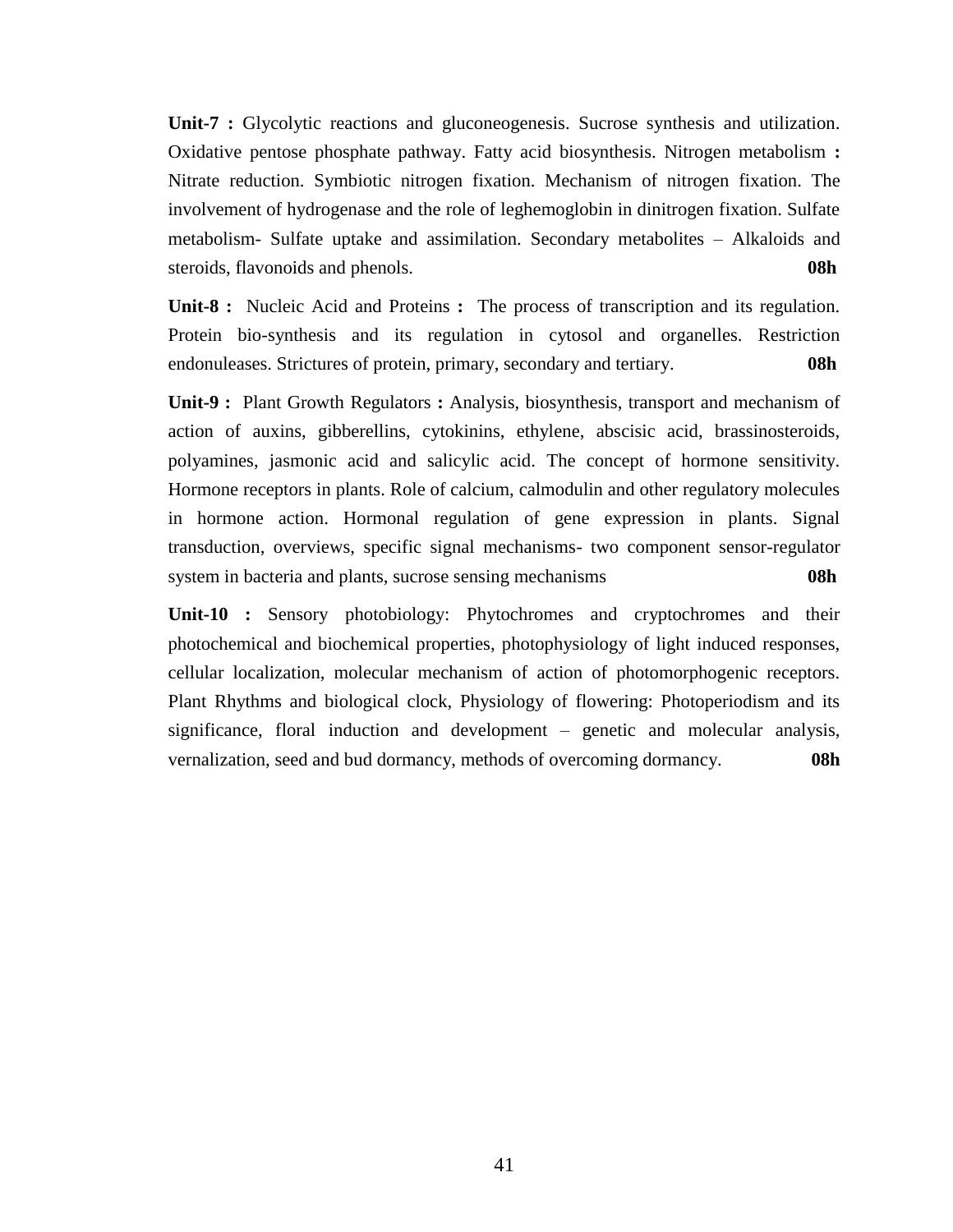**Unit-7 :** Glycolytic reactions and gluconeogenesis. Sucrose synthesis and utilization. Oxidative pentose phosphate pathway. Fatty acid biosynthesis. Nitrogen metabolism **:** Nitrate reduction. Symbiotic nitrogen fixation. Mechanism of nitrogen fixation. The involvement of hydrogenase and the role of leghemoglobin in dinitrogen fixation. Sulfate metabolism- Sulfate uptake and assimilation. Secondary metabolites – Alkaloids and steroids, flavonoids and phenols. **08h**

**Unit-8 :** Nucleic Acid and Proteins **:** The process of transcription and its regulation. Protein bio-synthesis and its regulation in cytosol and organelles. Restriction endonuleases. Strictures of protein, primary, secondary and tertiary. **08h** 

**Unit-9 :** Plant Growth Regulators **:** Analysis, biosynthesis, transport and mechanism of action of auxins, gibberellins, cytokinins, ethylene, abscisic acid, brassinosteroids, polyamines, jasmonic acid and salicylic acid. The concept of hormone sensitivity. Hormone receptors in plants. Role of calcium, calmodulin and other regulatory molecules in hormone action. Hormonal regulation of gene expression in plants. Signal transduction, overviews, specific signal mechanisms- two component sensor-regulator system in bacteria and plants, sucrose sensing mechanisms **08h**

**Unit-10 :** Sensory photobiology: Phytochromes and cryptochromes and their photochemical and biochemical properties, photophysiology of light induced responses, cellular localization, molecular mechanism of action of photomorphogenic receptors. Plant Rhythms and biological clock, Physiology of flowering: Photoperiodism and its significance, floral induction and development – genetic and molecular analysis, vernalization, seed and bud dormancy, methods of overcoming dormancy. **08h**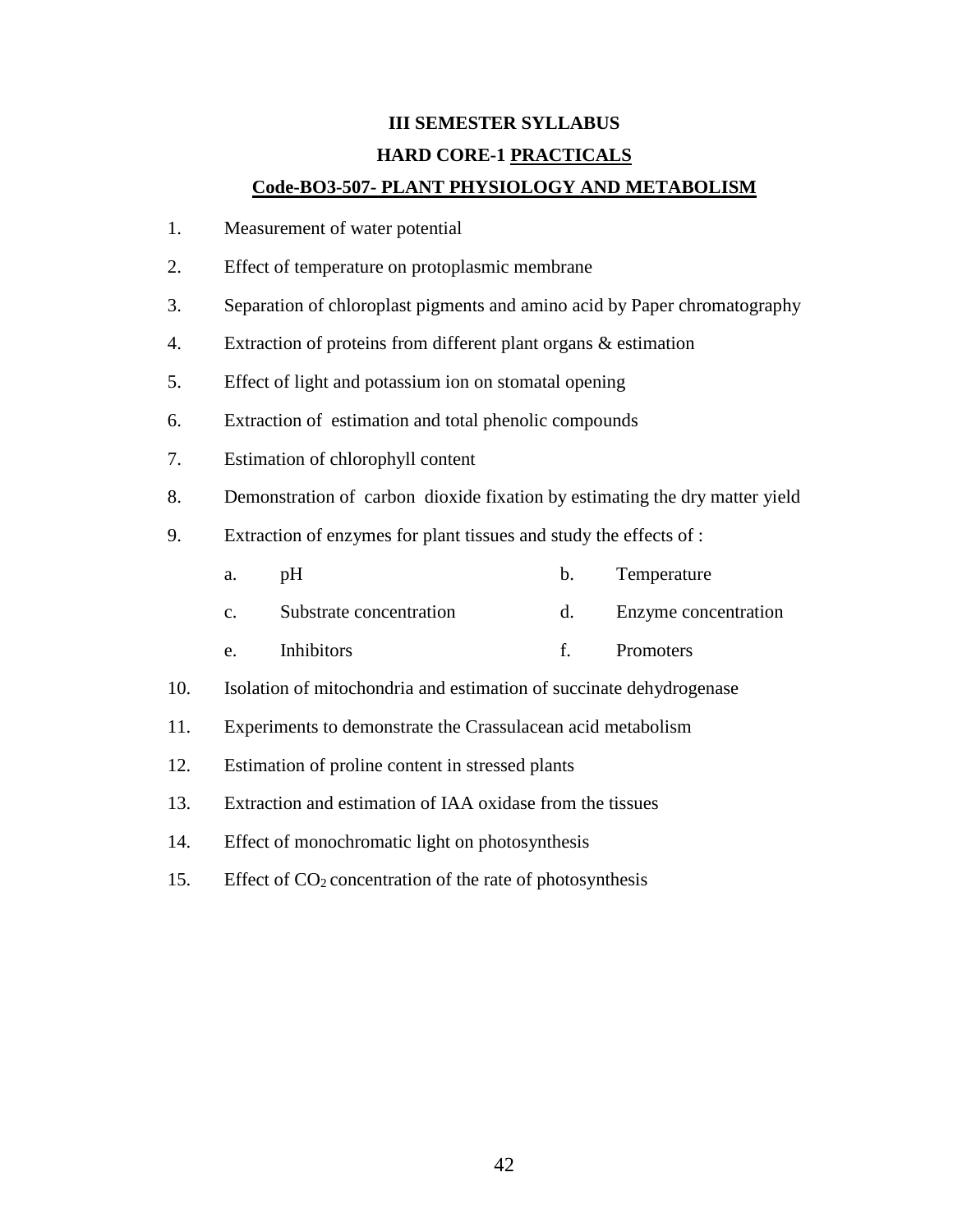# **III SEMESTER SYLLABUS HARD CORE-1 PRACTICALS**

## **Code-BO3-507- PLANT PHYSIOLOGY AND METABOLISM**

- 1. Measurement of water potential
- 2. Effect of temperature on protoplasmic membrane
- 3. Separation of chloroplast pigments and amino acid by Paper chromatography
- 4. Extraction of proteins from different plant organs & estimation
- 5. Effect of light and potassium ion on stomatal opening
- 6. Extraction of estimation and total phenolic compounds
- 7. Estimation of chlorophyll content
- 8. Demonstration of carbon dioxide fixation by estimating the dry matter yield
- 9. Extraction of enzymes for plant tissues and study the effects of :
	- a. pH b. Temperature
	- c. Substrate concentration d. Enzyme concentration
	- e. Inhibitors f. Promoters
- 10. Isolation of mitochondria and estimation of succinate dehydrogenase
- 11. Experiments to demonstrate the Crassulacean acid metabolism
- 12. Estimation of proline content in stressed plants
- 13. Extraction and estimation of IAA oxidase from the tissues
- 14. Effect of monochromatic light on photosynthesis
- 15. Effect of  $CO<sub>2</sub>$  concentration of the rate of photosynthesis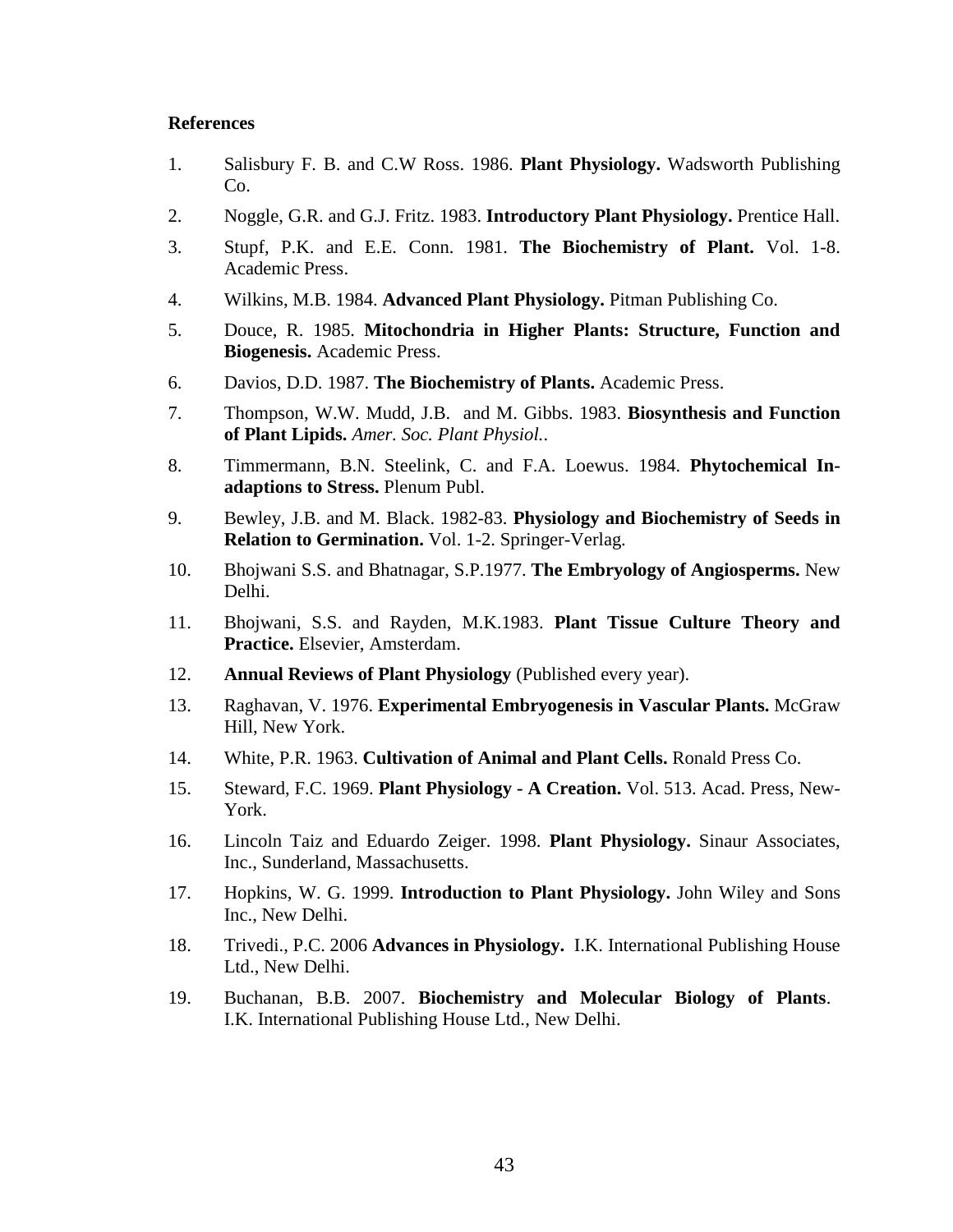- 1. Salisbury F. B. and C.W Ross. 1986. **Plant Physiology.** Wadsworth Publishing Co.
- 2. Noggle, G.R. and G.J. Fritz. 1983. **Introductory Plant Physiology.** Prentice Hall.
- 3. Stupf, P.K. and E.E. Conn. 1981. **The Biochemistry of Plant.** Vol. 1-8. Academic Press.
- 4. Wilkins, M.B. 1984. **Advanced Plant Physiology.** Pitman Publishing Co.
- 5. Douce, R. 1985. **Mitochondria in Higher Plants: Structure, Function and Biogenesis.** Academic Press.
- 6. Davios, D.D. 1987. **The Biochemistry of Plants.** Academic Press.
- 7. Thompson, W.W. Mudd, J.B. and M. Gibbs. 1983. **Biosynthesis and Function of Plant Lipids.** *Amer. Soc. Plant Physiol.*.
- 8. Timmermann, B.N. Steelink, C. and F.A. Loewus. 1984. **Phytochemical Inadaptions to Stress.** Plenum Publ.
- 9. Bewley, J.B. and M. Black. 1982-83. **Physiology and Biochemistry of Seeds in Relation to Germination.** Vol. 1-2. Springer-Verlag.
- 10. Bhojwani S.S. and Bhatnagar, S.P.1977. **The Embryology of Angiosperms.** New Delhi.
- 11. Bhojwani, S.S. and Rayden, M.K.1983. **Plant Tissue Culture Theory and Practice.** Elsevier, Amsterdam.
- 12. **Annual Reviews of Plant Physiology** (Published every year).
- 13. Raghavan, V. 1976. **Experimental Embryogenesis in Vascular Plants.** McGraw Hill, New York.
- 14. White, P.R. 1963. **Cultivation of Animal and Plant Cells.** Ronald Press Co.
- 15. Steward, F.C. 1969. **Plant Physiology - A Creation.** Vol. 513. Acad. Press, New-York.
- 16. Lincoln Taiz and Eduardo Zeiger. 1998. **Plant Physiology.** Sinaur Associates, Inc., Sunderland, Massachusetts.
- 17. Hopkins, W. G. 1999. **Introduction to Plant Physiology.** John Wiley and Sons Inc., New Delhi.
- 18. Trivedi., P.C. 2006 **Advances in Physiology.** I.K. International Publishing House Ltd., New Delhi.
- 19. Buchanan, B.B. 2007. **Biochemistry and Molecular Biology of Plants**. I.K. International Publishing House Ltd., New Delhi.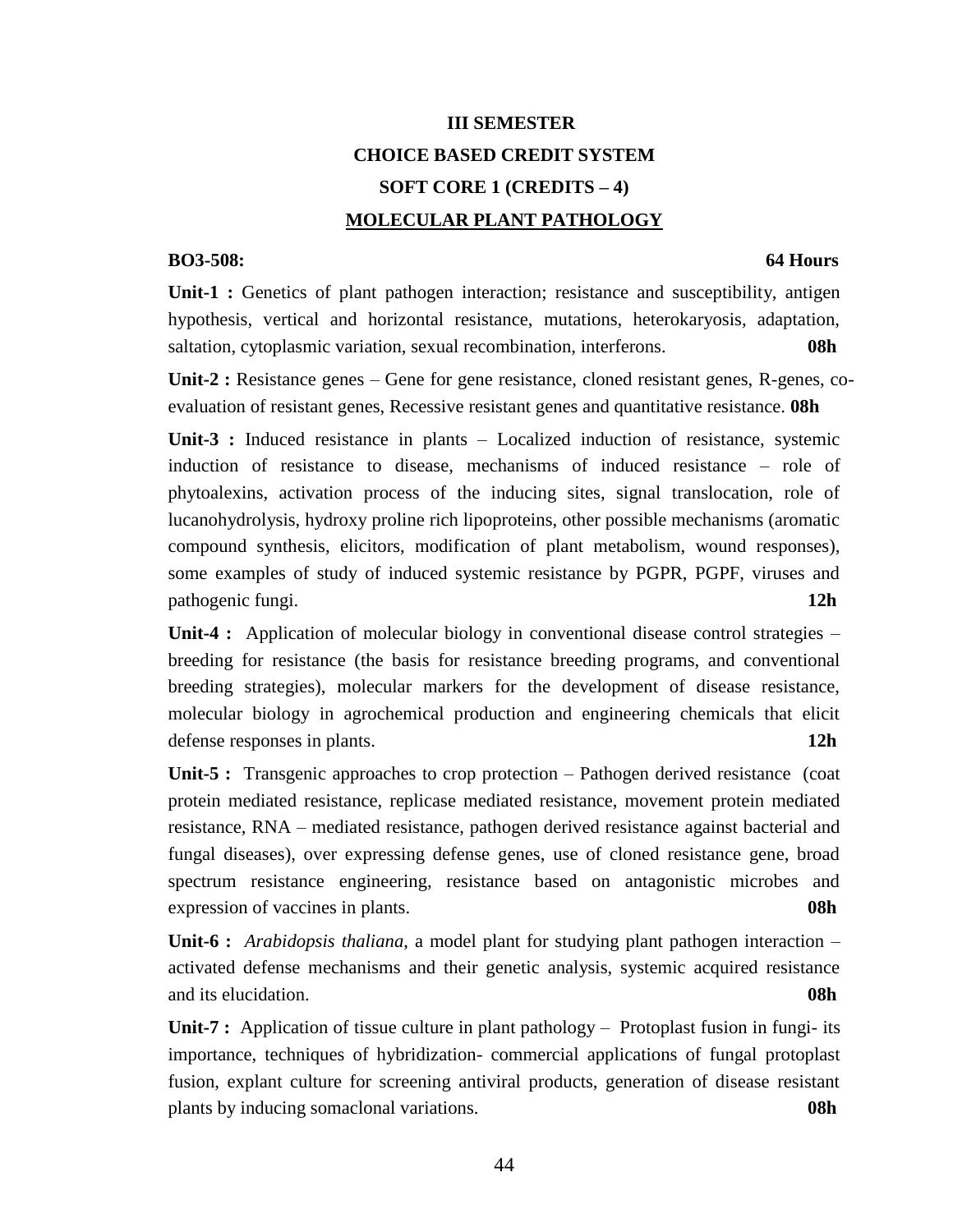# **III SEMESTER CHOICE BASED CREDIT SYSTEM SOFT CORE 1 (CREDITS – 4) MOLECULAR PLANT PATHOLOGY**

## **BO3-508: 64 Hours**

**Unit-1 :** Genetics of plant pathogen interaction; resistance and susceptibility, antigen hypothesis, vertical and horizontal resistance, mutations, heterokaryosis, adaptation, saltation, cytoplasmic variation, sexual recombination, interferons. **08h**

**Unit-2 :** Resistance genes – Gene for gene resistance, cloned resistant genes, R-genes, coevaluation of resistant genes, Recessive resistant genes and quantitative resistance. **08h**

**Unit-3 :** Induced resistance in plants – Localized induction of resistance, systemic induction of resistance to disease, mechanisms of induced resistance – role of phytoalexins, activation process of the inducing sites, signal translocation, role of lucanohydrolysis, hydroxy proline rich lipoproteins, other possible mechanisms (aromatic compound synthesis, elicitors, modification of plant metabolism, wound responses), some examples of study of induced systemic resistance by PGPR, PGPF, viruses and pathogenic fungi. **12h**

Unit-4 : Application of molecular biology in conventional disease control strategies – breeding for resistance (the basis for resistance breeding programs, and conventional breeding strategies), molecular markers for the development of disease resistance, molecular biology in agrochemical production and engineering chemicals that elicit defense responses in plants. **12h**

Unit-5 : Transgenic approaches to crop protection – Pathogen derived resistance (coat protein mediated resistance, replicase mediated resistance, movement protein mediated resistance, RNA – mediated resistance, pathogen derived resistance against bacterial and fungal diseases), over expressing defense genes, use of cloned resistance gene, broad spectrum resistance engineering, resistance based on antagonistic microbes and expression of vaccines in plants. **08h** 

**Unit-6 :** *Arabidopsis thaliana*, a model plant for studying plant pathogen interaction – activated defense mechanisms and their genetic analysis, systemic acquired resistance and its elucidation. **08h**

**Unit-7 :** Application of tissue culture in plant pathology – Protoplast fusion in fungi- its importance, techniques of hybridization- commercial applications of fungal protoplast fusion, explant culture for screening antiviral products, generation of disease resistant plants by inducing somaclonal variations. **08h**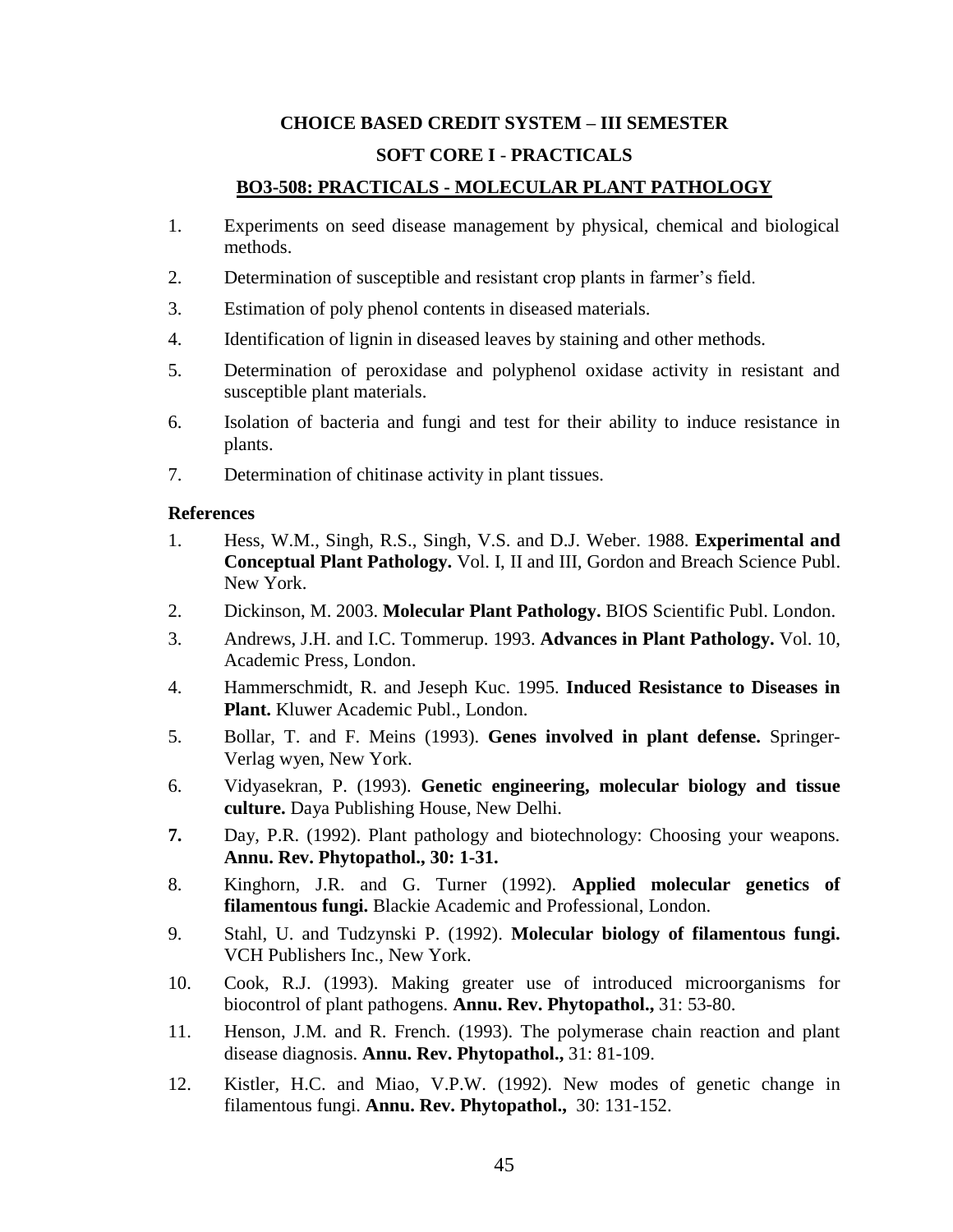# **CHOICE BASED CREDIT SYSTEM – III SEMESTER SOFT CORE I** - **PRACTICALS**

## **BO3-508: PRACTICALS - MOLECULAR PLANT PATHOLOGY**

- 1. Experiments on seed disease management by physical, chemical and biological methods.
- 2. Determination of susceptible and resistant crop plants in farmer's field.
- 3. Estimation of poly phenol contents in diseased materials.
- 4. Identification of lignin in diseased leaves by staining and other methods.
- 5. Determination of peroxidase and polyphenol oxidase activity in resistant and susceptible plant materials.
- 6. Isolation of bacteria and fungi and test for their ability to induce resistance in plants.
- 7. Determination of chitinase activity in plant tissues.

- 1. Hess, W.M., Singh, R.S., Singh, V.S. and D.J. Weber. 1988. **Experimental and Conceptual Plant Pathology.** Vol. I, II and III, Gordon and Breach Science Publ. New York.
- 2. Dickinson, M. 2003. **Molecular Plant Pathology.** BIOS Scientific Publ. London.
- 3. Andrews, J.H. and I.C. Tommerup. 1993. **Advances in Plant Pathology.** Vol. 10, Academic Press, London.
- 4. Hammerschmidt, R. and Jeseph Kuc. 1995. **Induced Resistance to Diseases in Plant.** Kluwer Academic Publ., London.
- 5. Bollar, T. and F. Meins (1993). **Genes involved in plant defense.** Springer-Verlag wyen, New York.
- 6. Vidyasekran, P. (1993). **Genetic engineering, molecular biology and tissue culture.** Daya Publishing House, New Delhi.
- **7.** Day, P.R. (1992). Plant pathology and biotechnology: Choosing your weapons. **Annu. Rev. Phytopathol., 30: 1-31.**
- 8. Kinghorn, J.R. and G. Turner (1992). **Applied molecular genetics of filamentous fungi.** Blackie Academic and Professional, London.
- 9. Stahl, U. and Tudzynski P. (1992). **Molecular biology of filamentous fungi.** VCH Publishers Inc., New York.
- 10. Cook, R.J. (1993). Making greater use of introduced microorganisms for biocontrol of plant pathogens. **Annu. Rev. Phytopathol.,** 31: 53-80.
- 11. Henson, J.M. and R. French. (1993). The polymerase chain reaction and plant disease diagnosis. **Annu. Rev. Phytopathol.,** 31: 81-109.
- 12. Kistler, H.C. and Miao, V.P.W. (1992). New modes of genetic change in filamentous fungi. **Annu. Rev. Phytopathol.,** 30: 131-152.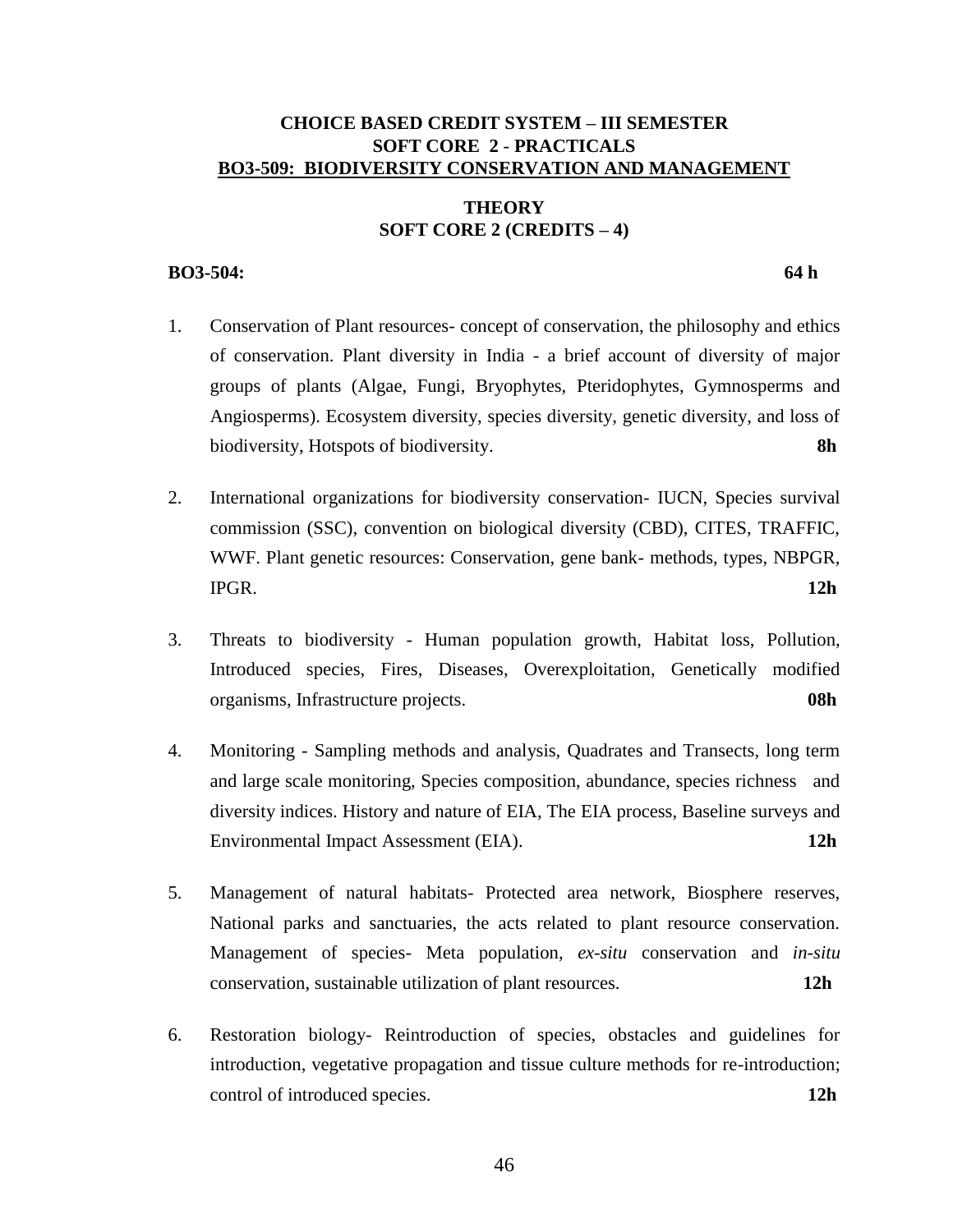## **CHOICE BASED CREDIT SYSTEM – III SEMESTER SOFT CORE 2** - **PRACTICALS BO3-509: BIODIVERSITY CONSERVATION AND MANAGEMENT**

## **THEORY SOFT CORE 2 (CREDITS – 4)**

## **BO3-504: 64 h**

- 1. Conservation of Plant resources- concept of conservation, the philosophy and ethics of conservation. Plant diversity in India - a brief account of diversity of major groups of plants (Algae, Fungi, Bryophytes, Pteridophytes, Gymnosperms and Angiosperms). Ecosystem diversity, species diversity, genetic diversity, and loss of biodiversity, Hotspots of biodiversity. **8h**
- 2. International organizations for biodiversity conservation- IUCN, Species survival commission (SSC), convention on biological diversity (CBD), CITES, TRAFFIC, WWF. Plant genetic resources: Conservation, gene bank- methods, types, NBPGR, IPGR. **12h**
- 3. Threats to biodiversity Human population growth, Habitat loss, Pollution, Introduced species, Fires, Diseases, Overexploitation, Genetically modified organisms, Infrastructure projects. **08h**
- 4. Monitoring Sampling methods and analysis, Quadrates and Transects, long term and large scale monitoring, Species composition, abundance, species richness and diversity indices. History and nature of EIA, The EIA process, Baseline surveys and Environmental Impact Assessment (EIA). **12h**
- 5. Management of natural habitats- Protected area network, Biosphere reserves, National parks and sanctuaries, the acts related to plant resource conservation. Management of species- Meta population, *ex-situ* conservation and *in-situ* conservation, sustainable utilization of plant resources. **12h**
- 6. Restoration biology- Reintroduction of species, obstacles and guidelines for introduction, vegetative propagation and tissue culture methods for re-introduction; control of introduced species. **12h**

46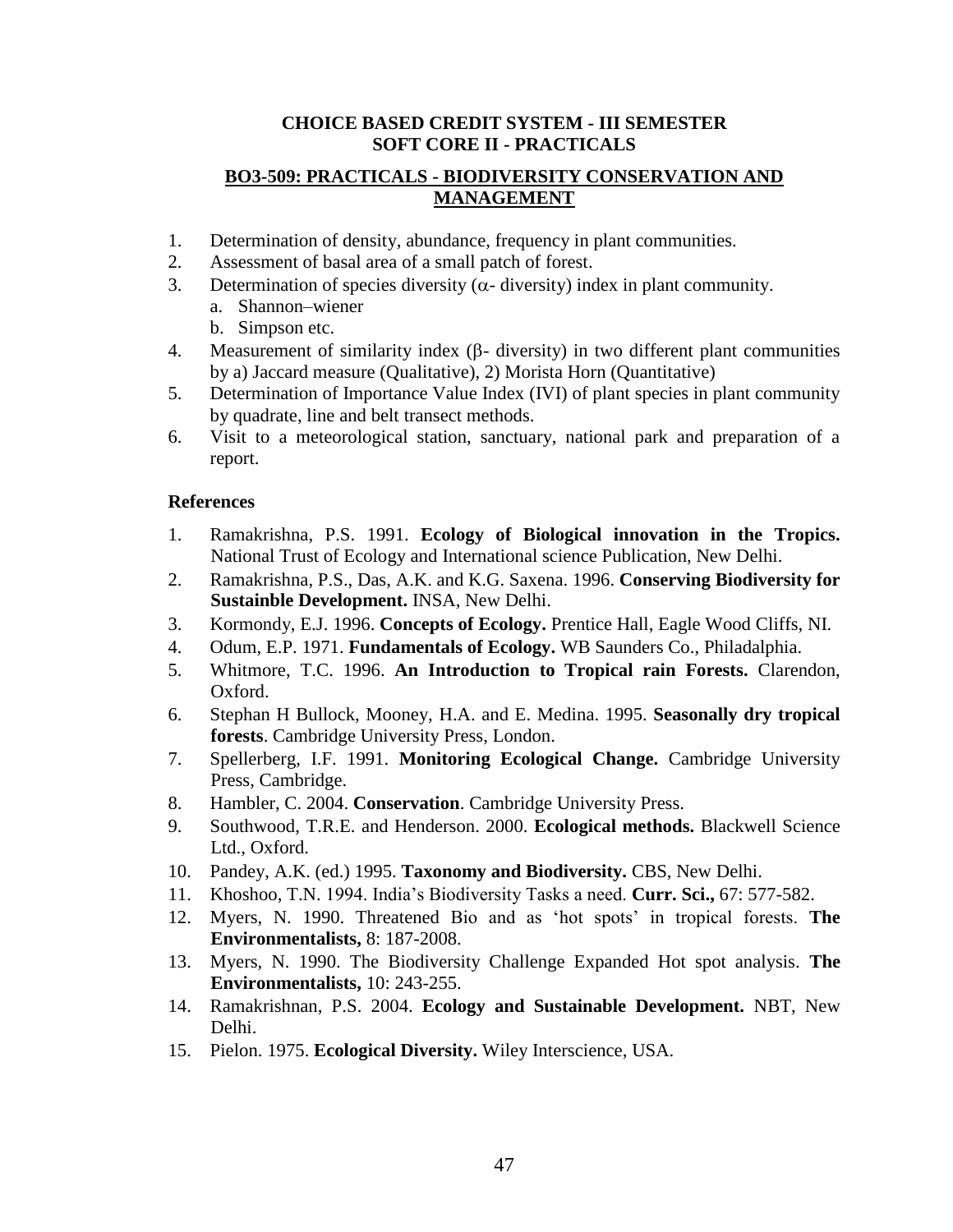## **CHOICE BASED CREDIT SYSTEM - III SEMESTER SOFT CORE II - PRACTICALS**

## **BO3-509: PRACTICALS - BIODIVERSITY CONSERVATION AND MANAGEMENT**

- 1. Determination of density, abundance, frequency in plant communities.
- 2. Assessment of basal area of a small patch of forest.
- 3. Determination of species diversity ( $\alpha$  diversity) index in plant community.
	- a. Shannon–wiener
	- b. Simpson etc.
- 4. Measurement of similarity index  $(\beta$  diversity) in two different plant communities by a) Jaccard measure (Qualitative), 2) Morista Horn (Quantitative)
- 5. Determination of Importance Value Index (IVI) of plant species in plant community by quadrate, line and belt transect methods.
- 6. Visit to a meteorological station, sanctuary, national park and preparation of a report.

- 1. Ramakrishna, P.S. 1991. **Ecology of Biological innovation in the Tropics.**  National Trust of Ecology and International science Publication, New Delhi.
- 2. Ramakrishna, P.S., Das, A.K. and K.G. Saxena. 1996. **Conserving Biodiversity for Sustainble Development.** INSA, New Delhi.
- 3. Kormondy, E.J. 1996. **Concepts of Ecology.** Prentice Hall, Eagle Wood Cliffs, NI.
- 4. Odum, E.P. 1971. **Fundamentals of Ecology.** WB Saunders Co., Philadalphia.
- 5. Whitmore, T.C. 1996. **An Introduction to Tropical rain Forests.** Clarendon, Oxford.
- 6. Stephan H Bullock, Mooney, H.A. and E. Medina. 1995. **Seasonally dry tropical forests**. Cambridge University Press, London.
- 7. Spellerberg, I.F. 1991. **Monitoring Ecological Change.** Cambridge University Press, Cambridge.
- 8. Hambler, C. 2004. **Conservation**. Cambridge University Press.
- 9. Southwood, T.R.E. and Henderson. 2000. **Ecological methods.** Blackwell Science Ltd., Oxford.
- 10. Pandey, A.K. (ed.) 1995. **Taxonomy and Biodiversity.** CBS, New Delhi.
- 11. Khoshoo, T.N. 1994. India's Biodiversity Tasks a need. **Curr. Sci.,** 67: 577-582.
- 12. Myers, N. 1990. Threatened Bio and as 'hot spots' in tropical forests. **The Environmentalists,** 8: 187-2008.
- 13. Myers, N. 1990. The Biodiversity Challenge Expanded Hot spot analysis. **The Environmentalists,** 10: 243-255.
- 14. Ramakrishnan, P.S. 2004. **Ecology and Sustainable Development.** NBT, New Delhi.
- 15. Pielon. 1975. **Ecological Diversity.** Wiley Interscience, USA.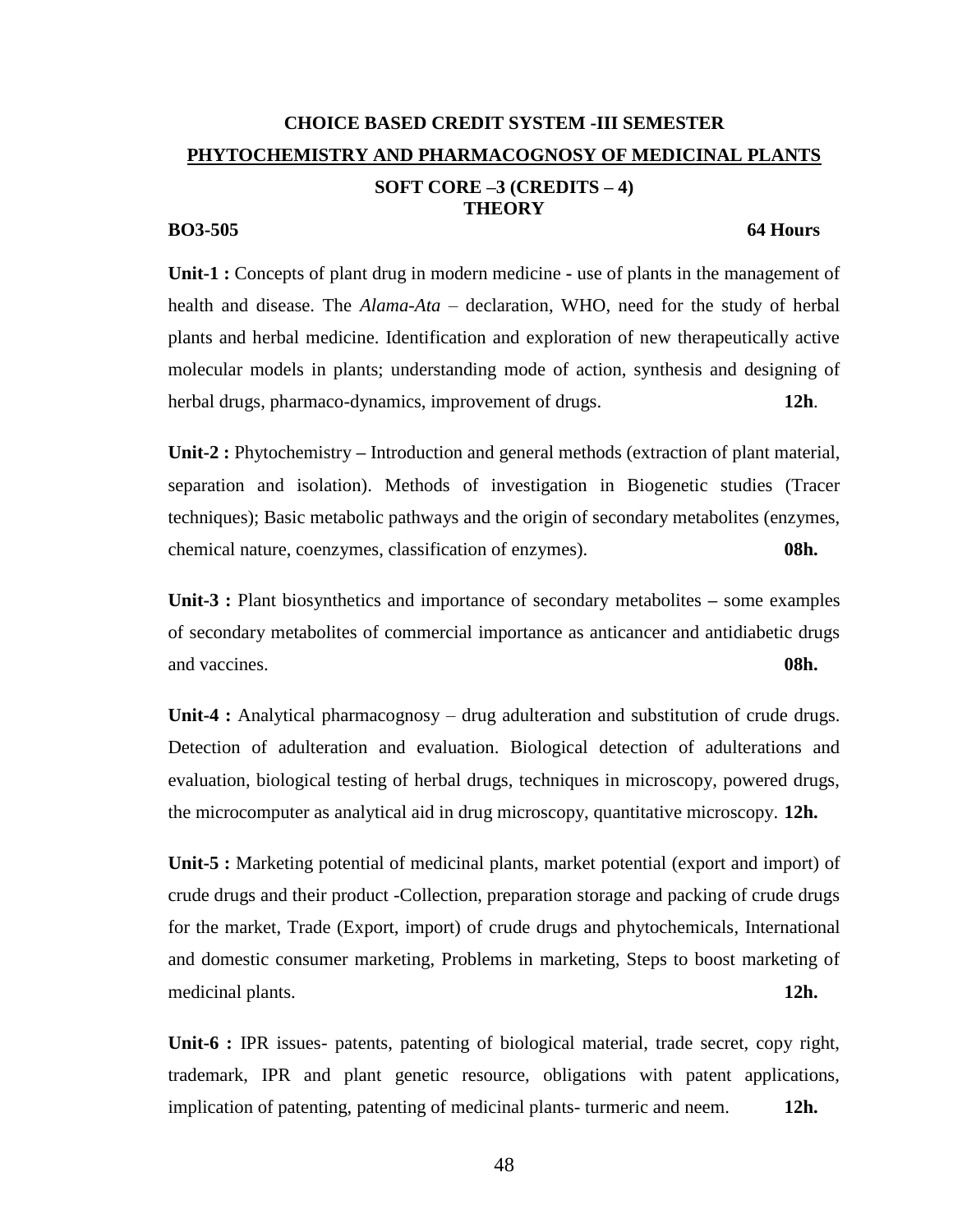# **CHOICE BASED CREDIT SYSTEM -III SEMESTER PHYTOCHEMISTRY AND PHARMACOGNOSY OF MEDICINAL PLANTS SOFT CORE –3 (CREDITS – 4) THEORY BO3-505** 64 Hours

**Unit-1 :** Concepts of plant drug in modern medicine **-** use of plants in the management of health and disease. The *Alama*-*Ata* – declaration, WHO, need for the study of herbal plants and herbal medicine. Identification and exploration of new therapeutically active molecular models in plants; understanding mode of action, synthesis and designing of herbal drugs, pharmaco-dynamics, improvement of drugs. **12h**.

**Unit-2 :** Phytochemistry **–** Introduction and general methods (extraction of plant material, separation and isolation). Methods of investigation in Biogenetic studies (Tracer techniques); Basic metabolic pathways and the origin of secondary metabolites (enzymes, chemical nature, coenzymes, classification of enzymes). **08h.**

**Unit-3 :** Plant biosynthetics and importance of secondary metabolites **–** some examples of secondary metabolites of commercial importance as anticancer and antidiabetic drugs and vaccines. **08h.**

**Unit-4 :** Analytical pharmacognosy – drug adulteration and substitution of crude drugs. Detection of adulteration and evaluation. Biological detection of adulterations and evaluation, biological testing of herbal drugs, techniques in microscopy, powered drugs, the microcomputer as analytical aid in drug microscopy, quantitative microscopy. **12h.**

**Unit-5 :** Marketing potential of medicinal plants, market potential (export and import) of crude drugs and their product -Collection, preparation storage and packing of crude drugs for the market, Trade (Export, import) of crude drugs and phytochemicals, International and domestic consumer marketing, Problems in marketing, Steps to boost marketing of medicinal plants. **12h.**

**Unit-6 :** IPR issues- patents, patenting of biological material, trade secret, copy right, trademark, IPR and plant genetic resource, obligations with patent applications, implication of patenting, patenting of medicinal plants- turmeric and neem. **12h.**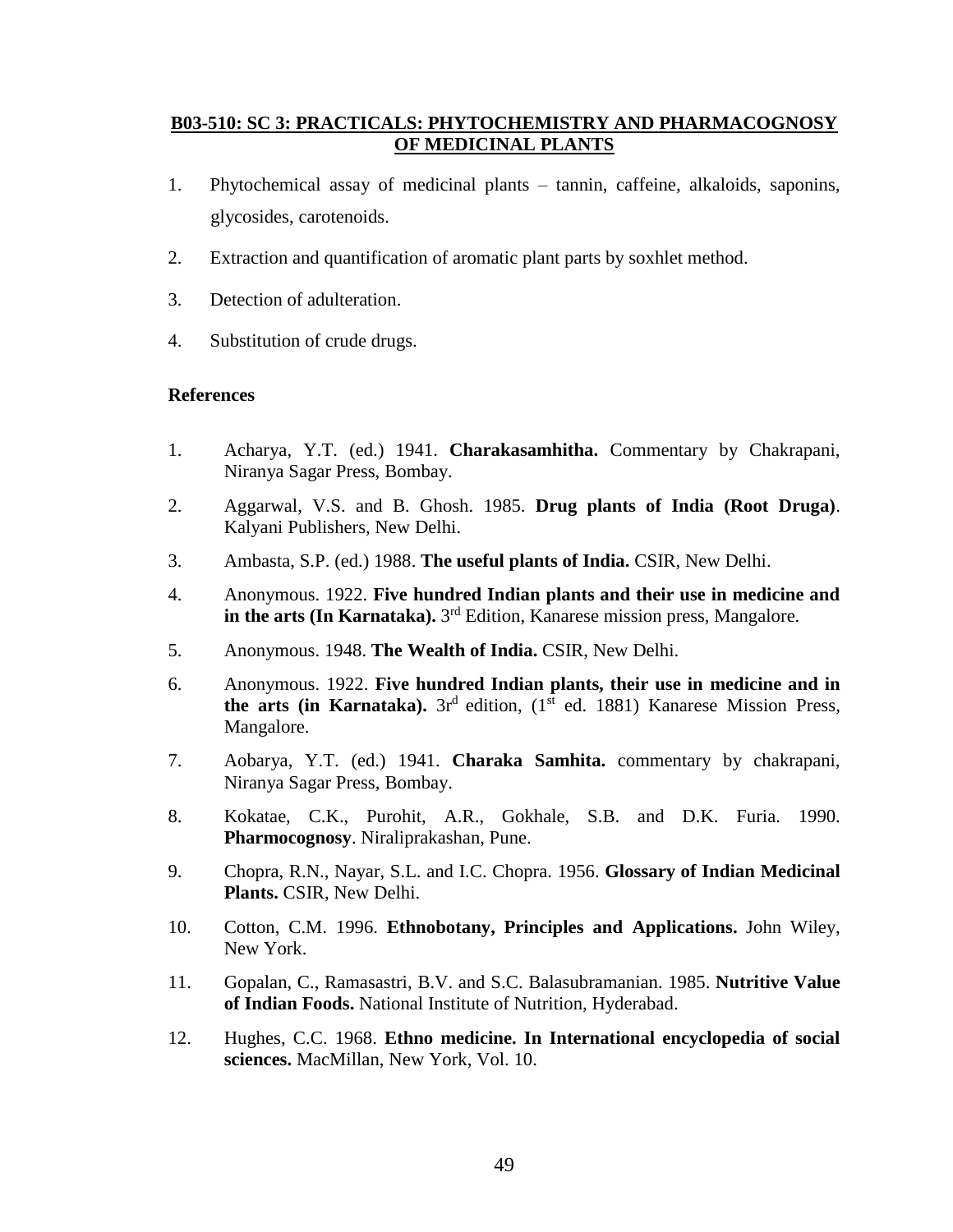## **B03-510: SC 3: PRACTICALS: PHYTOCHEMISTRY AND PHARMACOGNOSY OF MEDICINAL PLANTS**

- 1. Phytochemical assay of medicinal plants tannin, caffeine, alkaloids, saponins, glycosides, carotenoids.
- 2. Extraction and quantification of aromatic plant parts by soxhlet method.
- 3. Detection of adulteration.
- 4. Substitution of crude drugs.

- 1. Acharya, Y.T. (ed.) 1941. **Charakasamhitha.** Commentary by Chakrapani, Niranya Sagar Press, Bombay.
- 2. Aggarwal, V.S. and B. Ghosh. 1985. **Drug plants of India (Root Druga)**. Kalyani Publishers, New Delhi.
- 3. Ambasta, S.P. (ed.) 1988. **The useful plants of India.** CSIR, New Delhi.
- 4. Anonymous. 1922. **Five hundred Indian plants and their use in medicine and in the arts (In Karnataka).** 3 rd Edition, Kanarese mission press, Mangalore.
- 5. Anonymous. 1948. **The Wealth of India.** CSIR, New Delhi.
- 6. Anonymous. 1922. **Five hundred Indian plants, their use in medicine and in the arts (in Karnataka).** 3 $r^d$  edition, (1 $s^t$  ed. 1881) Kanarese Mission Press, Mangalore.
- 7. Aobarya, Y.T. (ed.) 1941. **Charaka Samhita.** commentary by chakrapani, Niranya Sagar Press, Bombay.
- 8. Kokatae, C.K., Purohit, A.R., Gokhale, S.B. and D.K. Furia. 1990. **Pharmocognosy**. Niraliprakashan, Pune.
- 9. Chopra, R.N., Nayar, S.L. and I.C. Chopra. 1956. **Glossary of Indian Medicinal Plants.** CSIR, New Delhi.
- 10. Cotton, C.M. 1996. **Ethnobotany, Principles and Applications.** John Wiley, New York.
- 11. Gopalan, C., Ramasastri, B.V. and S.C. Balasubramanian. 1985. **Nutritive Value of Indian Foods.** National Institute of Nutrition, Hyderabad.
- 12. Hughes, C.C. 1968. **Ethno medicine. In International encyclopedia of social sciences.** MacMillan, New York, Vol. 10.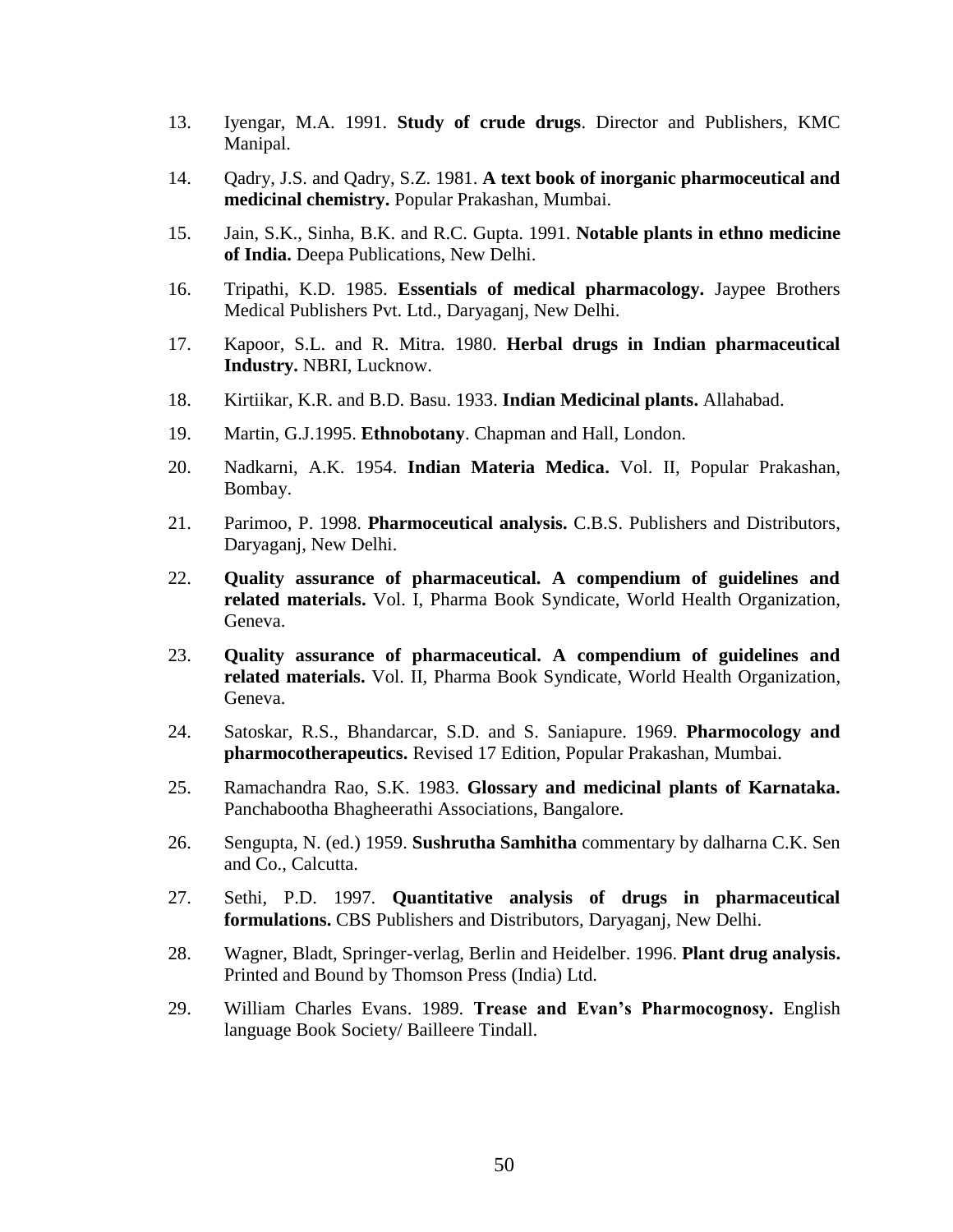- 13. Iyengar, M.A. 1991. **Study of crude drugs**. Director and Publishers, KMC Manipal.
- 14. Qadry, J.S. and Qadry, S.Z. 1981. **A text book of inorganic pharmoceutical and medicinal chemistry.** Popular Prakashan, Mumbai.
- 15. Jain, S.K., Sinha, B.K. and R.C. Gupta. 1991. **Notable plants in ethno medicine of India.** Deepa Publications, New Delhi.
- 16. Tripathi, K.D. 1985. **Essentials of medical pharmacology.** Jaypee Brothers Medical Publishers Pvt. Ltd., Daryaganj, New Delhi.
- 17. Kapoor, S.L. and R. Mitra. 1980. **Herbal drugs in Indian pharmaceutical Industry.** NBRI, Lucknow.
- 18. Kirtiikar, K.R. and B.D. Basu. 1933. **Indian Medicinal plants.** Allahabad.
- 19. Martin, G.J.1995. **Ethnobotany**. Chapman and Hall, London.
- 20. Nadkarni, A.K. 1954. **Indian Materia Medica.** Vol. II, Popular Prakashan, Bombay.
- 21. Parimoo, P. 1998. **Pharmoceutical analysis.** C.B.S. Publishers and Distributors, Daryaganj, New Delhi.
- 22. **Quality assurance of pharmaceutical. A compendium of guidelines and related materials.** Vol. I, Pharma Book Syndicate, World Health Organization, Geneva.
- 23. **Quality assurance of pharmaceutical. A compendium of guidelines and related materials.** Vol. II, Pharma Book Syndicate, World Health Organization, Geneva.
- 24. Satoskar, R.S., Bhandarcar, S.D. and S. Saniapure. 1969. **Pharmocology and pharmocotherapeutics.** Revised 17 Edition, Popular Prakashan, Mumbai.
- 25. Ramachandra Rao, S.K. 1983. **Glossary and medicinal plants of Karnataka.**  Panchabootha Bhagheerathi Associations, Bangalore.
- 26. Sengupta, N. (ed.) 1959. **Sushrutha Samhitha** commentary by dalharna C.K. Sen and Co., Calcutta.
- 27. Sethi, P.D. 1997. **Quantitative analysis of drugs in pharmaceutical formulations.** CBS Publishers and Distributors, Daryaganj, New Delhi.
- 28. Wagner, Bladt, Springer-verlag, Berlin and Heidelber. 1996. **Plant drug analysis.** Printed and Bound by Thomson Press (India) Ltd.
- 29. William Charles Evans. 1989. **Trease and Evan's Pharmocognosy.** English language Book Society/ Bailleere Tindall.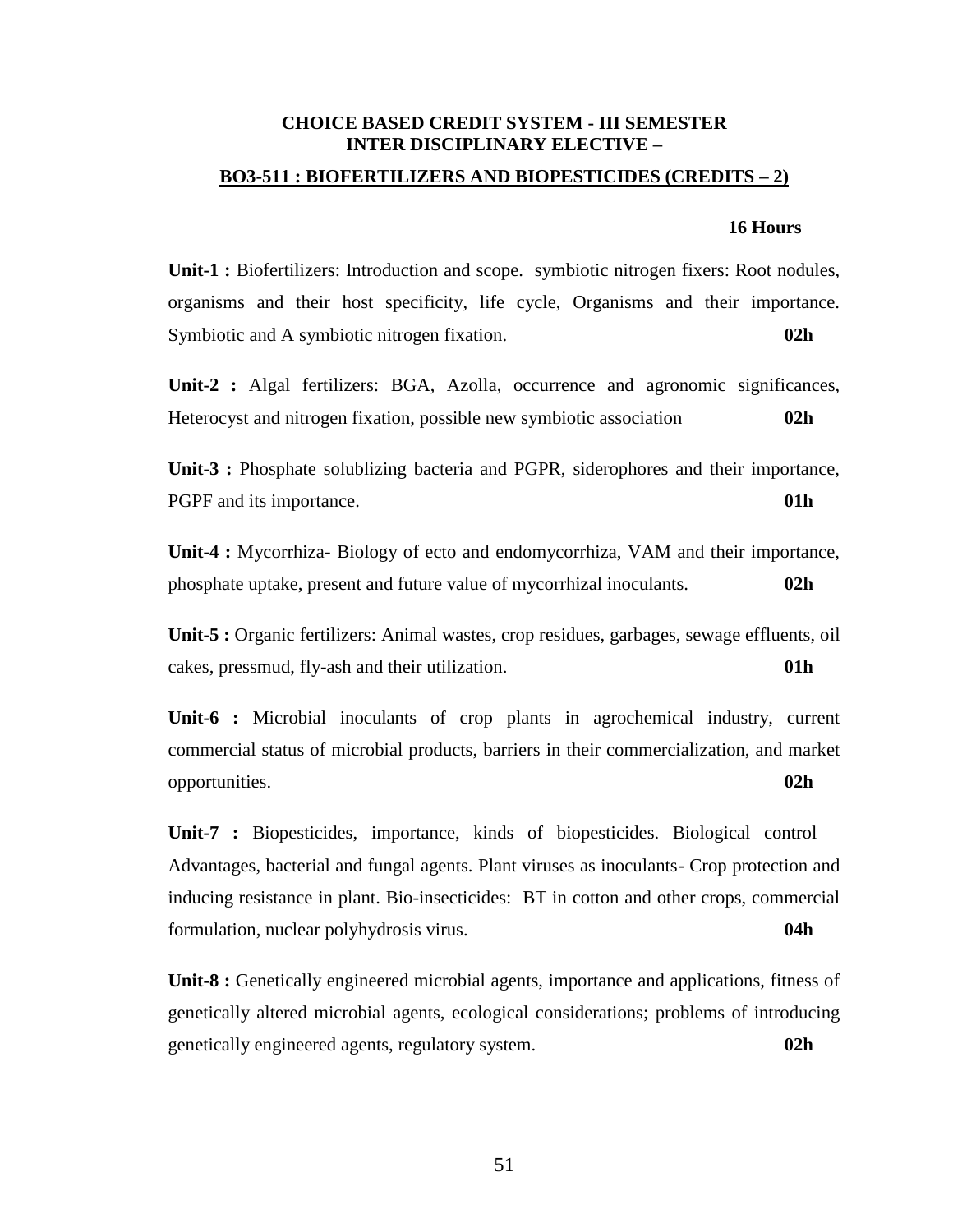## **CHOICE BASED CREDIT SYSTEM - III SEMESTER INTER DISCIPLINARY ELECTIVE –**

## **BO3-511 : BIOFERTILIZERS AND BIOPESTICIDES (CREDITS – 2)**

## **16 Hours**

**Unit-1 :** Biofertilizers: Introduction and scope. symbiotic nitrogen fixers: Root nodules, organisms and their host specificity, life cycle, Organisms and their importance. Symbiotic and A symbiotic nitrogen fixation. **02h**

**Unit-2 :** Algal fertilizers: BGA, Azolla, occurrence and agronomic significances, Heterocyst and nitrogen fixation, possible new symbiotic association **02h**

**Unit-3 :** Phosphate solublizing bacteria and PGPR, siderophores and their importance, PGPF and its importance. **01h**

**Unit-4 :** Mycorrhiza- Biology of ecto and endomycorrhiza, VAM and their importance, phosphate uptake, present and future value of mycorrhizal inoculants. **02h**

**Unit-5 :** Organic fertilizers: Animal wastes, crop residues, garbages, sewage effluents, oil cakes, pressmud, fly-ash and their utilization. **01h**

**Unit-6 :** Microbial inoculants of crop plants in agrochemical industry, current commercial status of microbial products, barriers in their commercialization, and market opportunities. **02h**

**Unit-7 :** Biopesticides, importance, kinds of biopesticides. Biological control – Advantages, bacterial and fungal agents. Plant viruses as inoculants- Crop protection and inducing resistance in plant. Bio-insecticides: BT in cotton and other crops, commercial formulation, nuclear polyhydrosis virus. **04h**

**Unit-8 :** Genetically engineered microbial agents, importance and applications, fitness of genetically altered microbial agents, ecological considerations; problems of introducing genetically engineered agents, regulatory system. **02h**

51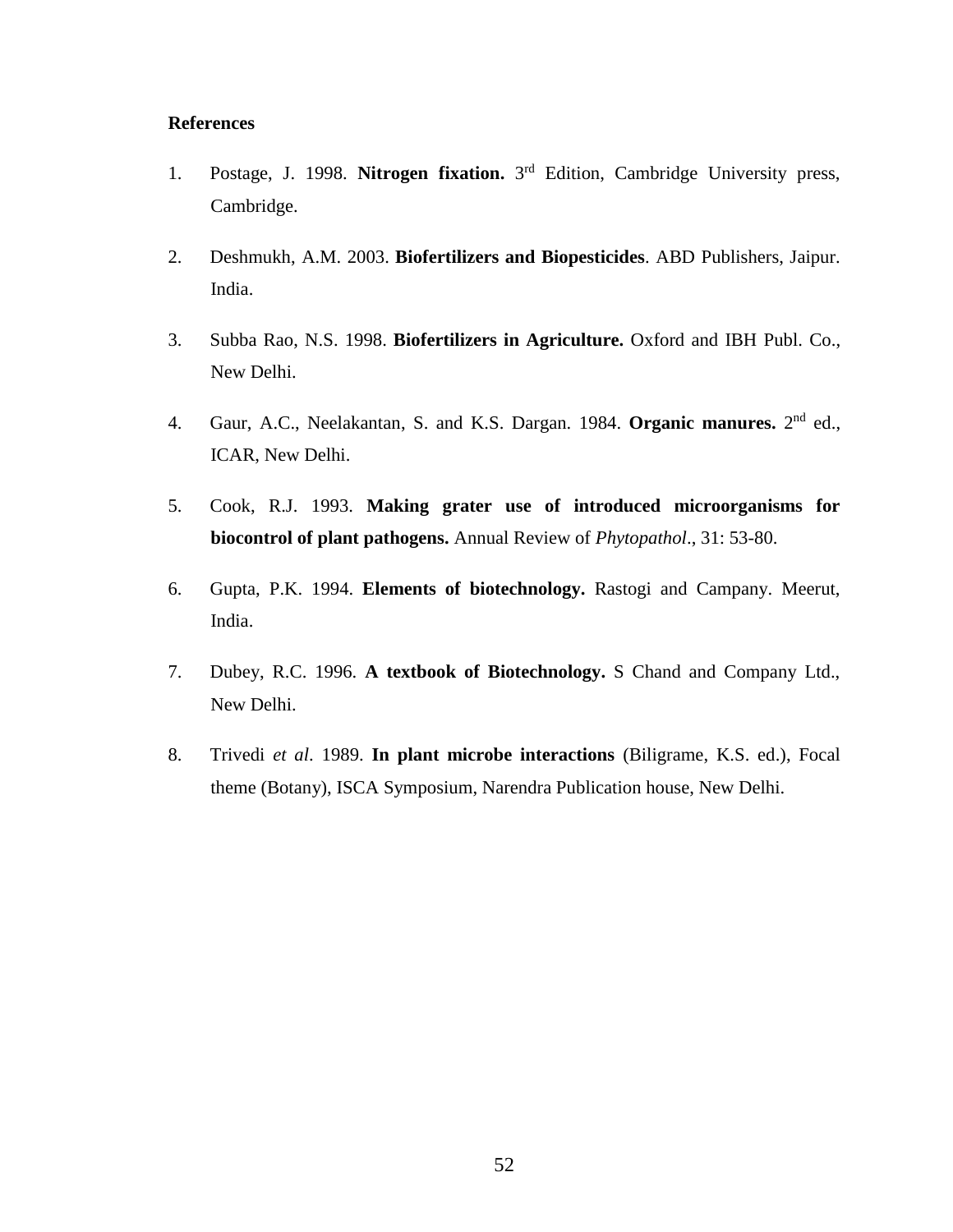- 1. Postage, J. 1998. **Nitrogen fixation.** 3 rd Edition, Cambridge University press, Cambridge.
- 2. Deshmukh, A.M. 2003. **Biofertilizers and Biopesticides**. ABD Publishers, Jaipur. India.
- 3. Subba Rao, N.S. 1998. **Biofertilizers in Agriculture.** Oxford and IBH Publ. Co., New Delhi.
- 4. Gaur, A.C., Neelakantan, S. and K.S. Dargan. 1984. **Organic manures.** 2<sup>nd</sup> ed., ICAR, New Delhi.
- 5. Cook, R.J. 1993. **Making grater use of introduced microorganisms for biocontrol of plant pathogens.** Annual Review of *Phytopathol*., 31: 53-80.
- 6. Gupta, P.K. 1994. **Elements of biotechnology.** Rastogi and Campany. Meerut, India.
- 7. Dubey, R.C. 1996. **A textbook of Biotechnology.** S Chand and Company Ltd., New Delhi.
- 8. Trivedi *et al*. 1989. **In plant microbe interactions** (Biligrame, K.S. ed.), Focal theme (Botany), ISCA Symposium, Narendra Publication house, New Delhi.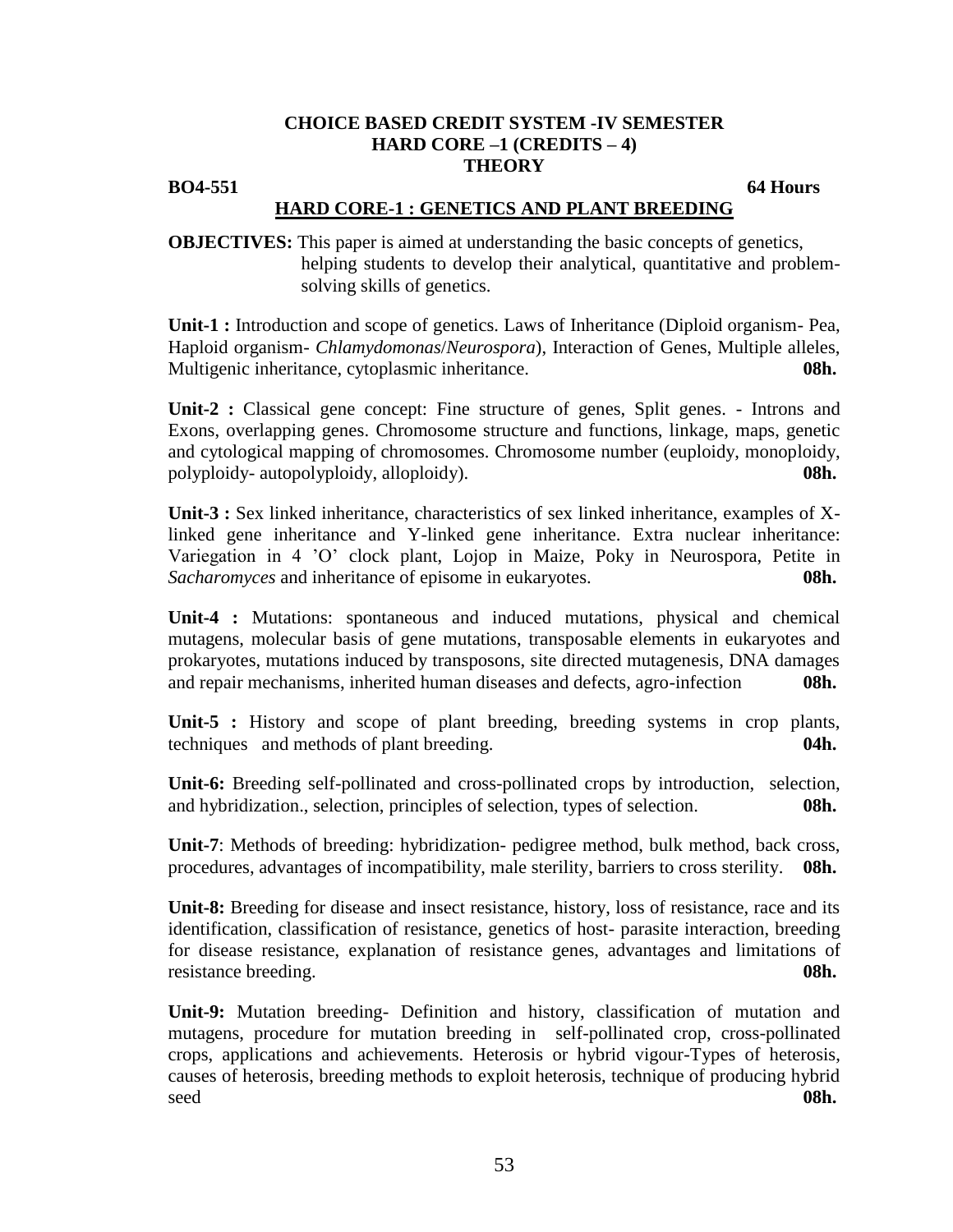## **CHOICE BASED CREDIT SYSTEM -IV SEMESTER HARD CORE –1 (CREDITS – 4) THEORY**

## **BO4-551** 64 Hours

## **HARD CORE-1 : GENETICS AND PLANT BREEDING**

**OBJECTIVES:** This paper is aimed at understanding the basic concepts of genetics, helping students to develop their analytical, quantitative and problemsolving skills of genetics.

**Unit-1 :** Introduction and scope of genetics. Laws of Inheritance (Diploid organism- Pea, Haploid organism- *Chlamydomonas*/*Neurospora*), Interaction of Genes, Multiple alleles, Multigenic inheritance, cytoplasmic inheritance. **08h.**

**Unit-2 :** Classical gene concept: Fine structure of genes, Split genes. - Introns and Exons, overlapping genes. Chromosome structure and functions, linkage, maps, genetic and cytological mapping of chromosomes. Chromosome number (euploidy, monoploidy, polyploidy- autopolyploidy, alloploidy). **08h.**

**Unit-3 :** Sex linked inheritance, characteristics of sex linked inheritance, examples of Xlinked gene inheritance and Y-linked gene inheritance. Extra nuclear inheritance: Variegation in 4 'O' clock plant, Lojop in Maize, Poky in Neurospora, Petite in *Sacharomyces* and inheritance of episome in eukaryotes. **08h.**

**Unit-4 :** Mutations: spontaneous and induced mutations, physical and chemical mutagens, molecular basis of gene mutations, transposable elements in eukaryotes and prokaryotes, mutations induced by transposons, site directed mutagenesis, DNA damages and repair mechanisms, inherited human diseases and defects, agro-infection **08h.**

**Unit-5 :** History and scope of plant breeding, breeding systems in crop plants, techniques and methods of plant breeding. **04h.**

**Unit-6:** Breeding self-pollinated and cross-pollinated crops by introduction, selection, and hybridization., selection, principles of selection, types of selection. **08h.**

**Unit-7**: Methods of breeding: hybridization- pedigree method, bulk method, back cross, procedures, advantages of incompatibility, male sterility, barriers to cross sterility. **08h.**

**Unit-8:** Breeding for disease and insect resistance, history, loss of resistance, race and its identification, classification of resistance, genetics of host- parasite interaction, breeding for disease resistance, explanation of resistance genes, advantages and limitations of resistance breeding. **08h.**

**Unit-9:** Mutation breeding- Definition and history, classification of mutation and mutagens, procedure for mutation breeding in self-pollinated crop, cross-pollinated crops, applications and achievements. Heterosis or hybrid vigour-Types of heterosis, causes of heterosis, breeding methods to exploit heterosis, technique of producing hybrid seed **08h.**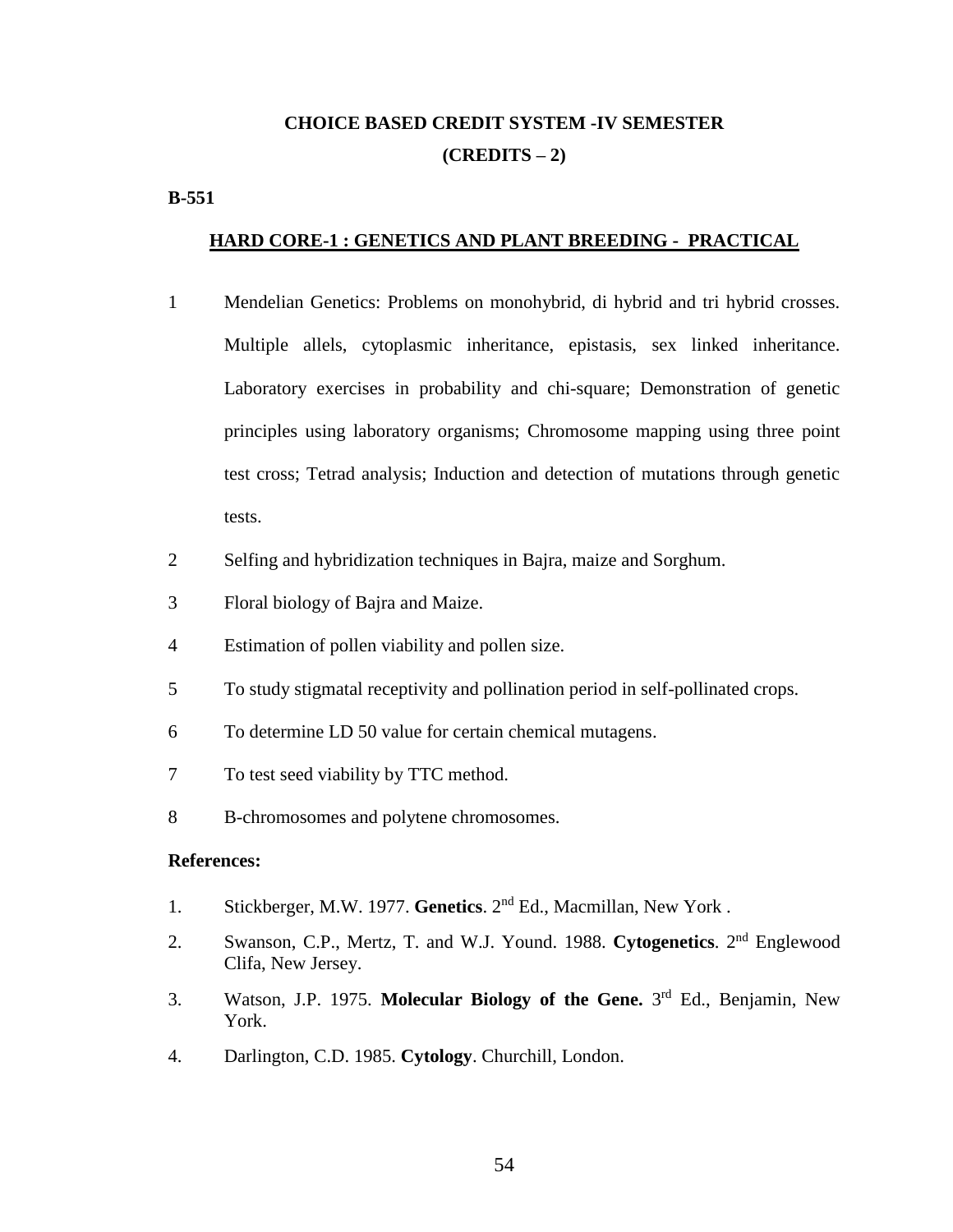# **CHOICE BASED CREDIT SYSTEM -IV SEMESTER (CREDITS – 2)**

## **B-551**

## **HARD CORE-1 : GENETICS AND PLANT BREEDING - PRACTICAL**

- 1 Mendelian Genetics: Problems on monohybrid, di hybrid and tri hybrid crosses. Multiple allels, cytoplasmic inheritance, epistasis, sex linked inheritance. Laboratory exercises in probability and chi-square; Demonstration of genetic principles using laboratory organisms; Chromosome mapping using three point test cross; Tetrad analysis; Induction and detection of mutations through genetic tests.
- 2 Selfing and hybridization techniques in Bajra, maize and Sorghum.
- 3 Floral biology of Bajra and Maize.
- 4 Estimation of pollen viability and pollen size.
- 5 To study stigmatal receptivity and pollination period in self-pollinated crops.
- 6 To determine LD 50 value for certain chemical mutagens.
- 7 To test seed viability by TTC method.
- 8 B-chromosomes and polytene chromosomes.

- 1. Stickberger, M.W. 1977. **Genetics**. 2nd Ed., Macmillan, New York .
- 2. Swanson, C.P., Mertz, T. and W.J. Yound. 1988. Cytogenetics. 2<sup>nd</sup> Englewood Clifa, New Jersey.
- 3. Watson, J.P. 1975. **Molecular Biology of the Gene.** 3 rd Ed., Benjamin, New York.
- 4. Darlington, C.D. 1985. **Cytology**. Churchill, London.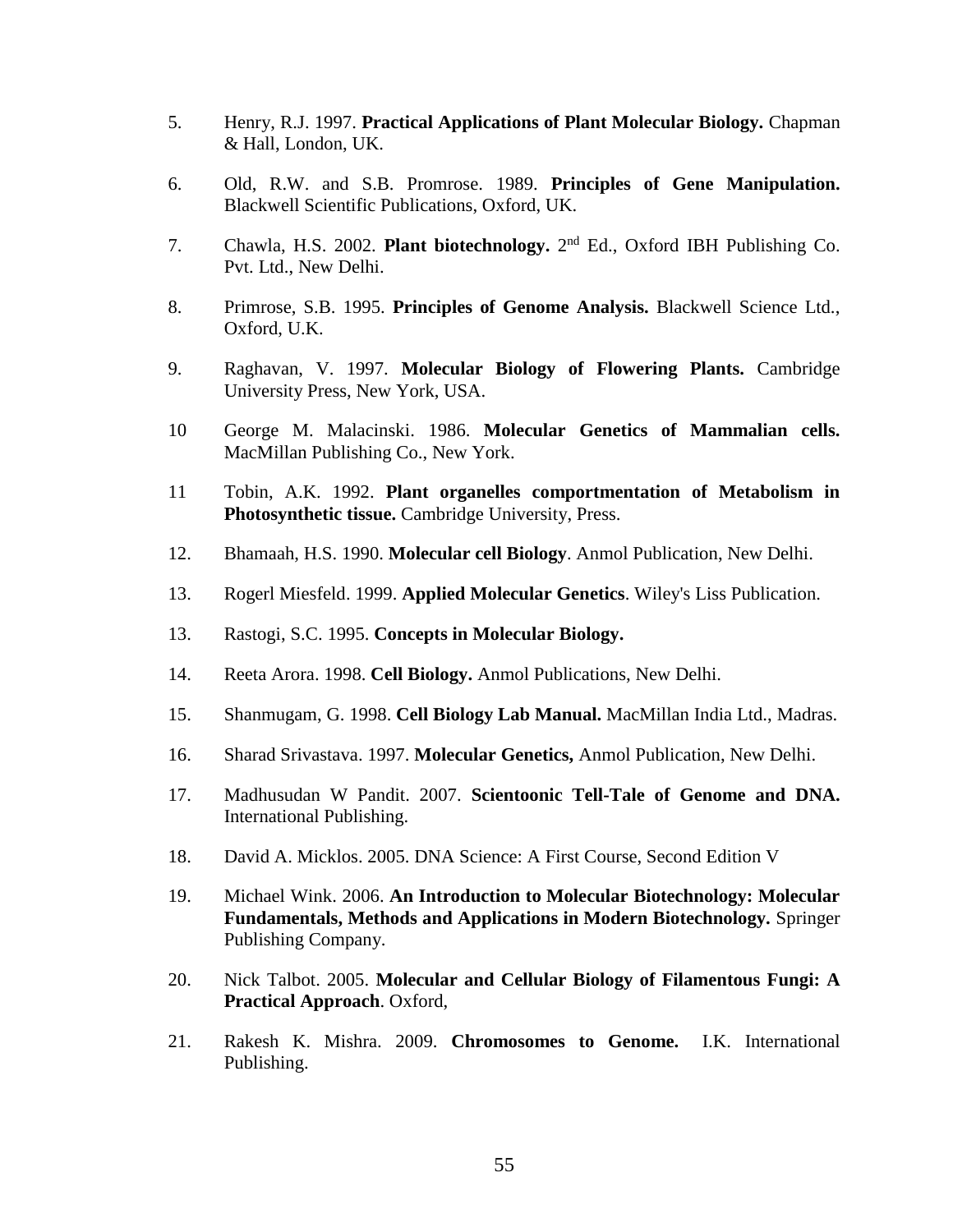- 5. Henry, R.J. 1997. **Practical Applications of Plant Molecular Biology.** Chapman & Hall, London, UK.
- 6. Old, R.W. and S.B. Promrose. 1989. **Principles of Gene Manipulation.** Blackwell Scientific Publications, Oxford, UK.
- 7. Chawla, H.S. 2002. **Plant biotechnology.** 2<sup>nd</sup> Ed., Oxford IBH Publishing Co. Pvt. Ltd., New Delhi.
- 8. Primrose, S.B. 1995. **Principles of Genome Analysis.** Blackwell Science Ltd., Oxford, U.K.
- 9. Raghavan, V. 1997. **Molecular Biology of Flowering Plants.** Cambridge University Press, New York, USA.
- 10 George M. Malacinski. 1986. **Molecular Genetics of Mammalian cells.** MacMillan Publishing Co., New York.
- 11 Tobin, A.K. 1992. **Plant organelles comportmentation of Metabolism in Photosynthetic tissue.** Cambridge University, Press.
- 12. Bhamaah, H.S. 1990. **Molecular cell Biology**. Anmol Publication, New Delhi.
- 13. Rogerl Miesfeld. 1999. **Applied Molecular Genetics**. Wiley's Liss Publication.
- 13. Rastogi, S.C. 1995. **Concepts in Molecular Biology.**
- 14. Reeta Arora. 1998. **Cell Biology.** Anmol Publications, New Delhi.
- 15. Shanmugam, G. 1998. **Cell Biology Lab Manual.** MacMillan India Ltd., Madras.
- 16. Sharad Srivastava. 1997. **Molecular Genetics,** Anmol Publication, New Delhi.
- 17. Madhusudan W Pandit. 2007. **Scientoonic Tell-Tale of Genome and DNA.** International Publishing.
- 18. David A. Micklos. 2005. DNA Science: A First Course, Second Edition V
- 19. Michael Wink. 2006. **An Introduction to Molecular Biotechnology: Molecular Fundamentals, Methods and Applications in Modern Biotechnology.** Springer Publishing Company.
- 20. Nick Talbot. 2005. **Molecular and Cellular Biology of Filamentous Fungi: A Practical Approach**. Oxford,
- 21. Rakesh K. Mishra. 2009. **Chromosomes to Genome.** I.K. International Publishing.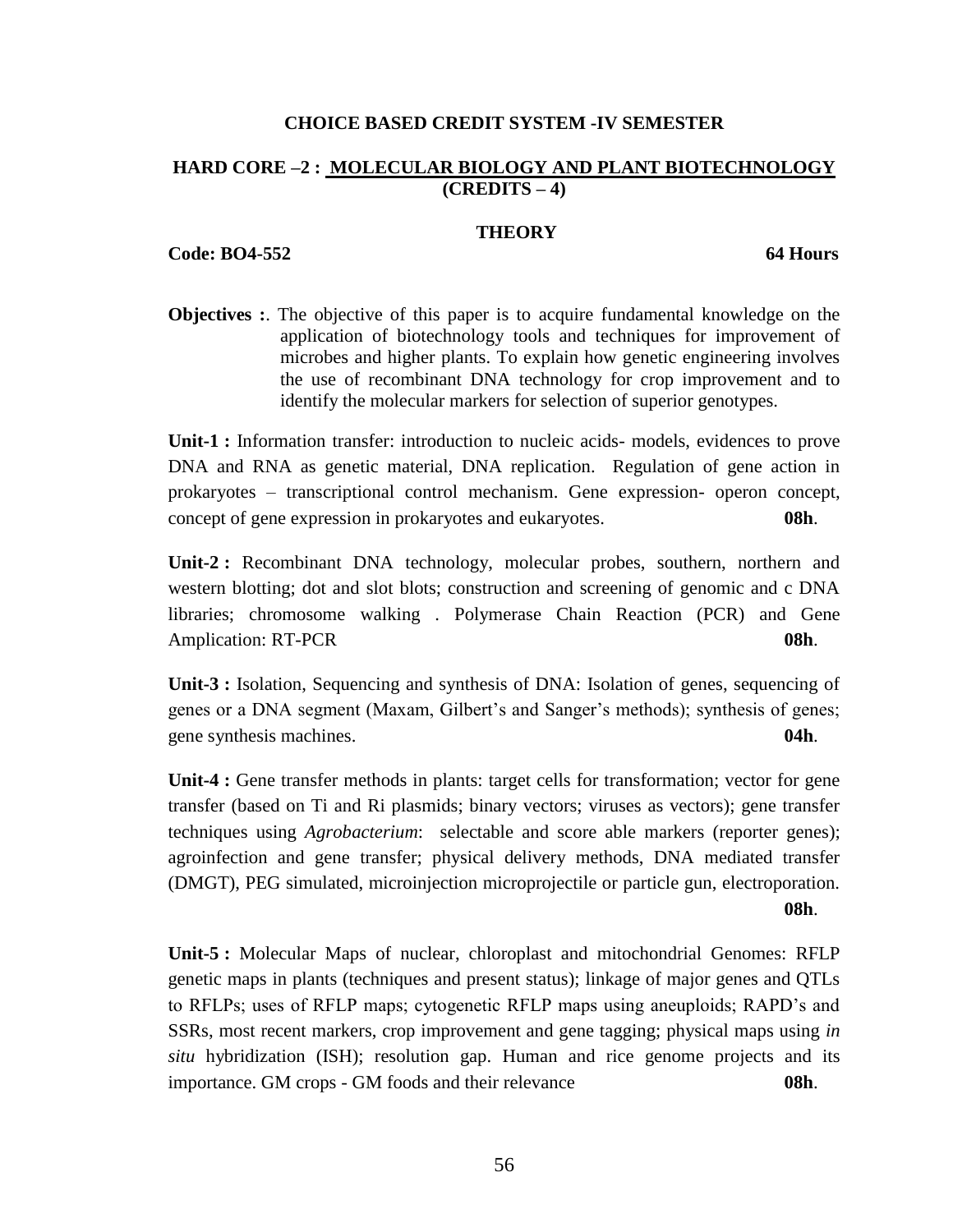## **CHOICE BASED CREDIT SYSTEM -IV SEMESTER**

## **HARD CORE –2 : MOLECULAR BIOLOGY AND PLANT BIOTECHNOLOGY (CREDITS – 4)**

## **THEORY**

**Code: BO4-552 64 Hours**

**Objectives :**. The objective of this paper is to acquire fundamental knowledge on the application of biotechnology tools and techniques for improvement of microbes and higher plants. To explain how genetic engineering involves the use of recombinant DNA technology for crop improvement and to identify the molecular markers for selection of superior genotypes.

**Unit-1 :** Information transfer: introduction to nucleic acids- models, evidences to prove DNA and RNA as genetic material, DNA replication. Regulation of gene action in prokaryotes – transcriptional control mechanism. Gene expression- operon concept, concept of gene expression in prokaryotes and eukaryotes. **08h**.

**Unit-2 :** Recombinant DNA technology, molecular probes, southern, northern and western blotting; dot and slot blots; construction and screening of genomic and c DNA libraries; chromosome walking . Polymerase Chain Reaction (PCR) and Gene Amplication: RT-PCR **08h**.

**Unit-3 :** Isolation, Sequencing and synthesis of DNA: Isolation of genes, sequencing of genes or a DNA segment (Maxam, Gilbert's and Sanger's methods); synthesis of genes; gene synthesis machines. **04h**.

**Unit-4 :** Gene transfer methods in plants: target cells for transformation; vector for gene transfer (based on Ti and Ri plasmids; binary vectors; viruses as vectors); gene transfer techniques using *Agrobacterium*: selectable and score able markers (reporter genes); agroinfection and gene transfer; physical delivery methods, DNA mediated transfer (DMGT), PEG simulated, microinjection microprojectile or particle gun, electroporation. **08h**.

**Unit-5 :** Molecular Maps of nuclear, chloroplast and mitochondrial Genomes: RFLP genetic maps in plants (techniques and present status); linkage of major genes and QTLs to RFLPs; uses of RFLP maps; cytogenetic RFLP maps using aneuploids; RAPD's and SSRs, most recent markers, crop improvement and gene tagging; physical maps using *in situ* hybridization (ISH); resolution gap. Human and rice genome projects and its importance. GM crops - GM foods and their relevance **08h**.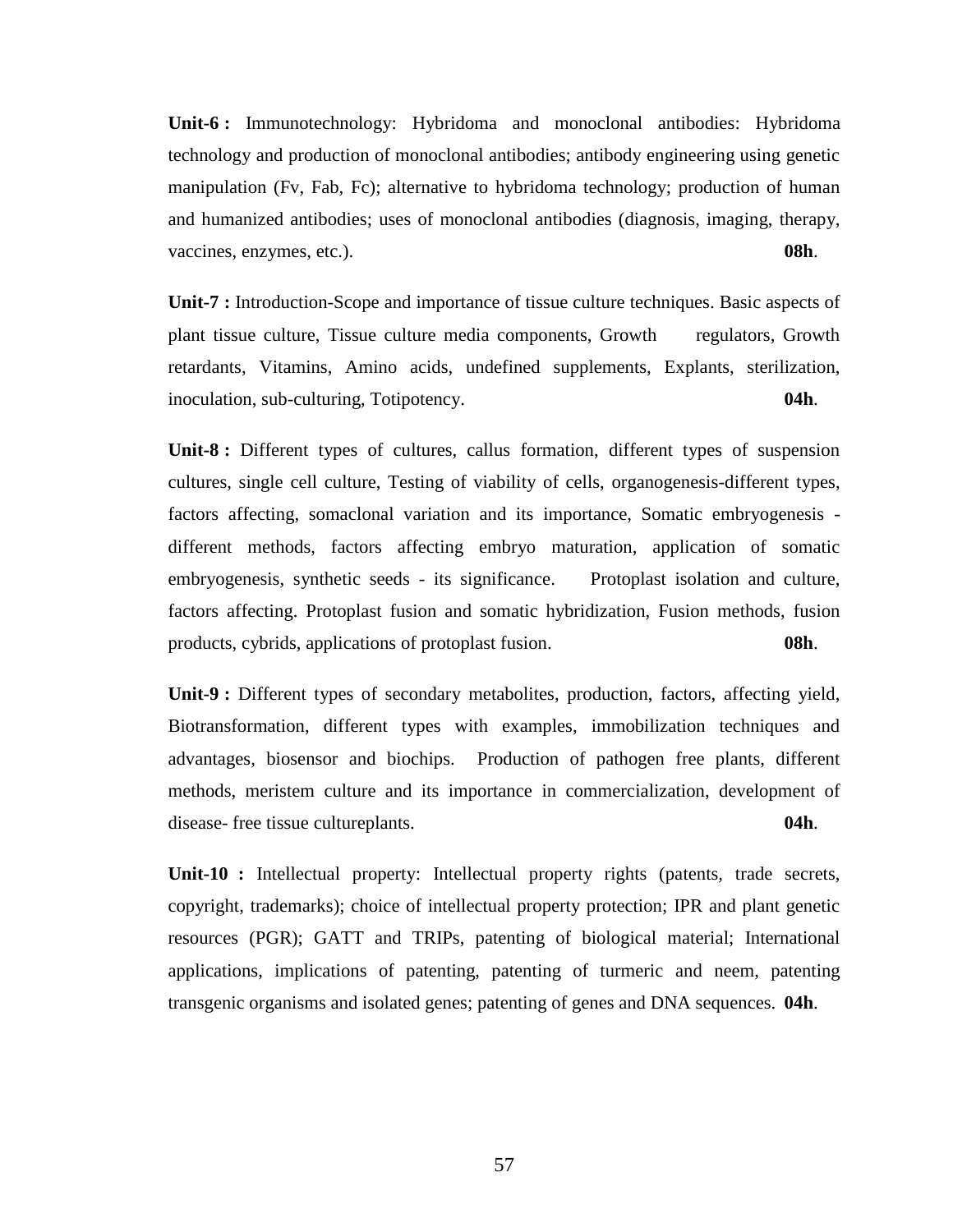**Unit-6 :** Immunotechnology: Hybridoma and monoclonal antibodies: Hybridoma technology and production of monoclonal antibodies; antibody engineering using genetic manipulation (Fv, Fab, Fc); alternative to hybridoma technology; production of human and humanized antibodies; uses of monoclonal antibodies (diagnosis, imaging, therapy, vaccines, enzymes, etc.). **08h**.

**Unit-7 :** Introduction-Scope and importance of tissue culture techniques. Basic aspects of plant tissue culture, Tissue culture media components, Growth regulators, Growth retardants, Vitamins, Amino acids, undefined supplements, Explants, sterilization, inoculation, sub-culturing, Totipotency. **04h**.

**Unit-8 :** Different types of cultures, callus formation, different types of suspension cultures, single cell culture, Testing of viability of cells, organogenesis-different types, factors affecting, somaclonal variation and its importance, Somatic embryogenesis different methods, factors affecting embryo maturation, application of somatic embryogenesis, synthetic seeds - its significance. Protoplast isolation and culture, factors affecting. Protoplast fusion and somatic hybridization, Fusion methods, fusion products, cybrids, applications of protoplast fusion. **08h**.

**Unit-9 :** Different types of secondary metabolites, production, factors, affecting yield, Biotransformation, different types with examples, immobilization techniques and advantages, biosensor and biochips. Production of pathogen free plants, different methods, meristem culture and its importance in commercialization, development of disease- free tissue cultureplants. **04h**.

**Unit-10 :** Intellectual property: Intellectual property rights (patents, trade secrets, copyright, trademarks); choice of intellectual property protection; IPR and plant genetic resources (PGR); GATT and TRIPs, patenting of biological material; International applications, implications of patenting, patenting of turmeric and neem, patenting transgenic organisms and isolated genes; patenting of genes and DNA sequences. **04h**.

57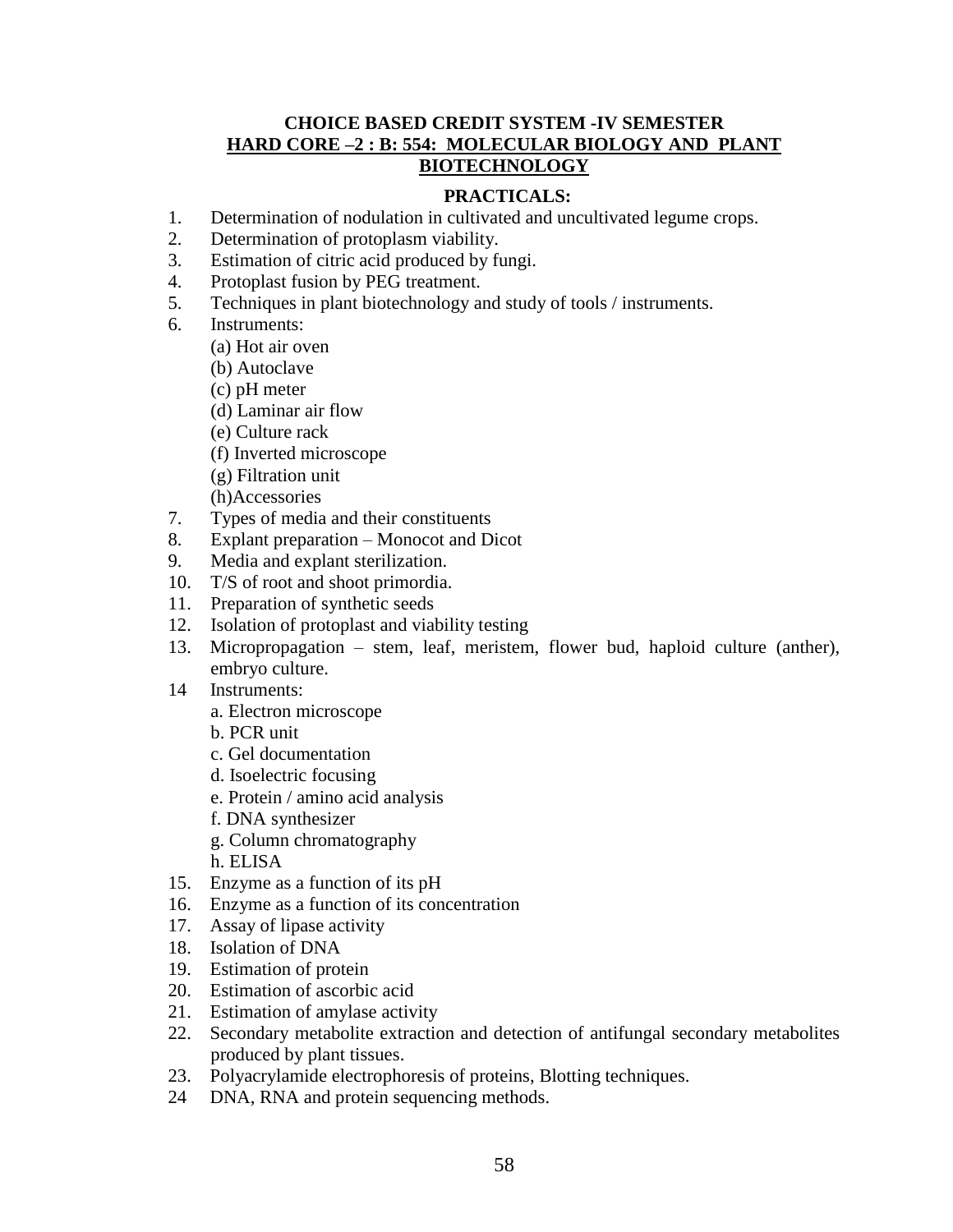## **CHOICE BASED CREDIT SYSTEM -IV SEMESTER HARD CORE –2 : B: 554: MOLECULAR BIOLOGY AND PLANT BIOTECHNOLOGY**

## **PRACTICALS:**

- 1. Determination of nodulation in cultivated and uncultivated legume crops.
- 2. Determination of protoplasm viability.
- 3. Estimation of citric acid produced by fungi.
- 4. Protoplast fusion by PEG treatment.
- 5. Techniques in plant biotechnology and study of tools / instruments.
- 6. Instruments:
	- (a) Hot air oven
	- (b) Autoclave
	- (c) pH meter
	- (d) Laminar air flow
	- (e) Culture rack
	- (f) Inverted microscope
	- (g) Filtration unit
	- (h)Accessories
- 7. Types of media and their constituents
- 8. Explant preparation Monocot and Dicot
- 9. Media and explant sterilization.
- 10. T/S of root and shoot primordia.
- 11. Preparation of synthetic seeds
- 12. Isolation of protoplast and viability testing
- 13. Micropropagation stem, leaf, meristem, flower bud, haploid culture (anther), embryo culture.
- 14 Instruments:
	- a. Electron microscope
	- b. PCR unit
	- c. Gel documentation
	- d. Isoelectric focusing
	- e. Protein / amino acid analysis
	- f. DNA synthesizer
	- g. Column chromatography
	- h. ELISA
- 15. Enzyme as a function of its pH
- 16. Enzyme as a function of its concentration
- 17. Assay of lipase activity
- 18. Isolation of DNA
- 19. Estimation of protein
- 20. Estimation of ascorbic acid
- 21. Estimation of amylase activity
- 22. Secondary metabolite extraction and detection of antifungal secondary metabolites produced by plant tissues.
- 23. Polyacrylamide electrophoresis of proteins, Blotting techniques.
- 24 DNA, RNA and protein sequencing methods.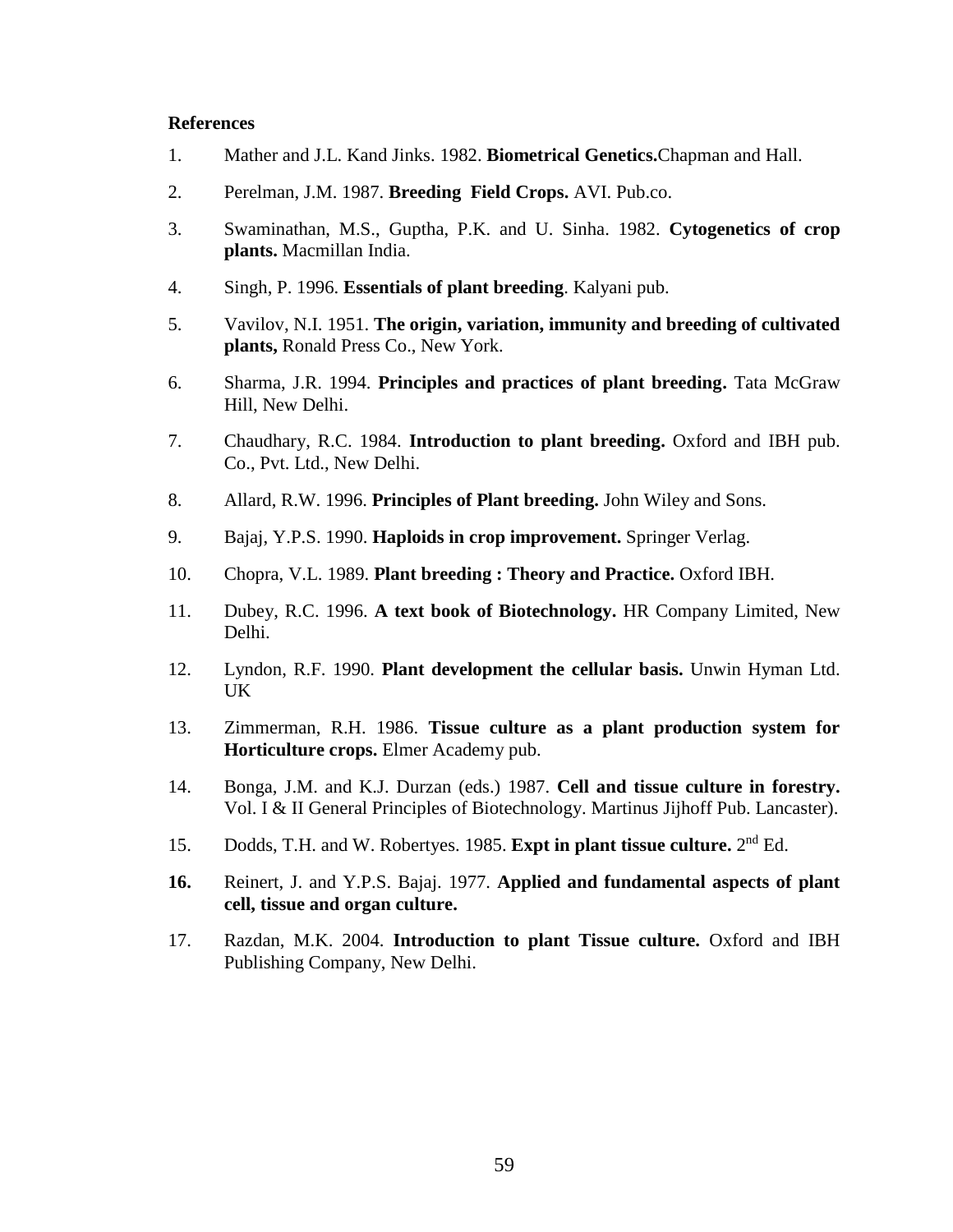- 1. Mather and J.L. Kand Jinks. 1982. **Biometrical Genetics.**Chapman and Hall.
- 2. Perelman, J.M. 1987. **Breeding Field Crops.** AVI. Pub.co.
- 3. Swaminathan, M.S., Guptha, P.K. and U. Sinha. 1982. **Cytogenetics of crop plants.** Macmillan India.
- 4. Singh, P. 1996. **Essentials of plant breeding**. Kalyani pub.
- 5. Vavilov, N.I. 1951. **The origin, variation, immunity and breeding of cultivated plants,** Ronald Press Co., New York.
- 6. Sharma, J.R. 1994. **Principles and practices of plant breeding.** Tata McGraw Hill, New Delhi.
- 7. Chaudhary, R.C. 1984. **Introduction to plant breeding.** Oxford and IBH pub. Co., Pvt. Ltd., New Delhi.
- 8. Allard, R.W. 1996. **Principles of Plant breeding.** John Wiley and Sons.
- 9. Bajaj, Y.P.S. 1990. **Haploids in crop improvement.** Springer Verlag.
- 10. Chopra, V.L. 1989. **Plant breeding : Theory and Practice.** Oxford IBH.
- 11. Dubey, R.C. 1996. **A text book of Biotechnology.** HR Company Limited, New Delhi.
- 12. Lyndon, R.F. 1990. **Plant development the cellular basis.** Unwin Hyman Ltd. UK
- 13. Zimmerman, R.H. 1986. **Tissue culture as a plant production system for Horticulture crops.** Elmer Academy pub.
- 14. Bonga, J.M. and K.J. Durzan (eds.) 1987. **Cell and tissue culture in forestry.** Vol. I & II General Principles of Biotechnology. Martinus Jijhoff Pub. Lancaster).
- 15. Dodds, T.H. and W. Robertyes. 1985. Expt in plant tissue culture. 2<sup>nd</sup> Ed.
- **16.** Reinert, J. and Y.P.S. Bajaj. 1977. **Applied and fundamental aspects of plant cell, tissue and organ culture.**
- 17. Razdan, M.K. 2004. **Introduction to plant Tissue culture.** Oxford and IBH Publishing Company, New Delhi.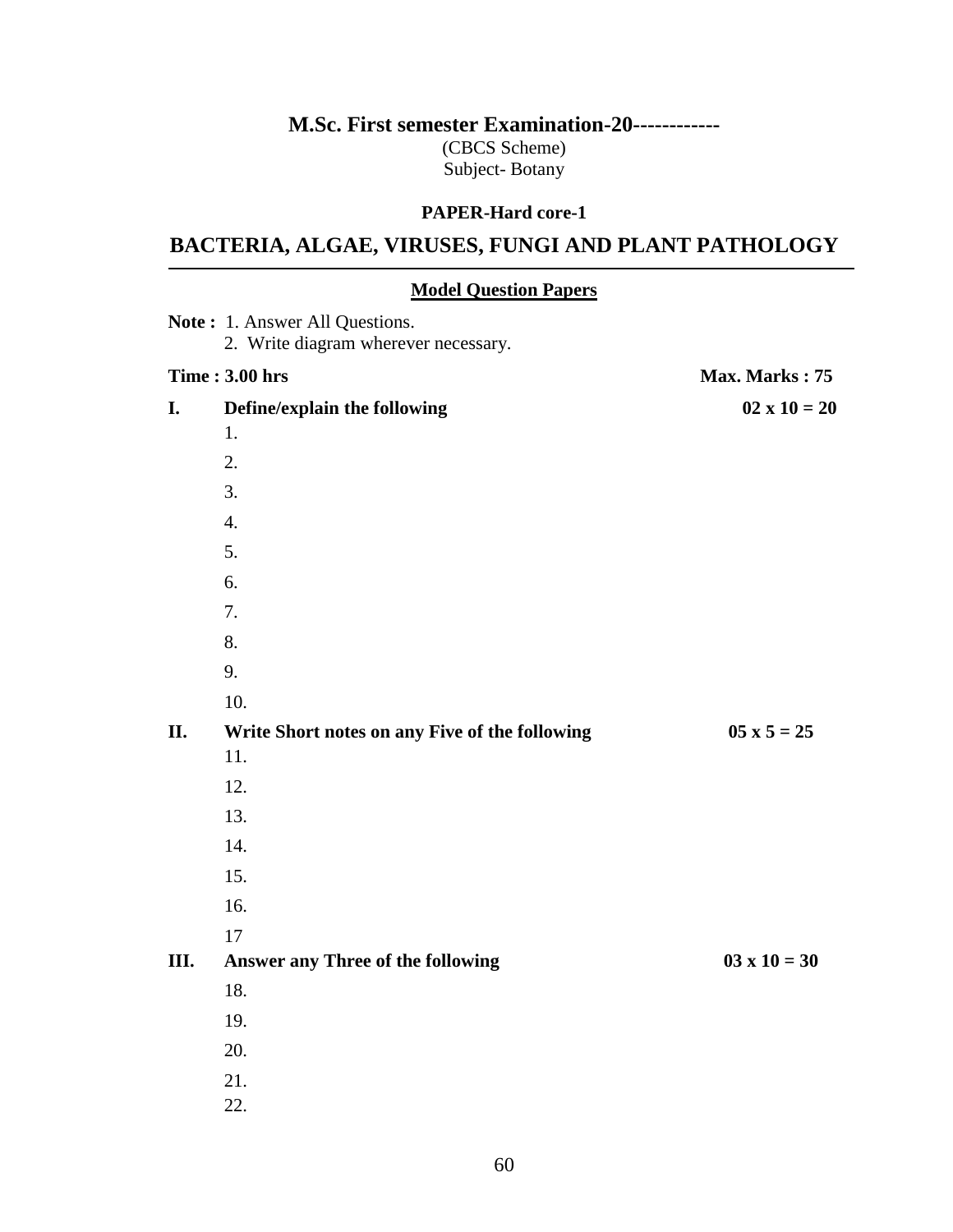# **M.Sc. First semester Examination-20------------**

(CBCS Scheme) Subject- Botany

## **PAPER-Hard core-1**

# **BACTERIA, ALGAE, VIRUSES, FUNGI AND PLANT PATHOLOGY**

## **Model Question Papers**

|      | Note: 1. Answer All Questions.<br>2. Write diagram wherever necessary. |                     |
|------|------------------------------------------------------------------------|---------------------|
|      | <b>Time: 3.00 hrs</b>                                                  | Max. Marks: 75      |
| I.   | Define/explain the following                                           | $02 \times 10 = 20$ |
|      | 1.                                                                     |                     |
|      | 2.                                                                     |                     |
|      | 3.                                                                     |                     |
|      | $\overline{4}$ .                                                       |                     |
|      | 5.                                                                     |                     |
|      | 6.                                                                     |                     |
|      | 7.                                                                     |                     |
|      | 8.                                                                     |                     |
|      | 9.                                                                     |                     |
|      | 10.                                                                    |                     |
| II.  | Write Short notes on any Five of the following                         | $05 \times 5 = 25$  |
|      | 11.                                                                    |                     |
|      | 12.                                                                    |                     |
|      | 13.                                                                    |                     |
|      | 14.                                                                    |                     |
|      | 15.                                                                    |                     |
|      | 16.                                                                    |                     |
|      | 17                                                                     |                     |
| III. | <b>Answer any Three of the following</b>                               | $03 \times 10 = 30$ |
|      | 18.                                                                    |                     |
|      | 19.                                                                    |                     |
|      | 20.                                                                    |                     |
|      | 21.                                                                    |                     |
|      | 22.                                                                    |                     |